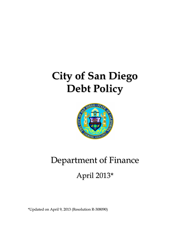# **City of San Diego Debt Policy**



# Department of Finance April 2013\*

\*Updated on April 9, 2013 (Resolution R-308090)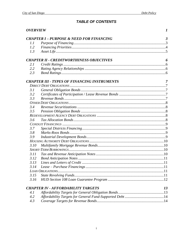# **TABLE OF CONTENTS**

| <b>CHAPTER I-PURPOSE &amp; NEED FOR FINANCING</b><br>$\boldsymbol{\beta}$<br>1.1<br>1.2<br>1.3<br><b>CHAPTER II - CREDITWORTHINESS OBJECTIVES</b><br>6<br>2.1<br>2.2<br>2.3<br><b>CHAPTER III - TYPES OF FINANCING INSTRUMENTS</b><br>7<br>3.1<br>3.2<br>3.3<br>3.4<br>3.5<br>3.6<br>3.7<br>3.8<br>3.9<br>3.10<br>3.11<br>3.12<br>3.13<br>3.14<br>3.15<br>3.16<br><b>CHAPTER IV - AFFORDABILITY TARGETS</b><br>13<br>4.1<br>4.2<br>4.3 | <b>OVERVIEW</b> |  | 1 |  |  |
|----------------------------------------------------------------------------------------------------------------------------------------------------------------------------------------------------------------------------------------------------------------------------------------------------------------------------------------------------------------------------------------------------------------------------------------|-----------------|--|---|--|--|
|                                                                                                                                                                                                                                                                                                                                                                                                                                        |                 |  |   |  |  |
|                                                                                                                                                                                                                                                                                                                                                                                                                                        |                 |  |   |  |  |
|                                                                                                                                                                                                                                                                                                                                                                                                                                        |                 |  |   |  |  |
|                                                                                                                                                                                                                                                                                                                                                                                                                                        |                 |  |   |  |  |
|                                                                                                                                                                                                                                                                                                                                                                                                                                        |                 |  |   |  |  |
|                                                                                                                                                                                                                                                                                                                                                                                                                                        |                 |  |   |  |  |
|                                                                                                                                                                                                                                                                                                                                                                                                                                        |                 |  |   |  |  |
|                                                                                                                                                                                                                                                                                                                                                                                                                                        |                 |  |   |  |  |
|                                                                                                                                                                                                                                                                                                                                                                                                                                        |                 |  |   |  |  |
|                                                                                                                                                                                                                                                                                                                                                                                                                                        |                 |  |   |  |  |
|                                                                                                                                                                                                                                                                                                                                                                                                                                        |                 |  |   |  |  |
|                                                                                                                                                                                                                                                                                                                                                                                                                                        |                 |  |   |  |  |
|                                                                                                                                                                                                                                                                                                                                                                                                                                        |                 |  |   |  |  |
|                                                                                                                                                                                                                                                                                                                                                                                                                                        |                 |  |   |  |  |
|                                                                                                                                                                                                                                                                                                                                                                                                                                        |                 |  |   |  |  |
|                                                                                                                                                                                                                                                                                                                                                                                                                                        |                 |  |   |  |  |
|                                                                                                                                                                                                                                                                                                                                                                                                                                        |                 |  |   |  |  |
|                                                                                                                                                                                                                                                                                                                                                                                                                                        |                 |  |   |  |  |
|                                                                                                                                                                                                                                                                                                                                                                                                                                        |                 |  |   |  |  |
|                                                                                                                                                                                                                                                                                                                                                                                                                                        |                 |  |   |  |  |
|                                                                                                                                                                                                                                                                                                                                                                                                                                        |                 |  |   |  |  |
|                                                                                                                                                                                                                                                                                                                                                                                                                                        |                 |  |   |  |  |
|                                                                                                                                                                                                                                                                                                                                                                                                                                        |                 |  |   |  |  |
|                                                                                                                                                                                                                                                                                                                                                                                                                                        |                 |  |   |  |  |
|                                                                                                                                                                                                                                                                                                                                                                                                                                        |                 |  |   |  |  |
|                                                                                                                                                                                                                                                                                                                                                                                                                                        |                 |  |   |  |  |
|                                                                                                                                                                                                                                                                                                                                                                                                                                        |                 |  |   |  |  |
|                                                                                                                                                                                                                                                                                                                                                                                                                                        |                 |  |   |  |  |
|                                                                                                                                                                                                                                                                                                                                                                                                                                        |                 |  |   |  |  |
|                                                                                                                                                                                                                                                                                                                                                                                                                                        |                 |  |   |  |  |
|                                                                                                                                                                                                                                                                                                                                                                                                                                        |                 |  |   |  |  |
|                                                                                                                                                                                                                                                                                                                                                                                                                                        |                 |  |   |  |  |
|                                                                                                                                                                                                                                                                                                                                                                                                                                        |                 |  |   |  |  |
|                                                                                                                                                                                                                                                                                                                                                                                                                                        |                 |  |   |  |  |
|                                                                                                                                                                                                                                                                                                                                                                                                                                        |                 |  |   |  |  |
|                                                                                                                                                                                                                                                                                                                                                                                                                                        |                 |  |   |  |  |
|                                                                                                                                                                                                                                                                                                                                                                                                                                        |                 |  |   |  |  |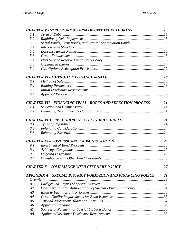|                | <b>CHAPTER V - STRUCTURE &amp; TERM OF CITY INDEBTEDNESS</b>      | 15        |
|----------------|-------------------------------------------------------------------|-----------|
| 5.1            |                                                                   |           |
| 5.2            |                                                                   |           |
| 5.3            | Serial Bonds, Term Bonds, and Capital Appreciation Bonds15        |           |
| 5.4            |                                                                   |           |
| 5.5            |                                                                   |           |
| 5.6            |                                                                   |           |
| 5.7            |                                                                   |           |
| 5.8            |                                                                   |           |
| 5.9            |                                                                   |           |
|                | <b>CHAPTER VI - METHOD OF ISSUANCE &amp; SALE</b>                 | 18        |
| 6.1            |                                                                   |           |
| 6.2            |                                                                   |           |
| 6.3            |                                                                   |           |
| 6.4            |                                                                   |           |
|                | <b>CHAPTER VII – FINANCING TEAM – ROLES AND SELECTION PROCESS</b> | <b>21</b> |
| 7.1            |                                                                   |           |
| 7.2            |                                                                   |           |
|                | <b>CHAPTER VIII - REFUNDING OF CITY INDEBTEDNESS</b>              | 24        |
| 8.1            |                                                                   |           |
| 8.2            |                                                                   |           |
| 8.3            |                                                                   |           |
|                | <b>CHAPTER IX - POST ISSUANCE ADMINISTRATION</b>                  | 25        |
| 9.1            |                                                                   |           |
| 9.2            |                                                                   |           |
| 9.3            |                                                                   |           |
| 9.4            |                                                                   |           |
|                | <b>CHAPTER X - COMPLIANCE WITH CITY DEBT POLICY</b>               | 27        |
|                | APPENDIX A - SPECIAL DISTRICT FORMATION AND FINANCING POLICY      | 29        |
|                |                                                                   |           |
| Al             |                                                                   |           |
| A2             | Considerations for Authorization of Special District Financing31  |           |
| A3             |                                                                   |           |
| A4             |                                                                   |           |
| A <sub>5</sub> |                                                                   |           |
| A6             |                                                                   |           |
| A7             |                                                                   |           |
| A8             |                                                                   |           |
|                |                                                                   |           |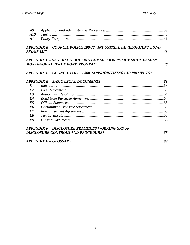| A <sup>9</sup>  |                                                                                                      |    |
|-----------------|------------------------------------------------------------------------------------------------------|----|
| A10             |                                                                                                      |    |
| A11             |                                                                                                      |    |
|                 | APPENDIX B – COUNCIL POLICY 100-12 "INDUSTRIAL DEVELOPMENT BOND                                      |    |
| <b>PROGRAM"</b> |                                                                                                      | 43 |
|                 | APPENDIX C – SAN DIEGO HOUSING COMMISSION POLICY MULTIFAMILY<br><b>MORTGAGE REVENUE BOND PROGRAM</b> | 46 |
|                 |                                                                                                      |    |
|                 | APPENDIX D – COUNCIL POLICY 800-14 "PRIORITIZING CIP PROJECTS"                                       | 55 |
|                 | APPENDIX E – BASIC LEGAL DOCUMENTS                                                                   | 63 |
| E1              |                                                                                                      |    |
| E2              |                                                                                                      |    |
| E3              |                                                                                                      |    |
| E4              |                                                                                                      |    |
| E5              |                                                                                                      |    |
| E <sub>6</sub>  |                                                                                                      |    |
| E7              |                                                                                                      |    |
| E8              |                                                                                                      |    |
| E9              |                                                                                                      |    |
|                 | APPENDIX F – DISCLOSURE PRACTICES WORKING GROUP –                                                    |    |
|                 | <b>DISCLOSURE CONTROLS AND PROCEDURES</b>                                                            | 68 |
|                 | APPENDIX G – GLOSSARY                                                                                | 99 |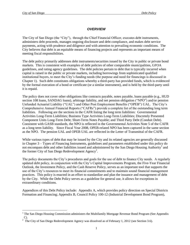$\overline{a}$ 

## *OVERVIEW*

<span id="page-4-0"></span>The City of San Diego (the "City"), through the Chief Financial Officer, executes debt instruments, administers debt proceeds, manages ongoing disclosure and debt compliance, and makes debt service payments, acting with prudence and diligence and with attention to prevailing economic conditions. The City believes that debt is an equitable means of financing projects and represents an important means of meeting fiscal responsibilities.

The debt policy primarily addresses debt instruments/securities issued by the City in public or private bond markets. This is consistent with examples of debt policies of other comparable municipalities, GFOA guidelines, and rating agency guidelines. The debt policies pertain to debt that is typically incurred when capital is raised in the public or private markets, including borrowings from sophisticated qualified institutional buyers, to meet the City's funding needs (the purpose and need for financings is discussed in Chapter 1). Such debt constitutes obligations whereby a third-party has provided funds, which is evidenced by the formal execution of a bond or certificate (or a similar instrument), and is held by the third-party until it is repaid.

The policy does not cover other obligations like contracts payable, notes payable, loans payable (e.g., HUD section 108 loans, SANDAG loans), arbitrage liability, and net pension obligation ("NPO") and/or pension Unfunded Actuarial Liability ("UAL") and Other Post Employment Benefits ("OPEB") UAL. The City's Comprehensive Annual Financial Reports ("CAFRs") provide a complete list of the outstanding long term liabilities. Following are the sections in the CAFR listing the long term liabilities: Governmental Activities Long-Term Liabilities; Business Type Activities Long-Term Liabilities; Discretely Presented Component Units Long-Term Debt; Short-Term Notes Payable; and Third Party Debt (Conduit Debt). Consistent with GASB standards, the NPO is reflected in the Governmental Activities Note 5 of the CAFR as a long term liability. Since Fiscal Year 2008, OPEB-related NPO has been captured in the same section as the NPO. The pension UAL and OPEB UAL are reflected in the Letter of Transmittal of the CAFR.

While various types of debt that may be issued by the City and its related agencies are generally discussed in Chapter 3 – Types of Financing Instruments, guidelines and parameters established under this policy do not encompass debt and other liabilities issued and administered by the San Diego Housing Authority<sup>1</sup> and the former City of San Diego Redevelopment Agency<sup>2</sup>.

The policy documents the City's procedures and goals for the use of debt to finance City needs. A regularly updated debt policy, in conjunction with the City's Capital Improvements Program, the Five-Year Financial Outlook, the Investment Policy, and the Cash Reserve Policy, serves as an important tool that supports the use of the City's resources to meet its financial commitments and to maintain sound financial management practices. This policy is enacted in an effort to standardize and plan the issuance and management of debt by the City. While the Debt Policy serves as a guideline for general use, it allows for exceptions in extraordinary conditions.

Appendices of this Debt Policy include: Appendix A, which provides policy direction on Special Districts Formation and Financing; Appendix B, Council Policy 100-12 (Industrial Development Bond Program),

 $1$  The San Diego Housing Commission administers the Multifamily Mortgage Revenue Bond Program (See Appendix C).

<sup>&</sup>lt;sup>2</sup> The City of San Diego Redevelopment Agency was dissolved as of February 1, 2012 (see Section 3.6).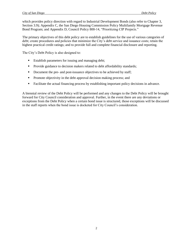which provides policy direction with regard to Industrial Development Bonds (also refer to Chapter 3, Section 3.9); Appendix C, the San Diego Housing Commission Policy Multifamily Mortgage Revenue Bond Program; and Appendix D, Council Policy 800-14, "Prioritizing CIP Projects."

The primary objectives of this debt policy are to establish guidelines for the use of various categories of debt; create procedures and policies that minimize the City's debt service and issuance costs; retain the highest practical credit ratings; and to provide full and complete financial disclosure and reporting.

The City's Debt Policy is also designed to:

- **Establish parameters for issuing and managing debt;**
- **Provide guidance to decision makers related to debt affordability standards;**
- Document the pre- and post-issuance objectives to be achieved by staff;
- **Promote objectivity in the debt approval decision making process; and**
- Facilitate the actual financing process by establishing important policy decisions in advance.

A biennial review of the Debt Policy will be performed and any changes to the Debt Policy will be brought forward for City Council consideration and approval. Further, in the event there are any deviations or exceptions from the Debt Policy when a certain bond issue is structured, those exceptions will be discussed in the staff reports when the bond issue is docketed for City Council's consideration.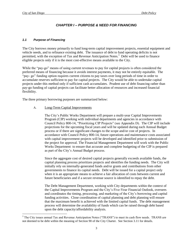$\overline{a}$ 

## *CHAPTER I – PURPOSE & NEED FOR FINANCING*

#### <span id="page-6-1"></span><span id="page-6-0"></span>*1.1 Purpose of Financing*

The City borrows money primarily to fund long-term capital improvement projects, essential equipment and vehicle needs, and to refinance existing debt. The issuance of debt to fund operating deficits is not permitted, with the exception of Tax and Revenue Anticipation Notes.<sup>3</sup> Debt will be used to finance eligible projects only if it is the most cost-effective means available to the City.

While the "pay-go" means of using current revenues to pay for capital projects is often considered the preferred means of financing because it avoids interest payments, it may not be entirely equitable. The "pay- go" funding option requires current citizens to pay taxes over long periods of time in order to accumulate reserves sufficient to pay for capital projects. The City would be able to undertake capital projects under this method only if sufficient cash accumulates. Prudent use of debt financing rather than pay-go funding of capital projects can facilitate better allocation of resources and increased financial flexibility.

The three primary borrowing purposes are summarized below:

#### A. Long-Term Capital Improvements

The City's Public Works Department will prepare a multi-year Capital Improvements Program (CIP) working with individual departments and agencies in accordance with Council Policy 800-14, "Prioritizing CIP Projects" (see Appendix D). The CIP will include projections for the upcoming fiscal years and will be updated during each Annual Budget process or if there are significant changes to the scope and/or cost of projects. In accordance with Council Policy 800-14, future operations and maintenance costs associated with capital improvement projects will be developed and identified prior to submission of the project for approval. The Financial Management Department will work with the Public Works Department to ensure that accurate and complete budgeting of the CIP is prepared as part of the City's Annual Budget process.

Since the aggregate cost of desired capital projects generally exceeds available funds, the capital planning process prioritizes projects and identifies the funding needs. The City will initially rely on internally-generated funds and/or grants and contributions from other governments to finance its capital needs. Debt will be issued for a capital project only when it is an appropriate means to achieve a fair allocation of costs between current and future beneficiaries and if a secure revenue source is identified to repay the debt.

The Debt Management Department, working with City departments within the context of the Capital Improvements Program and the City's Five-Year Financial Outlook, oversees and coordinates the timing, processing, and marketing of the City's borrowing and capital funding activities. Close coordination of capital planning and debt planning will ensure that the maximum benefit is achieved with the limited capital funds. The debt management process will determine the availability of funds which can be raised through debt based upon the debt capacity/affordability analysis.

<sup>&</sup>lt;sup>3</sup> The City issues annual Tax and Revenue Anticipation Notes ("TRANS") to meet its cash flow needs. TRANS are not deemed to be debt within the meaning of Section 90 of the City Charter. See Section 3.11 for details.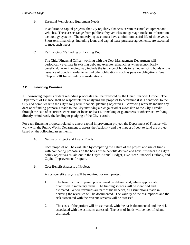#### B. Essential Vehicle and Equipment Needs

In addition to capital projects, the City regularly finances certain essential equipment and vehicles. These assets range from public safety vehicles and garbage trucks to information technology systems. The underlying asset must have a minimum useful life of three years. Short-term financings, including loans and capital lease purchase agreements, are executed to meet such needs.

#### C. Refinancings/Refunding of Existing Debt

The Chief Financial Officer working with the Debt Management Department will periodically evaluate its existing debt and execute refinancings when economically beneficial. A refinancing may include the issuance of bonds to refund existing bonds or the issuance of bonds in order to refund other obligations, such as pension obligations. See Chapter VIII for refunding considerations.

#### <span id="page-7-0"></span>*1.2 Financing Priorities*

All borrowing requests or debt refunding proposals shall be reviewed by the Chief Financial Officer. The Department of Finance shall be responsible for analyzing the proposal to determine if it is beneficial to the City and complies with the City's long-term financial planning objectives. Borrowing requests include any debt or refunding proposals made to the City involving a pledge or other extension of the City's credit through the sale of securities, execution of loans or leases, or making of guarantees or otherwise involving directly or indirectly the lending or pledging of the City's credit.

For each financing proposal related to a new capital improvement project, the Department of Finance will work with the Public Works Department to assess the feasibility and the impact of debt to fund the project based on the following assessments:

A. Nature of Project and Use of Funds

Each proposal will be evaluated by comparing the nature of the project and use of funds with competing proposals on the basis of the benefits derived and how it furthers the City's policy objectives as laid out in the City's Annual Budget, Five-Year Financial Outlook, and Capital Improvement Program.

B. Cost-Benefit Analysis of Project:

A cost-benefit analysis will be required for each project.

- 1. The benefits of a proposed project must be defined and, where appropriate, quantified in monetary terms. The funding sources will be identified and estimated. Where revenues are part of the benefits, all assumptions made in deriving the revenues will be documented. The validity of the assumptions and the risk associated with the revenue streams will be assessed.
- 2. The costs of the project will be estimated, with the basis documented and the risk associated with the estimates assessed. The uses of funds will be identified and estimated.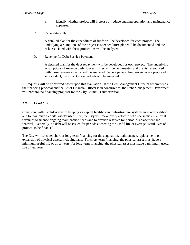- 3. Identify whether project will increase or reduce ongoing operation and maintenance expenses.
- C. Expenditure Plan

A detailed plan for the expenditure of funds will be developed for each project. The underlying assumptions of the project cost expenditure plan will be documented and the risk associated with these projections will be analyzed.

D. Revenue for Debt Service Payment

A detailed plan for the debt repayment will be developed for each project. The underlying assumptions of revenue cash flow estimates will be documented and the risk associated with these revenue streams will be analyzed. Where general fund revenues are proposed to service debt, the impact upon budgets will be assessed.

All requests will be prioritized based upon this evaluation. If the Debt Management Director recommends the financing proposal and the Chief Financial Officer is in concurrence, the Debt Management Department will prepare the financing proposal for the City Council's authorization.

#### <span id="page-8-0"></span>*1.3 Asset Life*

Consistent with its philosophy of keeping its capital facilities and infrastructure systems in good condition and to maximize a capital asset's useful life, the City will make every effort to set aside sufficient current revenues to finance ongoing maintenance needs and to provide reserves for periodic replacement and renewal. Generally, no debt will be issued for periods exceeding the useful life or average useful lives of projects to be financed.

The City will consider short or long-term financing for the acquisition, maintenance, replacement, or expansion of physical assets, including land. For short-term financing, the physical asset must have a minimum useful life of three years; for long-term financing, the physical asset must have a minimum useful life of ten years.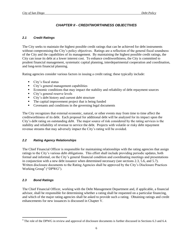# *CHAPTER II - CREDITWORTHINESS OBJECTIVES*

#### <span id="page-9-1"></span><span id="page-9-0"></span>*2.1 Credit Ratings*

The City seeks to maintain the highest possible credit ratings that can be achieved for debt instruments without compromising the City's policy objectives. Ratings are a reflection of the general fiscal soundness of the City and the capabilities of its management. By maintaining the highest possible credit ratings, the City can issue its debt at a lower interest cost. To enhance creditworthiness, the City is committed to prudent financial management, systematic capital planning, interdepartmental cooperation and coordination, and long-term financial planning.

Rating agencies consider various factors in issuing a credit rating; these typically include:

- City's fiscal status
- City's general management capabilities
- Economic conditions that may impact the stability and reliability of debt repayment sources
- City's general reserve levels
- City's debt history and current debt structure
- The capital improvement project that is being funded
- Covenants and conditions in the governing legal documents

The City recognizes that external economic, natural, or other events may from time to time affect the creditworthiness of its debt. Each proposal for additional debt will be analyzed for its impact upon the City's debt rating on outstanding debt. The major source of risk considered by the rating services is the stability and reliability of revenue to service the debt. Projects with volatile or risky debt repayment revenue streams that may adversely impact the City's rating will be avoided.

#### <span id="page-9-2"></span>*2.2 Rating Agency Relationships*

The Chief Financial Officer is responsible for maintaining relationships with the rating agencies that assign ratings to the City's various debt obligations. This effort shall include providing periodic updates, both formal and informal, on the City's general financial condition and coordinating meetings and presentations in conjunction with a new debt issuance when determined necessary (see sections 2.3, 5.6, and 5.7). Written disclosure documents to the Rating Agencies shall be approved by the City's Disclosure Practices Working Group<sup>4</sup> ("DPWG").

## <span id="page-9-3"></span>*2.3 Bond Ratings*

 $\overline{a}$ 

The Chief Financial Officer, working with the Debt Management Department and, if applicable, a financial advisor, shall be responsible for determining whether a rating shall be requested on a particular financing, and which of the major rating agencies shall be asked to provide such a rating. Obtaining ratings and credit enhancements for new issuances is discussed in Chapter V.

 $4$  The role of the DPWG in review and approval of disclosure documents is further discussed in Sections 6.3 and 6.4.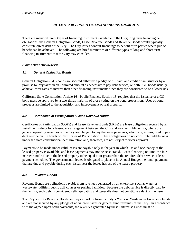## *CHAPTER III - TYPES OF FINANCING INSTRUMENTS*

<span id="page-10-0"></span>There are many different types of financing instruments available to the City; long term financing debt obligations like General Obligation Bonds, Lease Revenue Bonds and Revenue Bonds would typically constitute direct debt of the City. The City issues conduit financings to benefit third parties where public benefit can be achieved. The following are brief summaries of different types of long and short term financing instruments that the City may consider.

## <span id="page-10-1"></span>*DIRECT DEBT OBLIGATIONS*

## <span id="page-10-2"></span>*3.1 General Obligation Bonds*

General Obligation (GO) bonds are secured either by a pledge of full faith and credit of an issuer or by a promise to levy taxes in an unlimited amount as necessary to pay debt service, or both. GO bonds usually achieve lower rates of interest than other financing instruments since they are considered to be a lower risk.

California State Constitution, Article 16 - Public Finance, Section 18, requires that the issuance of a GO bond must be approved by a two-thirds majority of those voting on the bond proposition. Uses of bond proceeds are limited to the acquisition and improvement of real property.

#### <span id="page-10-3"></span>*3.2 Certificates of Participation / Lease Revenue Bonds*

Certificates of Participation (COPs) and Lease Revenue Bonds (LRBs) are lease obligations secured by an installment sale or by a lease-back arrangement between the City and another public entity, where the general operating revenues of the City are pledged to pay the lease payments, which are, in turn, used to pay debt service on the bonds or Certificates of Participation. These obligations do not constitute indebtedness under the state constitutional debt limitation and, therefore, are not subject to voter approval.

Payments to be made under valid leases are payable only in the year in which use and occupancy of the leased property is available, and lease payments may not be accelerated. Lease financing requires the fair market rental value of the leased property to be equal to or greater than the required debt service or lease payment schedule. The governmental lessee is obligated to place in its Annual Budget the rental payments that are due and payable during each fiscal year the lessee has use of the leased property.

## <span id="page-10-4"></span>*3.3 Revenue Bonds*

Revenue Bonds are obligations payable from revenues generated by an enterprise, such as water or wastewater utilities, public golf courses or parking facilities. Because the debt service is directly paid by the facility, such debt is considered self-liquidating and generally does not constitute a debt of the issuer.

The City's utility Revenue Bonds are payable solely from the City's Water or Wastewater Enterprise Funds and are not secured by any pledge of ad valorem taxes or general fund revenues of the City. In accordance with the agreed upon bond covenants, the revenues generated by these Enterprise Funds must be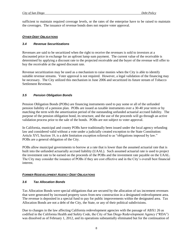sufficient to maintain required coverage levels, or the rates of the enterprise have to be raised to maintain the coverages. The issuance of revenue bonds does not require voter approval.

#### <span id="page-11-0"></span>*OTHER DEBT OBLIGATIONS*

#### <span id="page-11-1"></span>*3.4 Revenue Securitizations*

Revenues are said to be securitized when the right to receive the revenues is sold to investors at a discounted price in exchange for an upfront lump sum payment. The current value of the receivable is determined by applying a discount rate to the projected receivable and the buyer of the revenue will offer to buy the receivable at the agreed discount rate.

Revenue securitization may be used as a mechanism to raise monies when the City is able to identify suitable revenue streams. Voter approval is not required. However, a legal validation of the financing may be necessary. The City utilized this mechanism in June 2006 and securitized its future stream of Tobacco Settlement Revenues.

#### <span id="page-11-2"></span>*3.5 Pension Obligation Bonds*

Pension Obligation Bonds (POBs) are financing instruments used to pay some or all of the unfunded pension liability of a pension plan. POBs are issued as taxable instruments over a 30-40 year term or by matching the term with the amortization period of the outstanding unfunded actuarial accrued liability. The purpose of the pension obligation bond, its structure, and the use of the proceeds will go through an active validation process prior to the sale of the bonds. POBs are not subject to voter approval.

In California, municipal and county POBs have traditionally been issued under the local agency refunding law and considered valid without a vote under a judicially created exception to the State Constitution: Article XVI, Section 18, is a debt limitation exception referred to as "obligations imposed by law." POBs are a general obligation of the City.

POBs allow municipal governments to borrow at a rate that is lower than the assumed actuarial rate that is built into the unfunded actuarially accrued liability (UAAL). Such assumed actuarial rate is used to project the investment rate to be earned on the proceeds of the POBs and the investment rate payable on the UAAL. The City may consider the issuance of POBs if they are cost effective and in the City's overall best financial interest.

#### <span id="page-11-3"></span>*FORMER REDEVELOPMENT AGENCY DEBT OBLIGATIONS*

#### <span id="page-11-4"></span>*3.6 Tax Allocation Bonds*

Tax Allocation Bonds were special obligations that are secured by the allocation of tax increment revenues that were generated by increased property taxes from new construction in a designated redevelopment area. The revenue is deposited in a special fund to pay for public improvements within the designated area. Tax Allocation Bonds are not a debt of the City, the State, or any of their political subdivisions.

Due to changes in the law affecting California redevelopment agencies with the passage of ABX1 26 as codified in the California Health and Safety Code, the City of San Diego Redevelopment Agency ("RDA") was dissolved as of February 1, 2012, and its operations substantially eliminated but for the continuation of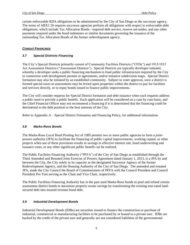certain enforceable RDA obligations to be administered by the City of San Diego as the successor agency. The terms of ABX1 26 requires successor agencies perform all obligations with respect to enforceable debt obligations, which include Tax Allocation Bonds - required debt service, reserve set-asides, and any other payments required under the bond indentures or similar documents governing the issuance of the outstanding Tax Allocation Bonds of the former redevelopment agency.

#### <span id="page-12-0"></span>*CONDUIT FINANCINGS*

#### <span id="page-12-1"></span>*3.7 Special Districts Financing*

The City's Special Districts primarily consist of Community Facilities Districts ("CFDs") and 1913/1915 Act Assessment Districts ("Assessment Districts"). Special Districts are typically developer initiated, whereby a developer seeks a public financing mechanism to fund public infrastructure required by the City in connection with development permits or agreements, and/or tentative subdivision maps. Special District formation may also be initiated by an established community. Subject to voter approval, once a district is formed special taxes or assessments may be levied upon properties within the district to pay for facilities and services directly, or to repay bonds issued to finance public improvements.

The City will consider requests for Special District formation and debt issuance when such requests address a public need or provide a public benefit. Each application will be considered on a case by case basis, and the Chief Financial Officer may not recommend a financing if it is determined that the financing could be detrimental to the debt position or the best interests of the City.

Refer to Appendix A – Special District Formation and Financing Policy, for additional information.

#### <span id="page-12-2"></span>*3.8 Marks-Roos Bonds*

The Marks-Roos Local Bond Pooling Act of 1985 permits two or more public agencies to form a jointpowers authority (JPA) to facilitate the financing of public capital improvements, working capital, or other projects when use of these provisions results in savings in effective interest rate, bond underwriting and issuance costs, or any other significant public benefit can be realized.

The Public Facilities Financing Authority ("PFFA") of the City of San Diego as established through the Third Amended and Restated Joint Exercise of Powers Agreement dated January 1, 2013, is a JPA by and between the City, the City solely in its capacity as the designated Successor Agency of the former Redevelopment Agency, and the Housing Authority of the City of San Diego. The amended and restated JPA, made the City Council the Board of Commissioners of PFFA with the Council President and Council President Pro Tem serving as the Chair and Vice Chair, respectively.

The Public Facilities Financing Authority has in the past used Marks-Roos bonds to pool and refund certain assessment district bonds to maximize property owner savings by transforming the existing non-rated landsecured debt into insured revenue bond debt.

#### <span id="page-12-3"></span>*3.9 Industrial Development Bonds*

Industrial Development Bonds (IDBs) are securities issued to finance the construction or purchase of industrial, commercial or manufacturing facilities to be purchased by or leased to a private user. IDBs are backed by the credit of the private user and generally are not considered liabilities of the governmental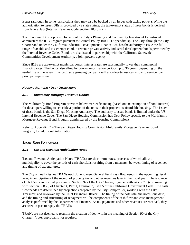issuer (although in some jurisdictions they may also be backed by an issuer with taxing power). While the authorization to issue IDBs is provided by a state statute, the tax-exempt status of these bonds is derived from federal law (Internal Revenue Code Section 103(b) (2)).

The Economic Development Division of the City's Planning and Community Investment Department administers the IDB Program pursuant to Council Policy 100-12 (Appendix B). The City, through the City Charter and under the California Industrial Development Finance Act, has the authority to issue the full range of taxable and tax-exempt conduit revenue private activity industrial development bonds permitted by the Internal Revenue Code. Bonds are also issued in partnership with the California Statewide Communities Development Authority, a joint powers agency.

Since IDBs are tax-exempt municipal bonds, interest rates are substantially lower than commercial financing rates. The bonds also allow long-term amortization periods up to 30 years (depending on the useful life of the assets financed), so a growing company will also devote less cash-flow to service loan principal repayment.

#### <span id="page-13-0"></span>*HOUSING AUTHORITY DEBT OBLIGATIONS*

#### <span id="page-13-1"></span>*3.10 Multifamily Mortgage Revenue Bonds*

The Multifamily Bond Program provides below market financing (based on tax exemption of bond interest) for developers willing to set aside a portion of the units in their projects as affordable housing. The issuer of these bonds is the San Diego Housing Authority. The authority to issue bonds is limited under the US Internal Revenue Code. The San Diego Housing Commission has Debt Policy specific to the Multifamily Mortgage Revenue Bond Program administered by the Housing Commission).

Refer to Appendix C – The San Diego Housing Commission Multifamily Mortgage Revenue Bond Program, for additional information.

#### <span id="page-13-2"></span>*SHORT-TERM BORROWINGS*

#### <span id="page-13-3"></span>*3.11 Tax and Revenue Anticipation Notes*

Tax and Revenue Anticipation Notes (TRANs) are short-term notes, proceeds of which allow a municipality to cover the periods of cash shortfalls resulting from a mismatch between timing of revenues and timing of expenditures.

The City annually issues TRANs each June to meet General Fund cash flow needs in the upcoming fiscal year, in anticipation of the receipt of property tax and other revenues later in the fiscal year. The issuance of TRANs is authorized pursuant to Section 92 of the City Charter, together with article 7.6 (commencing with section 53850) of Chapter 4, Part 1, Division 2, Title 5 of the California Government Code. The cash flow needs are determined by projections prepared by the City Comptroller, working with the City Treasurer, and reviewed by the Chief Financial Officer. The timing of the note sale, the notes' due date, and the timing and structuring of repayment will be components of the cash flow and cash management analysis performed by the Department of Finance. As tax payments and other revenues are received, they are used in part to repay the TRANs.

TRANs are not deemed to result in the creation of debt within the meaning of Section 90 of the City Charter. Voter approval is not required.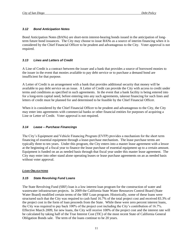#### <span id="page-14-0"></span>*3.12 Bond Anticipation Notes*

Bond Anticipation Notes (BANs) are short-term interest-bearing bonds issued in the anticipation of longterm future bond issuances. The City may choose to issue BANs as a source of interim financing when it is considered by the Chief Financial Officer to be prudent and advantageous to the City. Voter approval is not required.

#### <span id="page-14-1"></span>*3.13 Lines and Letters of Credit*

A Line of Credit is a contract between the issuer and a bank that provides a source of borrowed monies to the issuer in the event that monies available to pay debt service or to purchase a demand bond are insufficient for that purpose.

A Letter of Credit is an arrangement with a bank that provides additional security that money will be available to pay debt service on an issue. A Letter of Credit can provide the City with access to credit under terms and conditions as specified in such agreements. In the event that a bank facility is being entered into for a long-term capital need, before entering into any such agreements, takeout financing for such lines and letters of credit must be planned for and determined to be feasible by the Chief Financial Officer.

When it is considered by the Chief Financial Officer to be prudent and advantageous to the City, the City may enter into agreements with commercial banks or other financial entities for purposes of acquiring a Line or Letter of Credit. Voter approval is not required.

#### <span id="page-14-2"></span>*3.14 Lease – Purchase Financings*

The City's Equipment and Vehicle Financing Program (EVFP) provides a mechanism for the short term financing of essential equipment through a lease-purchase mechanism. The lease purchase terms are typically three to ten years. Under this program, the City enters into a master lease agreement with a lessor at the beginning of a fiscal year to finance the lease purchase of essential equipment up to a certain amount. Equipment is funded on an as needed basis through that fiscal year under this master lease agreement. The City may enter into other stand alone operating leases or lease purchase agreements on an as needed basis without voter approval.

#### <span id="page-14-3"></span>*LOAN OBLIGATIONS*

#### <span id="page-14-4"></span>*3.15 State Revolving Fund Loans*

The State Revolving Fund (SRF) loan is a low interest loan program for the construction of water and wastewater infrastructure projects. In 2009 the California State Water Resources Control Board (State Water Board) modified certain terms of the SRF Loan program. Historically, some of these loans were structured such that the City was required to cash fund 16.7% of the total project cost and received 83.3% of the project cost in the form of loan proceeds from the State. While these were zero percent interest loans, the City was required to pay back 100% of the project cost including the City's contribution of 16.7%. Effective March 2009, for new loans, the City will receive 100% of the project cost and the interest rate will be calculated by taking half of the True Interest Cost (TIC) of the most recent State of California General Obligation Bonds sale. The term of the loans continue to be 20 years.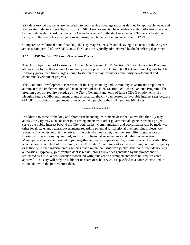SRF debt service payments are factored into debt service coverage ratios as defined by applicable water and wastewater indentures (see Section 4.3) and SRF loan covenants. In accordance with notifications received by the State Water Board, commencing Calendar Year 2010, the debt service on SRF loans is treated on parity with the senior bond obligations requiring maintenance of a coverage ratio of 120%.

Compared to traditional bond financing, the City may realize substantial savings as a result of the 20-year amortization period of the SRF Loans. The loans are typically administered by the benefiting department.

#### <span id="page-15-0"></span>*3.16 HUD Section 108 Loan Guarantee Program*

The U. S. Department of Housing and Urban Development (HUD) Section 108 Loan Guarantee Program allows cities to use their annual Community Development Block Grant (CDBG) entitlement grants to obtain federally guaranteed funds large enough to stimulate or pay for major community development and economic development projects.

The Economic Development Department of the City Planning and Community Investments Department administers the implementation and management of the HUD Section 108 Loan Guarantee Program. The program does not require a pledge of the City's General Fund, only of future CDBG entitlements. By pledging future CDBG entitlement grants as security, the City can borrow at favorable interest rates because of HUD's guarantee of repayment to investors who purchase the HUD Section 108 Notes.

#### \*\*\*\*\*\*\*\*\*\*\*\*\*\*\*

In addition to some of the long and short term financing instruments described above that the City may access, the City may also consider joint arrangements with other governmental agencies when a project serves the public interest beyond the City boundaries. Communication and coordination will be made with other local, state, and federal governments regarding potential jurisdictional overlap, joint projects, tax issues, and other issues that may arise. If the potential does exist, then the possibility of grants or cost sharing will be explored, quantified, and specific financial arrangements and liabilities negotiated. Municipal issuers are authorized to join together to create a separate entity, a Joint Powers Authority (JPA), to issue bonds on behalf of the municipality. The City Council may sit as the governing body of the agency or authority. Other governmental agencies that a municipal issuer can jointly issue bonds include housing authorities. Typically, joint venture debt is repaid through revenues generated by the project and if structured as a JPA, a debt issuance associated with joint venture arrangements does not require voter approval. The City will only be liable for its share of debt service, as specified in a contract executed in connection with the joint venture debt.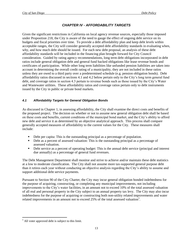# *CHAPTER IV - AFFORDABILITY TARGETS*

<span id="page-16-0"></span>Given the significant restrictions in California on local agency revenue sources, especially those imposed under Proposition 218, the City is aware of the need to gauge the effect of ongoing debt service on its budgets and fiscal priorities over time. To provide a debt affordability plan and keep debt levels within acceptable ranges, the City will consider generally accepted debt affordability standards in evaluating when, why, and how much debt should be issued. For each new debt proposal, an analysis of these debt affordability standards will be included in the financing plan brought forward for City Council consideration. Guided by rating agency recommendations, long term debt obligations incorporated in debt ratios include general obligation debt and general fund backed obligations like lease revenue bonds and certificates of participation. While other long term liabilities like unfunded pension liabilities are taken into account in determining the overall credit rating of a municipality, they are not included in these ratios unless they are owed to a third party over a predetermined schedule (e.g. pension obligation bonds). Debt affordability ratios discussed in sections 4.1 and 4.2 below pertain only to the City's long term general fund debt, and coverage ratios in section 4.3 pertain to revenue bonds such as those issued by the City's Water and Wastewater utilities. These affordability ratios and coverage ratios pertain only to debt instruments issued by the City in public or private bond markets.

## <span id="page-16-1"></span>*4.1 Affordability Targets for General Obligation Bonds*

As discussed in Chapter 1, in assessing affordability, the City shall examine the direct costs and benefits of the proposed project. The decision on whether or not to assume new general obligation debt shall be based on these costs and benefits, current conditions of the municipal bond market, and the City's ability to afford new debt and service it as determined by an objective analytical approach. This process shall compare generally accepted measures of affordability to the current values for the City. These measures shall include:

- Debt per capita: This is the outstanding principal as a percentage of population.
- Debt as a percent of assessed valuation: This is the outstanding principal as a percentage of assessed valuation.
- Debt service as a percent of operating budget: This is the annual debt service (principal and interest due annually) as a percentage of general fund revenues.

The Debt Management Department shall monitor and strive to achieve and/or maintain these debt statistics at a low to moderate classification. The City shall not assume more tax-supported general purpose debt than it retires each year without conducting an objective analysis regarding the City's ability to assume and support additional debt service payments.

Pursuant to Section 90 of the City Charter, the City may incur general obligation bonded indebtedness for the purpose of acquiring, constructing, or completing any municipal improvements, not including improvements to the City's water facilities, in an amount not to exceed 10% of the total assessed valuation of all real and personal property in the City subject to an annual property tax levy. The City may also incur indebtedness for the purpose of acquiring or constructing both non-utility related improvements and water related improvements in an amount not to exceed 25% of the total assessed valuation<sup>5</sup>.

 $\overline{a}$ 

 $<sup>5</sup>$  All voter approved debt is subject to this limit.</sup>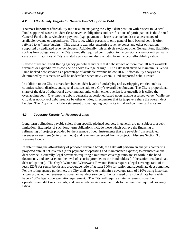#### <span id="page-17-0"></span>*4.2 Affordability Targets for General Fund-Supported Debt*

The most important affordability ratio used in analyzing the City's debt position with respect to General Fund supported securities' debt (lease revenue obligations and certifications of participation) is the Annual General Fund debt service/lease payment (e.g., payment on lease revenue bonds) as a percentage of available revenue or expenditures. This ratio, which pertains to only general fund backed debt, is often referred to as "lease burden." This analysis excludes enterprise revenue bonds and other obligations supported by dedicated revenue pledges. Additionally, this analysis excludes other General Fund liabilities such as loan obligations or the City's annually required contribution to the pension system or retiree health care costs. Liabilities of City's related agencies are also excluded from the debt affordability ratios.

Review of recent Credit Rating agency guidelines indicate that debt service of more than 10% of available revenues or expenditures is considered above average or high. The City shall strive to maintain its General Fund backed debt service as a percentage of available revenue below 10%. Affordability analysis as determined by this measure will be undertaken when new General-Fund supported debt is issued.

In addition to the City's direct debt burden, debt levels of underlying and overlapping entities such as counties, school districts, and special districts add to a City's overall debt burden. The City's proportional share of the debt of other local governmental units which either overlap it or underlie it is called the overlapping debt. Overlapping debt is generally apportioned based upon relative assessed value. While the City does not control debt issuance by other entities, it recognizes that its taxpayers share the overall debt burden. The City shall include a statement of overlapping debt in its initial and continuing disclosure.

#### <span id="page-17-1"></span>*4.3 Coverage Targets for Revenue Bonds*

Long-term obligations payable solely from specific pledged sources, in general, are not subject to a debt limitation. Examples of such long-term obligations include those which achieve the financing or refinancing of projects provided by the issuance of debt instruments that are payable from restricted revenues or user fees (enterprise funds) and revenues generated from a project. Also see Section 3.3, Revenue Bonds.

In determining the affordability of proposed revenue bonds, the City will perform an analysis comparing projected annual net revenues (after payment of operating and maintenance expense) to estimated annual debt service. Generally, legal covenants requiring a minimum coverage ratio are set forth in the bond documents, and are based on the level of security provided to the bondholders (of the senior or subordinate debt obligations). The City's Water and Wastewater Revenue Bonds require a legal coverage ratio of at least 120% for senior bonds and a coverage ratio of at least 100% for senior and subordinate debt combined. Per the rating agency guidelines, the City shall strive to maintain a coverage ratio of 110% using historical and/or projected net revenues to cover annual debt service for bonds issued on a subordinate basis which have a 100% legal coverage ratio requirement. The City will require a rate increase to cover both operations and debt service costs, and create debt service reserve funds to maintain the required coverage ratios.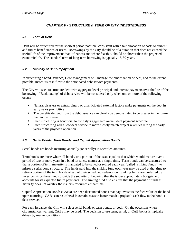# *CHAPTER V - STRUCTURE & TERM OF CITY INDEBTEDNESS*

#### <span id="page-18-1"></span><span id="page-18-0"></span>*5.1 Term of Debt*

Debt will be structured for the shortest period possible, consistent with a fair allocation of costs to current and future beneficiaries or users. Borrowings by the City should be of a duration that does not exceed the useful life of the improvement that it finances and where feasible, should be shorter than the projected economic life. The standard term of long-term borrowing is typically 15-30 years.

## <span id="page-18-2"></span>*5.2 Rapidity of Debt Repayment*

In structuring a bond issuance, Debt Management will manage the amortization of debt, and to the extent possible, match its cash flow to the anticipated debt service payments.

The City will seek to structure debt with aggregate level principal and interest payments over the life of the borrowing. "Backloading" of debt service will be considered only when one or more of the following occur:

- Natural disasters or extraordinary or unanticipated external factors make payments on the debt in early years prohibitive
- The benefits derived from the debt issuance can clearly be demonstrated to be greater in the future than in the present
- Such structuring is beneficial to the City's aggregate overall debt payment schedule
- Such structuring will allow debt service to more closely match project revenues during the early years of the project's operation

## <span id="page-18-3"></span>*5.3 Serial Bonds, Term Bonds, and Capital Appreciation Bonds*

Serial bonds are bonds maturing annually (or serially) in specified amounts.

Term bonds are those where all bonds, or a portion of the issue equal to that which would mature over a period of two or more years in a bond issuance, mature at a single time. Term bonds can be structured so that a portion of term maturity is mandated to be called or retired each year (called "sinking funds") to mirror a serial bond structure. The funds paid into the sinking fund each year may be used at that time to retire a portion of the term bonds ahead of their scheduled redemption. Sinking funds are preferred by investors since these funds provide the security of knowing that the issuer appropriately budgets and accounts for its expected future payments. The sinking fund also ensures that the payment of funds at maturity does not overtax the issuer's resources at that time.

Capital Appreciation Bonds (CABs) are deep discounted bonds that pay investors the face value of the bond upon maturing. CABs can be utilized in certain cases to better match a project's cash flow to the bond's debt service.

For each issuance, the City will select serial bonds or term bonds, or both. On the occasions where circumstances warrant, CABs may be used. The decision to use term, serial, or CAB bonds is typically driven by market conditions.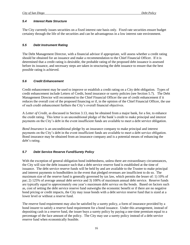#### <span id="page-19-0"></span>*5.4 Interest Rate Structure*

The City currently issues securities on a fixed interest rate basis only. Fixed rate securities ensure budget certainty through the life of the securities and can be advantageous in a low interest rate environment.

#### <span id="page-19-1"></span>*5.5 Debt Instrument Rating*

The Debt Management Director, with a financial advisor if appropriate, will assess whether a credit rating should be obtained for an issuance and make a recommendation to the Chief Financial Officer. If it is determined that a credit rating is desirable, the probable rating of the proposed debt issuance is assessed before its issuance, and necessary steps are taken in structuring the debt issuance to ensure that the best possible rating is achieved.

#### <span id="page-19-2"></span>*5.6 Credit Enhancement*

Credit enhancement may be used to improve or establish a credit rating on a City debt obligation. Types of credit enhancement include Letters of Credit, bond insurance or surety policies (see Section 5.7). The Debt Management Director will recommend to the Chief Financial Officer the use of credit enhancement if it reduces the overall cost of the proposed financing or if, in the opinion of the Chief Financial Officer, the use of such credit enhancement furthers the City's overall financial objectives.

A *Letter of Credit,* as discussed in Section 3.13, may be obtained from a major bank, for a fee, to enhance the credit rating. This letter is an unconditional pledge of the bank's credit to make principal and interest payments on the City's debt in the event insufficient funds are available to meet a debt service obligation.

*Bond Insurance* is an unconditional pledge by an insurance company to make principal and interest payments on the City's debt in the event insufficient funds are available to meet a debt service obligation. Bond insurance may be obtained from an insurance company and is a potential means of enhancing the debt's rating.

## <span id="page-19-3"></span>*5.7 Debt Service Reserve Fund/Surety Policy*

With the exception of general obligation bond indebtedness, unless there are extraordinary circumstances, the City will size the debt issuance such that a debt service reserve fund is established at the time of issuance. The debt service reserve funds will be held by and are available to the Trustee to make principal and interest payments to bondholders in the event that pledged revenues are insufficient to do so. The maximum size of the reserve fund is generally governed by tax law, which permits the lesser of: 1) 10% of par; 2) 125% of average annual debt service and 3) 100% of maximum annual debt service. Reserve funds are typically equal to approximately one year's maximum debt service on the bonds. Based on factors such as, cost of setting the debt service reserve fund outweighs the economic benefit or if there are no negative bond pricing or credit impacts, the City may issue bonds with a debt service reserve fund that is sized at a lower level or without a reserve fund.

The reserve fund requirement may also be satisfied by a surety policy, a form of insurance provided by a bond insurer to satisfy a reserve fund requirement for a bond issuance. Under this arrangement, instead of depositing cash in a reserve fund, the issuer buys a surety policy by paying a one-time premium equal to a percentage of the face amount of the policy. The City may use a surety policy instead of a debt service reserve fund when economically feasible.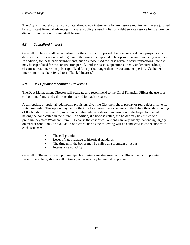The City will not rely on any uncollateralized credit instruments for any reserve requirement unless justified by significant financial advantage. If a surety policy is used in lieu of a debt service reserve fund, a provider distinct from the bond insurer shall be used.

#### <span id="page-20-0"></span>*5.8 Capitalized Interest*

Generally, interest shall be capitalized for the construction period of a revenue-producing project so that [debt service](http://www.msrb.org/MSRB1/glossary/view_def.asp?param=DEBTSERVICE) expense does not begin until the project is expected to be operational and producing revenues. In addition, for lease back arrangements, such as those used for lease revenue bond transactions, interest may be capitalized for the construction period, until the asset is operational. Only under extraordinary circumstances, interest may be capitalized for a period longer than the construction period. Capitalized interest may also be referred to as "funded interest."

#### <span id="page-20-1"></span>*5.9 Call Options/Redemption Provisions*

The Debt Management Director will evaluate and recommend to the Chief Financial Officer the use of a call option, if any, and call protection period for each issuance.

A call option, or optional redemption provision, gives the City the right to prepay or retire debt prior to its stated maturity. This option may permit the City to achieve interest savings in the future through refunding of the bonds. Often the City must pay a higher interest rate as compensation to the buyer for the risk of having the bond called in the future. In addition, if a bond is called, the holder may be entitled to a premium payment ("call premium"). Because the cost of call options can vary widely, depending largely on market conditions, an evaluation of factors such as the following will be conducted in connection with each issuance:

- The call premium
- **Level of rates relative to historical standards**
- The time until the bonds may be called at a premium or at par
- **Interest rate volatility**

Generally, 30-year tax exempt municipal borrowings are structured with a 10-year call at no premium. From time to time, shorter call options (6-9 years) may be used at no premium.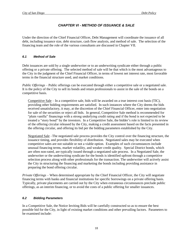## *CHAPTER VI - METHOD OF ISSUANCE & SALE*

<span id="page-21-0"></span>Under the direction of the Chief Financial Officer, Debt Management will coordinate the issuance of all debt, including issuance size, debt structure, cash flow analysis, and method of sale. The selection of the financing team and the role of the various consultants are discussed in Chapter VII.

#### <span id="page-21-1"></span>*6.1 Method of Sale*

Debt issuances are sold by a single underwriter or to an underwriting syndicate either through a public offering or a private offering. The selected method of sale will be that which is the most advantageous to the City in the judgment of the Chief Financial Officer, in terms of lowest net interest rate, most favorable terms in the financial structure used, and market conditions.

*Public Offerings* – Public offerings can be executed through either a competitive sale or a negotiated sale. It is the policy of the City to sell its bonds and retain professionals to assist in the sale of the bonds on a competitive basis.

Competitive Sale – In a competitive sale, bids will be awarded on a true interest cost basis (TIC), providing other bidding requirements are satisfied. In such instances where the City deems the bids received unsatisfactory, it may, at the discretion of the Chief Financial Officer, enter into negotiation for sale of the securities or reject all bids. In general, Competitive Sale method is recommended for "plain vanilla" financings with a strong underlying credit rating and if the bond is not expected to be treated a "story bond" by the investors. In a Competitive Sale, the bidder's role is limited to its review of the offering circular released by the City, making a credit assessment based on the facts presented in the offering circular, and offering its bid per the bidding parameters established by the City.

Negotiated Sale –The negotiated sale process provides the City control over the financing structure, the issuance timing, and provides flexibility of distribution. Negotiated sales may be executed when competitive sales are not suitable or not a viable option. Examples of such circumstances include unusual financing terms, market volatility, and weaker credit quality. Special District bonds, which are often non-rated, are typically issued through a negotiated sale process. In a Negotiated Sale, the underwriter or the underwriting syndicate for the bonds is identified upfront through a competitive selection process along with other professionals for the transaction. The underwriter will actively assist the City in structuring the financing and marketing the bonds including providing assistance in preparing the bond offering circular.

*Private Offerings* – When determined appropriate by the Chief Financial Officer, the City will negotiate financing terms with banks and financial institutions for specific borrowings on a private offering basis. Typically, private placements are carried out by the City when extraneous circumstances preclude public offerings, as an interim financing, or to avoid the costs of a public offering for smaller issuances.

## <span id="page-21-2"></span>*6.2 Bidding Parameters*

In a Competitive Sale, the Notice Inviting Bids will be carefully constructed so as to ensure the best possible bid for the City, in light of existing market conditions and other prevailing factors. Parameters to be examined include: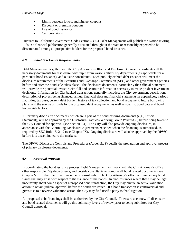- **EXECUTE:** Limits between lowest and highest coupons
- Discount or premium coupons
- Use of bond insurance
- **Call provisions**

Pursuant to California Government Code Section 53693, Debt Management will publish the Notice Inviting Bids in a financial publication generally circulated throughout the state or reasonably expected to be disseminated among all prospective bidders for the proposed bond issuance.

## <span id="page-22-0"></span>*6.3 Initial Disclosure Requirements*

Debt Management, together with the City Attorney's Office and Disclosure Counsel, coordinates all the necessary documents for disclosure, with input from various other City departments (as applicable for a particular bond issuance) and outside consultants. Each publicly offered debt issuance will meet the disclosure requirements of the Securities and Exchange Commission (SEC) and other government agencies before and after the bond sale takes place. The disclosure documents, particularly the Official Statement, will provide the potential investor with full and accurate information necessary to make prudent investment decisions. Information for City backed transactions generally includes: the City government description; description of project being financed, annual financial data and financial statements in appendices, various liabilities; tax base, current debt burden, history of tax collection and bond repayment, future borrowing plans, and the source of funds for the proposed debt repayments, as well as specific bond data and bond holder risk factors.

All primary disclosure documents, which are a part of the bond offering documents (e.g., Official Statement), will be approved by the Disclosure Practices Working Group ("DPWG") before being taken to the City Council for approval (see Section 6.4). The City will also provide ongoing disclosure, in accordance with the Continuing Disclosure Agreements executed when the financing is authorized, as required by SEC Rule 15c2-12 (see Chapter IX). Ongoing disclosure will also be approved by the DPWG before it is disseminated to the markets.

The DPWG Disclosure Controls and Procedures (Appendix F) details the preparation and approval process of primary disclosure documents.

#### <span id="page-22-1"></span>*6.4 Approval Process*

In coordinating the bond issuance process, Debt Management will work with the City Attorney's office, other responsible City departments, and outside consultants to compile all bond related documents (see Chapter VII for the role of various outside consultants). The City Attorney's office will assess any legal issues that may arise with respect to the issuance of the bonds. In circumstances where there may be legal uncertainty about some aspect of a proposed bond transaction, the City may pursue an active validation action to obtain judicial approval before the bonds are issued. If a bond transaction is controversial and gives rise to a reverse validation action, the City may find itself a party to that litigation.

All proposed debt financings shall be authorized by the City Council. To ensure accuracy, all disclosure and bond related documents will go through many levels of review prior to being submitted for City Council approval.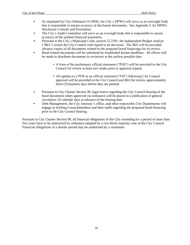- As stipulated by City Ordinance O-19942, the City's DPWG will serve as an oversight body that is responsible to ensure accuracy of disclosure documents. See Appendix F for DPWG Disclosure Controls and Procedures.
- The City's Audit Committee will serve as an oversight body that is responsible to ensure accuracy of the audited financial statements.
- Pursuant to the City's Municipal Code, section 22.2301, the Independent Budget Analyst ("IBA") assists the City Council with regard to its decisions. The IBA will be provided advance copies of all documents related to the proposed bond financings for its review.
- Bond related documents will be submitted by established docket deadlines. All efforts will be made to distribute documents to reviewers at the earliest possible date.
	- **•** A form of the preliminary official statement ("POS") will be provided to the City Council for review at least two weeks prior to approval request.
	- All updates to a POS or an official statement ("OS") following City Council approval will be provided to the City Council and IBA for review approximately three (3) business days before they are printed.
- **Pursuant to City Charter Section 99, legal notice regarding the City Council hearing of the** bond documents when approved via ordinance will be placed in a publication of general circulation 10 calendar days in advance of the hearing date.
- Debt Management, the City Attorney's office, and other responsible City Departments will engage in briefing Councilmembers and their staffs regarding the proposed bond financing prior to the City Council hearing.

Pursuant to City Charter Section 99, all financial obligations of the City extending for a period of more than five years have to be authorized by ordinance adopted by a two-thirds majority vote of the City Council. Financial obligations of a shorter period may be authorized by a resolution.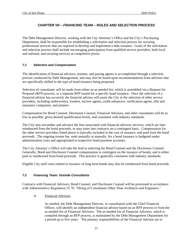`

## <span id="page-24-0"></span>*CHAPTER VII – FINANCING TEAM – ROLES AND SELECTION PROCESS*

The Debt Management Director, working with the City Attorney's Office and the City's Purchasing Department, shall be responsible for establishing a solicitation and selection process for securing professional services that are required to develop and implement a debt issuance. Goals of the solicitation and selection process shall include encouraging participation from qualified service providers, both local and national, and securing services at competitive prices.

#### <span id="page-24-1"></span>*7.1 Selection and Compensation*

The identification of financial advisors, trustees, and paying agents is accomplished through a selection process conducted by Debt Management, and may also be based upon recommendations from advisors that are specifically skilled in the type of bond issuance being proposed.

Selection of consultants will be made from either an as-needed list, which is assembled via a Request for Proposal (RFP) process, or a separate RFP issued for a specific bond issuance. Once the selection of a financial advisor has occurred, the financial advisor will assist the City in the selection of other service providers, including underwriters, trustees, escrow agents, credit enhancers, verification agents, title and insurance companies, and printers.

Compensation for Bond Counsel, Disclosure Counsel, Financial Advisors, and other consultants will be as low as possible, given desired qualification levels, and consistent with industry standards.

The City may encumber and advance the fees associated with financial advisory services, which are later reimbursed from the bond proceeds, or may enter into contracts on a contingent basis. Compensation for the other service providers listed above is typically included in the cost of issuance, and paid from the bond proceeds. The ongoing trustee fee, semi annually or annually, for a bond issuance is budgeted under administration costs and appropriated in respective bond payment accounts.

The City Attorney's Office will take the lead in selecting the Bond Counsel and the Disclosure Counsel. Generally, Bond and Disclosure Counsel compensation is contingent on the issuance of bonds, and is either paid or reimbursed from bond proceeds. This practice is generally consistent with industry standards.

Eligible City staff costs related to issuance of long term bonds may also be reimbursed from bond proceeds.

#### <span id="page-24-2"></span>*7.2 Financing Team: Outside Consultants*

Contracts with Financial Advisors, Bond Counsel, and Disclosure Counsel will be processed in accordance with Administrative Regulation 25.70, "Hiring of Consultants Other Than Architects and Engineers."

A. Financial Advisors

As needed, the Debt Management Director, in consultation with the Chief Financial Officer, will identify an independent financial advisor based on an RFP process or from the as-needed list of Financial Advisors. The as-needed list of Financial Advisors, which is compiled through an RFP process, is maintained by the Debt Management Department for a period up to five years. The primary responsibilities of the Financial Advisor are to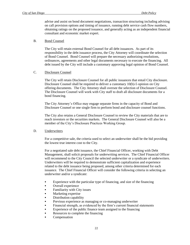advise and assist on bond document negotiations, transaction structuring including advising on call provision options and timing of issuance, running debt service cash flow numbers, obtaining ratings on the proposed issuance, and generally acting as an independent financial consultant and economic market expert.

#### B. Bond Counsel

The City will retain external Bond Counsel for all debt issuances. As part of its responsibility in the debt issuance process, the City Attorney will coordinate the selection of Bond Counsel. Bond Counsel will prepare the necessary authorizing resolutions, ordinances, agreements and other legal documents necessary to execute the financing. All debt issued by the City will include a customary approving legal opinion of Bond Counsel.

#### C. Disclosure Counsel

The City will retain Disclosure Counsel for all public issuances that entail City disclosure. Disclosure Counsel shall be required to deliver a customary 10(b)-5 opinion on City offering documents. The City Attorney shall oversee the selection of Disclosure Counsel. The Disclosure Counsel will work with City staff to draft all disclosure documents for a bond financing.

The City Attorney's Office may engage separate firms in the capacity of Bond and Disclosure Counsel or one single firm to perform bond and disclosure counsel functions.

The City also retains a General Disclosure Counsel to review the City materials that are to reach investors or the securities markets. The General Disclosure Counsel will also be a member of the City's Disclosure Practices Working Group.

#### D. Underwriters

For a competitive sale, the criteria used to select an underwriter shall be the bid providing the lowest true interest cost to the City.

For a negotiated sale debt issuance, the Chief Financial Officer, working with Debt Management, shall solicit proposals for underwriting services. The Chief Financial Officer will recommend to the City Council the selected underwriter or a syndicate of underwriters. Underwriters will be required to demonstrate sufficient capitalization and experience related to the debt issuance being proposed, among other criteria determined for each issuance. The Chief Financial Officer will consider the following criteria in selecting an underwriter and/or a syndicate:

- Experience with the particular type of financing, and size of the financing
- Overall experience
- Familiarity with City issues
- Marketing expertise
- Distribution capability
- Previous experience as managing or co-managing underwriter
- Financial strength, as evidenced by the firm's current financial statements
- Experience of the public finance team assigned to the financing
- Resources to complete the financing
- Compensation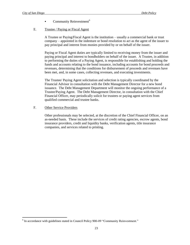$\overline{a}$ 

Community Reinvestment<sup>6</sup>

#### E. Trustee / Paying or Fiscal Agent

A Trustee or Paying/Fiscal Agent is the institution – usually a commercial bank or trust company – appointed in the indenture or bond resolution to act as the agent of the issuer to pay principal and interest from monies provided by or on behalf of the issuer.

Paying or Fiscal Agent duties are typically limited to receiving money from the issuer and paying principal and interest to bondholders on behalf of the issuer. A Trustee, in addition to performing the duties of a Paying Agent, is responsible for establishing and holding the funds and accounts relating to the bond issuance, including accounts for bond proceeds and revenues, determining that the conditions for disbursement of proceeds and revenues have been met, and, in some cases, collecting revenues, and executing investments.

The Trustee/ Paying Agent solicitation and selection is typically coordinated by the Financial Advisor in consultation with the Debt Management Director for a new bond issuance. The Debt Management Department will monitor the ongoing performance of a Trustee/Paying Agent. The Debt Management Director, in consultation with the Chief Financial Officer, may periodically solicit for trustees or paying agent services from qualified commercial and trustee banks.

#### F. Other Service Providers

Other professionals may be selected, at the discretion of the Chief Financial Officer, on an as-needed basis. These include the services of credit rating agencies, escrow agents, bond insurance providers, credit and liquidity banks, verification agents, title insurance companies, and services related to printing.

<sup>&</sup>lt;sup>6</sup> In accordance with guidelines stated in Council Policy 900-09 "Community Reinvestment."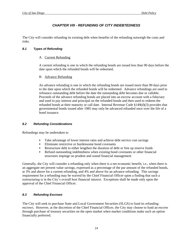# *CHAPTER VIII - REFUNDING OF CITY INDEBTEDNESS*

<span id="page-27-0"></span>The City will consider refunding its existing debt when benefits of the refunding outweigh the costs and risks.

#### <span id="page-27-1"></span>*8.1 Types of Refunding*

#### A. Current Refunding

A current refunding is one in which the refunding bonds are issued less than 90 days before the date upon which the refunded bonds will be redeemed.

#### B. Advance Refunding

An advance refunding is one in which the refunding bonds are issued more than 90 days prior to the date upon which the refunded bonds will be redeemed. Advance refundings are used to refinance outstanding debt before the date the outstanding debt becomes due or callable. Proceeds of the advance refunding bonds are placed into an escrow account with a fiduciary and used to pay interest and principal on the refunded bonds and then used to redeem the refunded bonds at their maturity or call date. Internal Revenue Code §149(d)(3) provides that governmental bonds issued after 1985 may only be advanced refunded once over the life of a bond issuance.

#### <span id="page-27-2"></span>*8.2 Refunding Considerations*

Refundings may be undertaken to

- Take advantage of lower interest rates and achieve debt service cost savings
- **Eliminate restrictive or burdensome bond covenants**
- Restructure debt to either lengthen the duration of debt or free up reserve funds
- Refund outstanding indebtedness when existing bond covenants or other financial structures impinge on prudent and sound financial management

Generally, the City will consider a refunding only when there is a net economic benefit; i.e., when there is an aggregate net present value savings, expressed as a percentage of the par amount of the refunded bonds, at 3% and above for a current refunding, and 4% and above for an advance refunding. This savings requirement for a refunding may be waived by the Chief Financial Officer upon a finding that such a restructuring is in the City's overall best financial interest. Exceptions shall be made only upon the approval of the Chief Financial Officer.

## <span id="page-27-3"></span>*8.3 Refunding Escrows*

The City will seek to purchase State and Local Government Securities (SLGS) to fund its refunding escrows. However, at the discretion of the Chief Financial Officer, the City may choose to fund an escrow through purchase of treasury securities on the open market when market conditions make such an option financially preferred.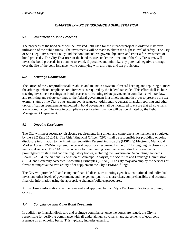## *CHAPTER IX – POST ISSUANCE ADMINISTRATION*

#### <span id="page-28-1"></span><span id="page-28-0"></span>*9.1 Investment of Bond Proceeds*

The proceeds of the bond sales will be invested until used for the intended project in order to maximize utilization of the public funds. The investments will be made to obtain the highest level of safety. The City of San Diego Investment Policy and the bond indentures govern objectives and criteria for investment of bond proceeds. The City Treasurer, or the bond trustees under the direction of the City Treasurer, will invest the bond proceeds in a manner to avoid, if possible, and minimize any potential negative arbitrage over the life of the bond issuance, while complying with arbitrage and tax provisions.

## <span id="page-28-2"></span>*9.2 Arbitrage Compliance*

The Office of the Comptroller shall establish and maintain a system of record keeping and reporting to meet the arbitrage rebate compliance requirements as required by the federal tax code. This effort shall include tracking investment earnings on bond proceeds, calculating rebate payments in compliance with tax law, and remitting any rebate earnings to the federal government in a timely manner in order to preserve the taxexempt status of the City's outstanding debt issuances. Additionally, general financial reporting and other tax certification requirements embodied in bond covenants shall be monitored to ensure that all covenants are in compliance. The ongoing compliance verification function will be coordinated by the Debt Management Department.

## <span id="page-28-3"></span>*9.3 Ongoing Disclosure*

The City will meet secondary disclosure requirements in a timely and comprehensive manner, as stipulated by the SEC Rule 15c2-12. The Chief Financial Officer (CFO) shall be responsible for providing ongoing disclosure information to the Municipal Securities Rulemaking Board's (MSRB's) Electronic Municipal Market Access (EMMA) system, the central depository designated by the SEC for ongoing disclosures by municipal issuers. The CFO is responsible for maintaining compliance with disclosure standards promulgated by state and national regulatory bodies, including the Government Accounting Standards Board (GASB), the National Federation of Municipal Analysts, the Securities and Exchange Commission (SEC), and Generally Accepted Accounting Principles (GAAP). The City may also employ the services of firms that improve the availability of or supplement the City's EMMA filings.

The City will provide full and complete financial disclosure to rating agencies, institutional and individual investors, other levels of government, and the general public to share clear, comprehensible, and accurate financial information using the appropriate channels/policies/procedures.

All disclosure information shall be reviewed and approved by the City's Disclosure Practices Working Group.

## <span id="page-28-4"></span>*9.4 Compliance with Other Bond Covenants*

In addition to financial disclosure and arbitrage compliance, once the bonds are issued, the City is responsible for verifying compliance with all undertakings, covenants, and agreements of each bond issuance on an ongoing basis. This typically includes ensuring: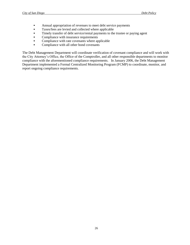- Annual appropriation of revenues to meet debt service payments
- Taxes/fees are levied and collected where applicable
- Timely transfer of debt service/rental payments to the trustee or paying agent
- Compliance with insurance requirements
- Compliance with rate covenants where applicable
- Compliance with all other bond covenants

The Debt Management Department will coordinate verification of covenant compliance and will work with the City Attorney's Office, the Office of the Comptroller, and all other responsible departments to monitor compliance with the aforementioned compliance requirements. In January 2006, the Debt Management Department implemented a Formal Centralized Monitoring Program (FCMP) to coordinate, monitor, and report ongoing compliance requirements.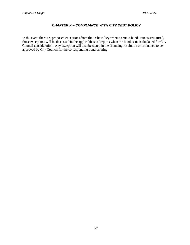## *CHAPTER X – COMPLIANCE WITH CITY DEBT POLICY*

<span id="page-30-0"></span>In the event there are proposed exceptions from the Debt Policy when a certain bond issue is structured, those exceptions will be discussed in the applicable staff reports when the bond issue is docketed for City Council consideration. Any exception will also be stated in the financing resolution or ordinance to be approved by City Council for the corresponding bond offering.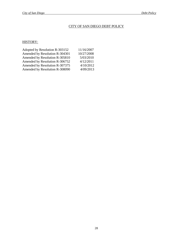## CITY OF SAN DIEGO DEBT POLICY

## HISTORY:

| Adopted by Resolution R-303152 | 11/16/2007 |
|--------------------------------|------------|
| Amended by Resolution R-304301 | 10/27/2008 |
| Amended by Resolution R-305810 | 5/03/2010  |
| Amended by Resolution R-306752 | 4/12/2011  |
| Amended by Resolution R-307375 | 4/10/2012  |
| Amended by Resolution R-308090 | 4/09/2013  |
|                                |            |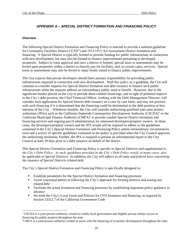## *APPENDIX A – SPECIAL DISTRICT FORMATION AND FINANCING POLICY*

#### <span id="page-32-1"></span><span id="page-32-0"></span>*Overview*

 $\overline{a}$ 

The following Special District Formation and Financing Policy is enacted to provide a uniform guideline for Community Facilities District ("CFD") and 1913/1915 Act Assessment District formation and financing. A Special District is typically formed to provide funding for public infrastructure in connection with new development, but may also be formed to finance improvements pertaining to developed properties. Subject to voter approval and once a district is formed, special taxes or assessments may be levied upon properties within a district to directly pay for facilities, and, in certain cases, services. Special taxes or assessments may also be levied to repay bonds issued to finance public improvements.

The City expects that private developers should have primary responsibility for providing public infrastructure required in connection with new development. With this policy as a guideline, the City will continue to consider requests for Special District formation and debt issuance to finance such public infrastructure when the requests address an extraordinary public need or benefit. However, due to the significant burden placed on the City to provide these conduit financings, and in light of potential impacts to the City's debt position, the Chief Financial Officer, working with the Debt Management Director, will consider each application for Special District debt issuance on a case by case basis, and may not proceed with such financing if it is determined that the financing could be detrimental to the debt position or best interests of the City. Whenever feasible, the City will consider authorizing qualified state joint powers authorities (JPAs) such as the California Statewide Communities Development Authority (CSCDA)<sup>1</sup> or the California Municipal Finance Authority (CMFA)<sup>2</sup> to provide conduit Special District formation and financing services and ongoing parcel administration for interested developers/property owners. In these cases, the developers/property owners and the JPA would still be required to adhere to the guidelines contained in the City's Special District Formation and Financing Policy unless extraordinary circumstances exist and a waiver of specific guidelines contained in the policy is provided when the City Council approves the authorizing resolution. Further, the JPA is required to present an informational report to the City Council at least 30 days prior to a debt issuance on behalf of the district.

*This Special District Formation and Financing Policy is specific to Special Districts and supplemental to the City's Debt Policy. As such, guidelines provided in the City's Debt Policy would, in many cases, also be applicable to Special Districts. In addition, the City will adhere to all state and federal laws concerning the issuance of Special Districts related debt.*

The City's Special District Formation and Financing Policy is specifically designed to:

- Establish parameters for the Special District formation and financing processes
- Assist concerned parties in following the City's approach for forming districts and issuing any related debt
- Facilitate the actual formation and financing processes by establishing important policy guidance in advance
- Set forth the City's Local Goals and Policies for CFD formation and financing, as required by Section 53312.7 of the California Government Code

 $1 \text{CSCDA}$  is a joint powers authority created to enable local government and eligible private entities access to financing for public projects throughout the state.

 $2$ CMFA is a joint powers authority created to assist with the financing of economic development throughout the state.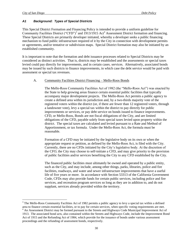$\overline{a}$ 

#### <span id="page-33-0"></span>*A1 Background: Types of Special Districts*

This Special District Formation and Financing Policy is intended to provide a uniform guideline for Community Facilities District ("CFD")<sup>3</sup> and 1913/1915 Act<sup>4</sup> Assessment District formation and financing. These Special Districts are primarily developer initiated, whereby a developer seeks a public financing mechanism to fund public infrastructure required of it by the City in connection with development permits or agreements, and/or tentative or subdivision maps. Special District formation may also be initiated by an established community.

It is important to note that the formation and debt issuance processes related to Special Districts may be considered as distinct activities. That is, districts may be established and the assessments or special taxes levied could pay directly for improvements, and in certain cases, services. Alternatively, associated bonds may be issued by such districts to finance improvements, in which case the debt service would be paid with assessment or special tax revenues.

#### A. Community Facilities District Financing – Mello-Roos Bonds

The Mello-Roos Community Facilities Act of 1982 (the "Mello-Roos Act") was enacted by the State to help growing areas finance certain essential public facilities that typically accompany major development projects. The Mello-Roos Act permits a public agency to create a defined area within its jurisdiction and, by a two-thirds majority vote of the registered voters within the district (or, if there are fewer than 12 registered voters, through a landowner vote), levy a special tax within the district to pay directly for public improvements or services, or pay debt service on bonds issued to finance improvements. CFD, or Mello-Roos, Bonds are not fiscal obligations of the City, and are limited obligations of the CFD, payable solely from special taxes levied upon property within the district. The special taxes are calculated and levied pursuant to a Rate and Method of Apportionment, or tax formula. Under the Mello-Roos Act, the formula must be reasonable.

Formation of a CFD may be initiated by the legislative body on its own or when the appropriate request or petition, as defined by the Mello-Roos Act, is filed with the City. Currently, there are no CFDs initiated by the City's legislative body. At the discretion of the CFO, the City may choose to self-initiate a CFD, and may give priority to the provision of public facilities and/or services benefiting the City to any CFD established by the City.

The financed public facilities must ultimately be owned and operated by a public entity, such as the City, and may include, among other things, parks, libraries, police and fire facilities, roadways, and water and sewer infrastructure improvements that have a useful life of five years or more. In accordance with Section 53313 of the California Government Code, CFDs may also provide funds for certain public services, including police and fire services, and recreation program services so long as they are in addition to, and do not supplant, services already provided within the territory.

<sup>&</sup>lt;sup>3</sup> The Mello-Roos Community Facilities Act of 1982 permits a public agency to levy a special tax within a defined area to finance certain essential facilities, or to pay for certain services, when specific voting requirements are met. <sup>4</sup> An Assessment District may be formed pursuant to the Streets and Highways Code Municipal Improvement Act of 1913. The associated bond acts, also contained within the Streets and Highways Code, include the Improvement Bond Act of 1915 and the Refunding Act of 1984, which provide for the issuance of bonds under various assessment proceedings and the refunding of assessment bonds, respectively.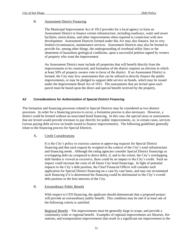#### B. Assessment District Financing

The Municipal Improvement Act of 1913 provides for a local agency to form an Assessment District to finance certain infrastructure, including roadways, water and sewer facilities, storm drains, and other improvements often required in connection with new development. Assessment Districts formed under this Act may also finance, but in very limited circumstances, maintenance services. Assessment Districts may also be formed to provide for, among other things, the undergrounding of overhead utility lines or the abatement of hazardous geological conditions, upon a successful petition signed by owners of property who want the improvement.

An Assessment District must include all properties that will benefit directly from the improvements to be constructed, and formation of the district requires an election in which at least 50% of property owners vote in favor of the district. If an Assessment District is formed, the City may levy assessments that can be utilized to directly finance the public improvements, or may be pledged to support debt service on bonds, which may be issued under the Improvement Bond Act of 1915. The assessments that are levied upon each parcel must be based upon the direct and special benefit received by the property.

#### <span id="page-34-0"></span>*A2 Considerations for Authorization of Special District Financing*

The formation and financing processes related to Special Districts may be considered as two distinct processes. In order for a financing process to occur, a formation process is also necessary. However, a district could be formed without an associated bond financing. In this case, the special taxes or assessments that are levied would provide revenues to pay directly for public improvements, or, in certain cases, services (versus paying debt service on bonds issued to finance improvements). The following guidelines generally relate to the financing process for Special Districts.

#### A. Credit Considerations

It is the City's policy to exercise caution in approving requests for Special District financing and that each request be weighed in the context of the City's total infrastructure and financing needs. Although the rating agencies consider Special District financings as overlapping debt (as compared to direct debt), if, and to the extent, the City's overlapping debt burden is viewed as excessive, there could be an impact to the City's credit. Such an impact could increase the costs of all future City bond financings. In light of potential impacts to the City's debt position, the Chief Financial Officer will consider each application for Special District financing on a case by case basis, and may not recommend such financing if it is determined the financing could be detrimental to the City's overall debt position or the best interests of the City.

#### B. Extraordinary Public Benefit

With respect to CFD financing, the applicant should demonstrate that a proposed project will provide an extraordinary public benefit. This condition may be met if at least one of the following criteria is satisfied:

Regional Benefit – The improvements must be generally large in scope, and provide a community-wide or regional benefit. Examples of regional improvements are libraries, fire stations, and transportation improvements that result in a significant net improvement to the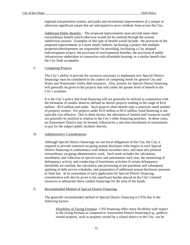regional transportation system, and parks and recreational improvements of a unique or otherwise significant nature that are anticipated to serve residents from across the City.

 Additional Public Benefits – The proposed improvements must provide some other extraordinary benefit which otherwise would not be realized through the normal subdivision process. Examples of this type of benefit would include: the provision of the proposed improvements in a more timely fashion; facilitating a project that multiple properties/developments are responsible for providing; facilitating a City adopted redevelopment project; the provision of environmental benefits; the provision of public infrastructure undertaken in connection with affordable housing; or a similar benefit that the City finds acceptable.

#### C. Competing Projects

The City's ability to provide the resources necessary to implement new Special District financings must be considered in the context of competing needs for general City and Water and Wastewater Utility debt issuances. Also, priority for Special District financing will generally be given to the projects that will confer the greater level of benefit to the City's residents.

It is the City's policy that bond financing will not generally be utilized in conjunction with the formation of smaller districts, defined as district projects totaling in the range of \$3.0 million - \$5.0 million and under. Such projects often benefit only a relatively small number of property owners. For projects under \$3.0 million to \$5.0 million, bond financing is not typically cost effective. Due to these factors, the allocation of limited staff resources would not generally be justified in relation to the City's other financing priorities. In these cases, an Assessment District may be formed, followed by a one-time enrollment of assessments to pay for the subject public facilities directly.

#### D. Administrative Considerations

Although Special District financings are not fiscal obligations of the City, the City is required to provide extensive on-going annual disclosure with respect to each Special District financing in conformance with federal securities laws, and must also perform extraordinary on-going administrative work. Such work includes the calculation, enrollment, and collection of special taxes and assessments each year, the monitoring of delinquency activity and conducting of foreclosure activities if certain delinquency thresholds are reached, the calculation and processing of pre-payments and subsequent updating of debt service schedules, and preparation of additional annual disclosure pursuant to State law. In its assessment of each application for Special District financing, consideration will also be given to the significant burden placed on the City's limited resources to administer these conduit financings for the term of the bonds.

#### E. Recommended Method of Special District Financing

The generally recommended method of Special District financing is CFDs due to the following factors:

Flexibility of Taxing Formula: CFD financing offers more flexibility with respect to the taxing formula as compared to Assessment District financing (e.g., publicly owned property, such as property owned by a school district or the City, can be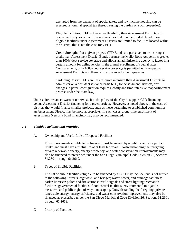exempted from the payment of special taxes, and low income housing can be assessed a nominal special tax thereby easing the burden on such properties).

Eligible Facilities: CFDs offer more flexibility than Assessment Districts with respect to the types of facilities and services that may be funded. In addition, eligible facilities under Assessment Districts are limited to facilities located within the district; this is not the case for CFDs.

Credit Strength: For a given project, CFD Bonds are perceived to be a stronger credit than Assessment District Bonds because the Mello-Roos Act permits greater than 100% debt service coverage and allows an administering agency to factor in a certain amount for delinquencies in the annual enrollment of special taxes. Comparatively, only 100% debt service coverage is permitted with respect to Assessment Districts and there is no allowance for delinquencies.

On-Going Costs: CFDs are less resource intensive than Assessment Districts to administer on a post debt issuance basis (e.g., for Assessment Districts, any changes in parcel configuration require a costly and time-intensive reapportionment process under the State law).

Unless circumstances warrant otherwise, it is the policy of the City to support CFD financing versus Assessment District financing for a given project. However, as noted above, in the case of districts that would finance smaller projects, such as those pertaining to established communities, an Assessment District may be more appropriate. In such cases, a one-time enrollment of assessments (versus a bond financing) may also be recommended.

#### *A3 Eligible Facilities and Priorities*

#### A. Ownership and Useful Life of Proposed Facilities

The improvements eligible to be financed must be owned by a public agency or public utility, and must have a useful life of at least ten years. Notwithstanding the foregoing, private renewable energy, energy efficiency, and water conservation improvements may also be financed as prescribed under the San Diego Municipal Code Division 26, Sections 61.2601 through 61.2619.

B. Types of Eligible Facilities

The list of public facilities eligible to be financed by a CFD may include, but is not limited to the following: streets, highways, and bridges; water, sewer, and drainage facilities; parks; libraries; police and fire stations; traffic signals and street lighting; recreation facilities; governmental facilities; flood control facilities; environmental mitigation measures; and public rights-of-way landscaping. Notwithstanding the foregoing, private renewable energy, energy efficiency, and water conservation improvements may also be financed as prescribed under the San Diego Municipal Code Division 26, Sections 61.2601 through 61.2619.

C. Priority of Facilities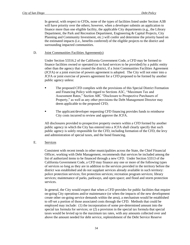In general, with respect to CFDs, none of the types of facilities listed under Section A3B will have priority over the others; however, when a developer submits an application to finance more than one eligible facility, the applicable City departments (e.g., the Library Department, the Park and Recreation Department, Engineering & Capital Projects, City Planning and Community Investment, etc.) will confer and determine the priority based on the estimated impacts (i.e., benefits conferred) of the eligible projects to the district and surrounding impacted communities.

#### D. Joint Communities Facilities Agreement(s)

Under Section 53316.2 of the California Government Code, a CFD may be formed to finance facilities owned or operated (or to fund services to be provided) by a public entity other than the agency that created the district, if a Joint Communities Facilities Agreement (JCFA) or a joint exercise of powers agreement is adopted. The City will not enter into a JCFA or joint exercise of powers agreement for a CFD proposed to be formed by another public agency unless:

- The proposed CFD complies with the provisions of this Special District Formation and Financing Policy with regard to Sections A5C, "Maximum Tax and Assessment Rates," Section A8C "Disclosure to Prospective Purchasers of Property," as well as any other provisions the Debt Management Director may deem applicable to the proposed CFD;
- The applicant/developer requesting CFD financing provides funds to reimburse City costs incurred to review and approve the JCFA.

All disclosures provided to prospective property owners within a CFD formed by another public agency in which the City has entered into a JCFA shall clearly specify that such public agency is solely responsible for the CFD, including formation of the CFD, the levy and administration of special taxes, and the bond financing.

#### E. Services

Consistent with recent trends in other municipalities across the State, the Chief Financial Officer, working with Debt Management, recommends that services be included among the list of authorized items to be financed through a new CFD. Under Section 53313 of the California Government Code, a CFD may finance any one or more of the following types of services so long as they are in addition to the services provided in the territory before the district was established and do not supplant services already available in such territory: police protection services; fire protection services; recreation program services; library services; maintenance of parks, parkways, and open space; and flood and storm protection services.

In general, the City would expect that when a CFD provides for public facilities that require on-going City operations and/or maintenance (or when the impacts of the new development create other on-going service demands within the area), a mechanism would be established to off-set a portion of those associated costs through the CFD. Methods that could be employed may include: (1) the incorporation of some pre-determined amount into the special tax formula for services; or (2) a provision in the special tax formula that special taxes would be levied up to the maximum tax rates, with any amounts collected over and above the amount needed for debt service, replenishment of the Debt Service Reserve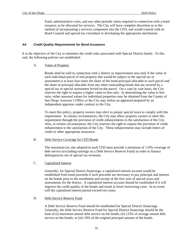Fund, administrative costs, and any other periodic items required in connection with a bond issuance, to be allocated for services. The City will have complete discretion as to the method of incorporating a services component into the CFD, and would consult with its Bond Counsel and special tax consultant in developing the appropriate mechanism.

#### *A4 Credit Quality Requirements for Bond Issuances*

It is the objective of the City to minimize the credit risks associated with Special District bonds. To this end, the following policies are established:

#### A. Value of Property

Bonds shall be sold in connection with a district or improvement area only if the value of each individual parcel of real property that would be subject to the special tax or assessment is at least four times the share of the bond principal allocable to such parcel and the share of principal allocable from any other outstanding bonds that are secured by a special tax or special assessment levied on the parcel. On a case by case basis, the City reserves the right to require a higher value to lien ratio. In determining the value to lien ratio, either assessed values for individual properties may be obtained from the County of San Diego Assessor's Office or the City may utilize an appraisal prepared by an independent appraiser under contract to the City.

To meet this policy, property owners may elect to prepay special taxes to comply with this requirement. In certain circumstances, the City may allow property owners to meet this requirement through the provision of credit enhancements to the satisfaction of the City. Also, in certain circumstances, the City reserves the right to require the provision of credit enhancement to the satisfaction of the City. These enhancements may include letters of credit or other appropriate assurance.

#### B. Debt Service Coverage for CFD Bonds

The maximum tax rate adopted in each CFD must provide a minimum of 110% coverage of debt service (excluding earnings on a Debt Service Reserve Fund) in order to finance delinquencies out of special tax revenues.

#### C. Capitalized Interest

Generally, for Special District financings, a capitalized interest account would be established from bond proceeds if such proceeds are necessary to pay principal and interest on the bonds prior to the enrollment and receipt of the first year of special taxes and assessments for the district. A capitalized interest account should be established if it will improve the credit quality of the bonds and result in lower borrowing costs. In no event will the capitalized interest period exceed two years.

#### D. Debt Service Reserve Fund

A Debt Service Reserve Fund should be established for Special District financings. Generally, the Debt Service Reserve Fund for Special District financings should be the least of (i) maximum annual debt service on the bonds; (ii) 125% of average annual debt service on the bonds; or (iii) 10% of the original principal amount of the bonds.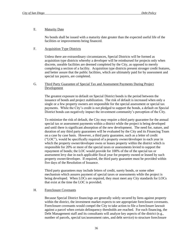#### E. Maturity Date

No bonds shall be issued with a maturity date greater than the expected useful life of the facilities or improvements being financed.

## F. Acquisition Type Districts

Unless there are extraordinary circumstances, Special Districts will be formed as acquisition type districts whereby a developer will be reimbursed for projects only when discrete, useable facilities are deemed completed by the City, as opposed to merely completing a section of a facility. Acquisition type districts present stronger credit features, and better assure that the public facilities, which are ultimately paid for by assessment and special tax payers, are completed.

#### G. Third Party Guarantee of Special Tax and Assessment Payments During Project Development

The greatest exposure to default on Special District bonds is the period between the issuance of bonds and project stabilization. The risk of default is increased when only a single or a few property owners are responsible for the special assessment or special tax payments. While the City's credit is not pledged to support the bonds, a default on Special District bonds can negatively impact the investment community's perception of the City.

To minimize the risk of default, the City may require a third party guarantee for the annual special tax or assessment payments within a district while the project is being developed and until there is significant absorption of the new development. The need for, nature, and duration of any third party guarantees will be evaluated by the City and its Financing Team on a case by case basis. However, a third party guarantee, such as a letter of credit ("LOC"), would be specifically required of a property owner/developer in each year in which the property owner/developer owns or leases property within the district which is responsible for 20% or more of the special taxes or assessments levied to support the repayment of bonds; the LOC would provide for 100% of the of the special tax or assessment levy due in each applicable fiscal year for property owned or leased by such property owner/developer. If required, the third party guarantee must be provided within five days of the Resolution of Issuance.

Third party guarantees may include letters of credit, surety bonds, or some other mechanism which assures payment of special taxes or assessments while the project is being developed. When LOCs are required, they must meet any City standards for LOCs that exist at the time the LOC is provided.

#### H. Foreclosure Covenants

Because Special District financings are generally solely secured by liens against property within the district, the investment market expects to see appropriate foreclosure covenants. Foreclosure covenants would compel the City to take action to file a foreclosure lawsuit against a parcel when certain delinquency thresholds are reached. For each financing, the Debt Management staff and its consultants will analyze key aspects of the district (e.g., number of parcels, special tax/assessment rates, and debt service) to structure foreclosure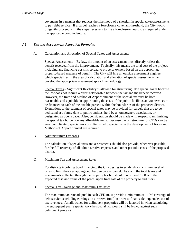covenants in a manner that reduces the likelihood of a shortfall in special taxes/assessments to pay debt service. If a parcel reaches a foreclosure covenant threshold, the City would diligently proceed with the steps necessary to file a foreclosure lawsuit, as required under the applicable bond indenture.

#### *A5 Tax and Assessment Allocation Formulas*

#### A. Calculation and Allocation of Special Taxes and Assessments

Special Assessments – By law, the amount of an assessment must directly reflect the benefit received from the improvement. Typically, this means the total cost of the project, including any financing costs, is spread to property owners based on the appropriate property-based measure of benefit. The City will hire an outside assessment engineer, which specializes in the area of calculation and allocation of special assessments, to develop the appropriate assessment spread methodology.

Special Taxes – Significant flexibility is allowed for structuring CFD special taxes because the law does not require a direct relationship between the tax and the benefit received. However, the Rate and Method of Apportionment of the special tax must be both reasonable and equitable in apportioning the costs of the public facilities and/or services to be financed to each of the taxable parcels within the boundaries of the proposed district. Exemptions to the payment of special taxes may be provided for parcels that are to be dedicated at a future date to public entities, held by a homeowners association, or designated as open space. Also, consideration should be made with respect to minimizing the special tax burden on any affordable units. Because the tax structure for CFDs can be very complicated, special tax consultants, who specialize in the development of Rates and Methods of Apportionment are required.

#### B. Administrative Expenses

The calculation of special taxes and assessments should also provide, whenever possible, for the full recovery of all administrative expenses and other periodic costs of the proposed district.

#### C. Maximum Tax and Assessment Rates

For districts involving bond financing, the City desires to establish a maximum level of taxes to limit the overlapping debt burden on any parcel. As such, the total taxes and assessments collected through the property tax bill should not exceed 1.80% of the expected assessed value of the parcel upon final sale of the property to end users.

#### D. Special Tax Coverage and Maximum Tax Rates

The maximum tax rate adopted in each CFD must provide a minimum of 110% coverage of debt service (excluding earnings on a reserve fund) in order to finance delinquencies out of tax revenues. An allowance for delinquent properties will be factored in when calculating the subsequent year's special tax (the special tax would still be levied against such delinquent parcels).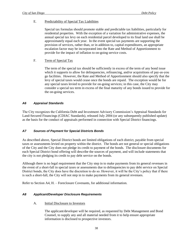#### E. Predictability of Special Tax Liabilities

Special tax formulas should promote stable and predictable tax liabilities, particularly for residential properties. With the exception of a variation for administrative expenses, the annual special tax levy on each residential parcel developed to its final land use shall be approximately equal each year. In the event special tax payments are supporting the provision of services, rather than, or in addition to, capital expenditures, an appropriate escalation factor may be incorporated into the Rate and Method of Apportionment to provide for the impact of inflation to on-going service costs.

## F. Term of Special Tax

The term of the special tax should be sufficiently in excess of the term of any bond issue which it supports to allow for delinquencies, refinancing, and/or acquisitions of pay-as-you go facilities. However, the Rate and Method of Apportionment should also specify that the levy of special taxes would cease once the bonds are repaid. The exception would be for any special taxes levied to provide for on-going services; in this case, the City may consider a special tax term in excess of the final maturity of any bonds issued to provide for the on-going services.

#### *A6 Appraisal Standards*

The City recognizes the California Debt and Investment Advisory Commission's Appraisal Standards for Land-Secured Financings (CDIAC Standards), released July 2004 (or any subsequently published update) as the basis for the conduct of appraisals performed in connection with Special District financings.

# *A7 Sources of Payment for Special Districts Bonds*

As described above, Special District bonds are limited obligations of each district, payable from special taxes or assessments levied on property within the district. The bonds are not general or special obligations of the City and the City does not pledge its credit to payment of the bonds. The disclosure documents for each Special District bond offering will describe the sources of payment, and will include statements that the city is not pledging its credit to pay debt service on the bonds.

Although there is no legal requirement that the City step in to make payments from its general revenues in the event of a short-fall in special taxes or assessments due to delinquencies to pay debt service on Special District bonds, the City does have the discretion to do so. However, it will be the City's policy that if there is such a short-fall, the City will not step in to make payments from its general revenues.

Refer to Section A4, H. – Foreclosure Covenants, for additional information.

#### *A8 Applicant/Developer Disclosure Requirements*

#### A. Initial Disclosure to Investors

The applicant/developer will be required, as requested by Debt Management and Bond Counsel, to supply any and all material needed from it to help ensure appropriate information is disclosed to prospective investors.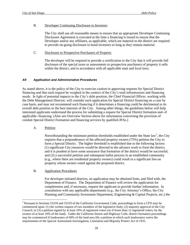#### B. Developer Continuing Disclosure to Investors

The City shall use all reasonable means to ensure that an appropriate Developer Continuing Disclosure Agreement is executed at the time a financing is issued to ensure that the Developer and/or any affiliates, as applicable, which are material to the district are required to provide on-going disclosure to bond investors so long as they remain material.

#### C. Disclosure to Prospective Purchasers of Property

The developer will be required to provide a certification to the City that it will provide full disclosure of the special taxes or assessments to prospective purchasers of property it sells within the district, and in accordance with all applicable state and local laws.

## *A9 Application and Administrative Procedures*

As stated above, it is the policy of the City to exercise caution in approving requests for Special District financing and that each request be weighed in the context of the City's total infrastructure and financing needs. In light of potential impacts to the City's debt position, the Chief Financial Officer, working with the Debt Management Director, will consider each application for Special District financing on a case by case basis, and may not recommend such financing if it determines a financing could be detrimental to its overall debt position or the best interests of the City. Among other things, the guidelines below will help interested applicants understand the process for submitting a request for Special District formation and--if applicable--financing. (Also see Overview Section above for information concerning the provision of conduit Special District Formation and financing services by qualified JPAs.)

A. Petition

 $\overline{a}$ 

Notwithstanding the minimum petition thresholds established under the State law<sup>5</sup>, the City requires that a preponderance of the affected property owners (75%) petition the City to form a Special District. The higher threshold is established due to the following factors: (1) significant City resources would be directed to the advance work to form the district, and it is prudent to have some assurance that formation of the district would be successful; and (2) a successful petition and subsequent ballot process in an established community (e.g., where there are residential property owners) could result in a significant lien on property whose owners voted against the proposed district.

#### B. Application Procedures

For developer initiated districts, an application may be obtained from, and filed with, the Department of Finance. The Department of Finance will review the application for completeness and, if necessary, request the applicant to provide further information. In consultation with any applicable departments (e.g., the City Attorney's Office, the City Planning and Community Investment Department, Engineering & Capital Projects, etc.) the

<sup>&</sup>lt;sup>5</sup> Pursuant to Sections 53318 and 53319 of the California Government Code, proceedings to form a CFD may be commenced upon: (1) the written request of two members of the legislative body; (2) majority approval of the City Council; or (3) a petition signed by at least 10% of registered voters (or if fewer than 12 registered voters, by the owners of at least 10% of the land). Under the California Streets and Highway Code, district formation proceedings may be commenced if landowners of 60% of the land area file a petition in which such landowners waive the requirements of the Special Assessment Investigation, Limitation and Majority Protect Act of 1931.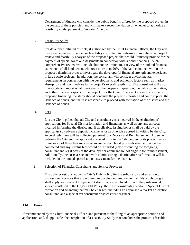Department of Finance will consider the public benefits offered by the proposed project in the context of these policies, and will make a recommendation on whether to authorize a feasibility study, pursuant to Section C, below.

## C. Feasibility Study

For developer initiated districts, if authorized by the Chief Financial Officer, the City will hire an independent financial or feasibility consultant to perform a comprehensive project review and feasibility analysis of the proposed project that would ultimately provide for the payment of special taxes or assessments in connection with a bond financing. Such comprehensive review will include, but not be limited to, a review of the audited financial statements of all landowners who own more than 20% of the land contained within the proposed district in order to investigate the developer(s) financial strength and experience in large scale projects. In addition, the consultant will consider environmental requirements in connection with the development, and economic factors such as market absorption and how it relates to the project's overall feasibility. The consultant will also investigate and report on all liens against the property in question, the value to lien ratios, and other financial aspects of the project. For the Chief Financial Officer to consider a proposed financing, the study should conclude the project is feasible and could support the issuance of bonds, and that it is reasonable to proceed with formation of the district and the issuance of bonds.

#### D. Fees

It is the City's policy that all City and consultant costs incurred in the evaluation of applications for Special District formation and financing, as well as any and all costs incurred in forming the district and, if applicable, issuing bonds shall be paid by the applicant(s) by advance deposit increments or as otherwise agreed in writing by the City. Accordingly, fees will be collected pursuant to a Deposit and Reimbursement Agreement between the City and the applicant executed prior to the City beginning its project review. Some or all of these fees may be recoverable from bond proceeds when a financing is completed and any surplus fees would be refunded (notwithstanding the foregoing, consultant and legal costs of the developer or applicant are not eligible for reimbursement). Additionally, the costs associated with administering a district after its formation will be included in the annual special tax or assessment for the district.

## E. Selection of Financial Consultants and Service Providers

The policies established in the City's Debt Policy for the solicitation and selection of professional services that are required to develop and implement the City's debt program shall apply with respect to Special District financings. In addition to the professional services outlined in the City's Debt Policy, there are consultants specific to Special District formation and financing that may be engaged, including an appraiser, a market absorption consultant, and a special tax consultant or assessment engineer.

#### *A10 Timing*

If recommended by the Chief Financial Officer, and pursuant to the filing of an appropriate petition and application, and, if applicable, the completion of a Feasibility Study that concludes the project is feasible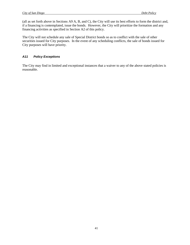(all as set forth above in Sections A9 A, B, and C), the City will use its best efforts to form the district and, if a financing is contemplated, issue the bonds. However, the City will prioritize the formation and any financing activities as specified in Section A2 of this policy.

The City will not schedule any sale of Special District bonds so as to conflict with the sale of other securities issued for City purposes. In the event of any scheduling conflicts, the sale of bonds issued for City purposes will have priority.

#### *A11 Policy Exceptions*

The City may find in limited and exceptional instances that a waiver to any of the above stated policies is reasonable.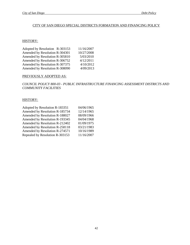## CITY OF SAN DIEGO SPECIAL DISTRICTS FORMATION AND FINANCING POLICY

## HISTORY:

| Adopted by Resolution R-303153 | 11/16/2007 |
|--------------------------------|------------|
| Amended by Resolution R-304301 | 10/27/2008 |
| Amended by Resolution R-305810 | 5/03/2010  |
| Amended by Resolution R-306752 | 4/12/2011  |
| Amended by Resolution R-307375 | 4/10/2012  |
| Amended by Resolution R-308090 | 4/09/2013  |

#### PREVIOUSLY ADOPTED AS:

*COUNCIL POLICY 800-03 - PUBLIC INFRASTRUCTURE FINANCING ASSESSMENT DISTRICTS AND COMMUNITY FACILITIES*

#### HISTORY:

| Adopted by Resolution R-183351  | 04/06/1965 |
|---------------------------------|------------|
| Amended by Resolution R-185734  | 12/14/1965 |
| Amended by Resolution R-188027  | 08/09/1966 |
| Amended by Resolution R-193345  | 04/04/1968 |
| Amended by Resolution R-212402  | 01/09/1975 |
| Amended by Resolution R-258118  | 03/21/1983 |
| Amended by Resolution R-274571  | 10/16/1989 |
| Repealed by Resolution R-303153 | 11/16/2007 |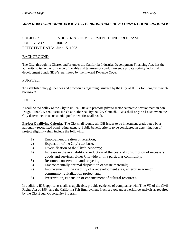# *APPENDIX B – COUNCIL POLICY 100-12 "INDUSTRIAL DEVELOPMENT BOND PROGRAM"*

SUBJECT: INDUSTRIAL DEVELOPMENT BOND PROGRAM POLICY NO.: 100-12 EFFECTIVE DATE: June 15, 1993

#### BACKGROUND:

The City, through its Charter and/or under the California Industrial Development Financing Act, has the authority to issue the full range of taxable and tax-exempt conduit revenue private activity industrial development bonds (IDB's) permitted by the Internal Revenue Code.

#### PURPOSE:

To establish policy guidelines and procedures regarding issuance by the City of IDB's for nongovernmental borrowers.

#### POLICY:

It shall be the policy of the City to utilize IDB's to promote private sector economic development in San Diego. The City shall issue IDB's as authorized by the City Council. IDBs shall only be issued when the City determines that substantial public benefits shall result.

**Project Qualifying Criteria.** The City shall require all IDB issues to be investment grade-rated by a nationally-recognized bond rating agency. Public benefit criteria to be considered in determination of project eligibility shall include the following:

- 1) Employment creation or retention;
- 2) Expansion of the City's tax base;
- 3) Diversification of the City's economy;
- 4) Increase in the availability or reduction of the costs of consumption of necessary goods and services, either Citywide or in a particular community;
- 5) Resource conservation and recycling;
- 6) Environmentally optimal disposition of waste materials;
- 7) Improvement in the viability of a redevelopment area, enterprise zone or community revitalization project, and
- 8) Preservation, expansion or enhancement of cultural resources.

In addition, IDB applicants shall, as applicable, provide evidence of compliance with Title VII of the Civil Rights Act of 1964 and the California Fair Employment Practices Act and a workforce analysis as required by the City Equal Opportunity Program.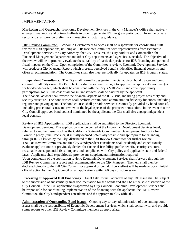# IMPLEMENTATION:

**Marketing and Outreach.** Economic Development Services in the City Manager's Office shall actively engage in marketing and outreach efforts in order to generate IDB Program participation from the private sector and shall provide preliminary transaction structuring guidance.

**IDB Review Committee.** Economic Development Services shall be responsible for coordinating staff review of IDB applications, utilizing an IDB Review Committee with representatives from Economic Development Services, the City Attorney, the City Treasurer, the City Auditor and Comptroller, the Financial Management Department and other City departments and agencies as needed. The objective of the review will be to prudently evaluate the suitability of particular projects for IDB financing and potential fiscal impacts on the City. Upon completion of the Committee's review, Economic Development Services will produce a City Manager Report which presents perceived benefits, identifies financial concerns and offers a recommendation. The Committee shall also meet periodically for updates on IDB Program status.

**Independent Consultants.** The City shall normally designate financial advisor, bond trustee and bond counsel for all City-issued IDB's. The City shall also have the right to approve the applicant's nominee(s) for bond/underwriter, which shall be consistent with the City's MBE/WBE and equal opportunity participation goals. The cost of all consultant services shall be paid for by the applicant. The financial advisor shall review the financial aspects of the IDB issue, including project feasibility and security structure. The bond trustee shall perform certain bond administration fiduciary functions, including registrar and paying agent. The bond counsel shall provide services customarily provided by bond counsel, including procedural issues and review of the legal aspects of the proposed transaction. In the event that the City Council approves bond counsel nominated by the applicant, the City shall also engage independent legal counsel.

**Review of IDB Applications.** IDB applications shall be submitted to the Director, Economic Development Services. The application may be denied at the Economic Development Services level, referred to another issuer such as the California Statewide Communities Development Authority Joint Powers Agency ("the JPA"), or, if initially deemed potentially feasible and appropriate for financing through IDB's issued by the City, distributed to the IDB Review Committee for further review. The IDB Review Committee and the City's independent consultants shall prudently and expeditiously evaluate applications not previously denied for financial feasibility, public benefit, security structure, reasonable costs, potential fiscal impacts and compliance with City policy and applicable state and federal laws. Applicants shall expeditiously provide any supplemental information required. Upon completion of the application review, Economic Development Services shall forward through the IDB Review Committee a report and recommendation to the City Manager. The item shall then be docketed directly to the full City Council for approval or denial. Every effort will be made to obtain initial official action by the City Council on all applications within 60 days of submission.

**Processing of Approved IDB Financings.** Final City Council approval of any IDB issue shall be subject to the submission of substantially final documentation for the bonds and shall be at the sole discretion of the City Council. If the IDB application is approved by City Council, Economic Development Services shall be responsible for coordinating implementation of the financing with the applicant, the IDB Review Committee, the City's independent consultants and the appropriate City officials.

**Administration of Outstanding Bond Issues.** Ongoing day-to-day administration of outstanding bond issues shall be the responsibility of Economic Development Services, which shall consult with and provide status reports to other IDB Review Committee members as appropriate.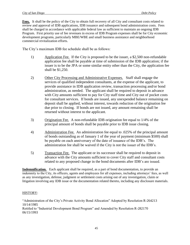**Fees.** It shall be the policy of the City to obtain full recovery of all City and consultant costs related to review and approval of IDB applications, IDB issuance and subsequent bond administration costs. Fees shall be charged in accordance with applicable federal law as sufficient to maintain an ongoing IDB Program. First priority use of fee revenues in excess of IDB Program expenses shall be for City economic development programs, particularly MBE/WBE and small business assistance and neighborhood commercial revitalization efforts.

The City's maximum IDB fee schedule shall be as follows:

- 1) Application Fee. If the City is proposed to be the issuer, a \$2,500 non-refundable application fee shall be payable at time of submission of the IDB application; if the issuer is to be the JPA or some similar entity other than the City, the application fee shall be \$1,250.
- 2) Other City Processing and Administrative Expenses. Staff shall engage the services of qualified independent consultants, at the expense of the applicant, to provide assistance in IDB application review, transaction processing and/or bond administration, as needed. The applicant shall be required to deposit in advance with City amounts sufficient to pay for City staff time and City out of pocket costs for consultant services. If bonds are issued, any unexpended balance remaining on deposit shall be applied, without interest, towards reduction of the origination fee due prior to closing. If bonds are not issued, any amount remaining shall be returned without interest to the applicant.
- 3) Origination Fee. A non-refundable IDB origination fee equal to 1/4% of the principal amount of bonds shall be payable prior to IDB issue closing.
- 4) Administration Fee. An administration fee equal to .025% of the principal amount of bonds outstanding as of January 1 of the year of payment (minimum \$500) shall be payable on each anniversary of the date of issuance of the IDB's. The administration fee shall be waived if the City is not the issuer of the IDB's.
- 5) Transaction Fee. The applicant or its successor shall be required to deposit in advance with the City amounts sufficient to cover City staff and consultant costs related to any proposed change in the bond documents after IDB's are issued.

**Indemnification.** Each applicant shall be required, as a part of bond documentation, to provide an indemnity to the City, its officers, agents and employees for all expenses, including attorneys' fees, as well as any investigation, defense, judgment or settlement costs arising out of any investigation, claim or litigation involving any IDB issue or the documentation related thereto, including any disclosure materials.

# HISTORY:

"Administration of the City's Private Activity Bond Allocation" Adopted by Resolution R-264213 10/14/1985 Retitled to "Industrial Development Bond Program" and Amended by Resolution R-282170 06/15/1993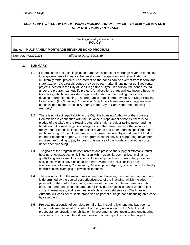## *APPENDIX C – SAN DIEGO HOUSING COMMISSION POLICY MULTIFAMILY MORTGAGE REVENUE BOND PROGRAM*

| San Diego Housing Commission<br><b>POLICY</b>      |                          |  |
|----------------------------------------------------|--------------------------|--|
| Subject: MULTIFAMILY MORTGAGE REVENUE BOND PROGRAM |                          |  |
| Number: PO300.301                                  | Effective Date: 10/16/89 |  |

#### **1. SUMMARY**

- 1.1 Federal, state and local legislation authorize issuance of mortgage revenue bonds by local governments to finance the development, acquisition and rehabilitation of multifamily rental projects. The interest on the bonds can be exempt from federal and state taxation. As a result, bonds provide below market financing for qualified rental projects located in the City of San Diego (the "City"). In addition, the bonds issued under the program can qualify projects for allocations of federal low-income housing tax credits, which can provide a significant portion of the funding necessary to develop affordable housing. The program is administered by the San Diego Housing Commission (the "Housing Commission") and uses tax-exempt mortgage revenue bonds issued by the Housing Authority of the City of San Diego (the "Housing Authority").
- 1.2 There is no direct legal liability to the City, the Housing Authority or the Housing Commission in connection with the issuance or repayment of bonds; there is no pledge of the City's or the Housing Authority's faith, credit or taxing power and the bonds do not constitute general obligations of the issuer because the security for repayment of bonds is limited to project revenue and other sources specified under each financing. Project loans are, in most cases, secured by a first deed of trust on the bond-financed property. The program is completely self-supporting; developers must secure funding to pay for costs of issuance of the bonds and all other costs under each financing.
- 1.3 The goals of the program include: increase and preserve the supply of affordable rental housing; encourage economic integration within residential communities*;* maintain a quality living environment for residents of assisted projects and surrounding properties; and, in the event of provision of public funds towards the project, optimize the effectiveness of Housing Commission, Redevelopment Agency, or other public funding by maximizing the leveraging of private sector funds.
- 1.4 There is no limit on the maximum loan amount; however, the minimum loan amount is determined by the overall cost effectiveness of the financing, which includes payment for the costs of issuance, services of the financing team members, rating fees, etc. The bond issuance amount for individual projects is based upon project costs, interest rates, and revenues available to pay debt service. The Housing Authority will consider multiple properties as part of a single bond financing on a case by case basis.
- 1.5 Projects must consist of complete rental units, including kitchens and bathrooms. Loan funds may be used for costs of property acquisition (up to 25% of bond proceeds), construction, rehabilitation, improvements, architectural and engineering services, construction interest, loan fees and other capital costs of the project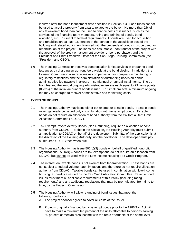incurred after the bond inducement date specified in Section 7.3. Loan funds cannot be used to acquire property from a party related to the buyer. No more than 2% of any tax-exempt bond loan can be used to finance costs of issuance, such as the services of the financing team members, rating and printing of bonds, bond allocation, etc. Pursuant to federal requirements, if bonds are used for acquisition and rehabilitation, at least 15 percent of the portion of the acquisition cost of the building and related equipment financed with the proceeds of bonds must be used for rehabilitation of the project. The loans are assumable upon transfer of the project with the approval of the credit enhancement provider or bond purchaser, and the President and Chief Executive Officer of the San Diego Housing Commission (the "President and CEO").

1.6 The Housing Commission receives compensation for its services in preparing bond issuances by charging an up-front fee payable at the bond closing. In addition, the Housing Commission also receives as compensation for compliance monitoring of regulatory restrictions and the administration of outstanding bonds an annual administrative fee payable in arrears in semiannual or annual installments. The upfront fee and the annual ongoing administrative fee are each equal to 23 basis points (0.23%) of the initial amount of bonds issued. For small projects, a minimum ongoing fee may be charged to recover administrative and monitoring costs.

## 2. **TYPES OF BONDS**

- 2.1 The Housing Authority may issue either tax-exempt or taxable bonds. Taxable bonds would generally be issued only in combination with tax-exempt bonds. Taxable bonds do not require an allocation of bond authority from the California Debt Limit Allocation Committee ("CDLAC").
- 2.2 Tax-Exempt Private Activity Bonds (Non-Refunding) require an allocation of bond authority from CDLAC. To obtain the allocation, the Housing Authority must submit an application to CDLAC on behalf of the developer. Submittal of the application is at the discretion of the Housing Authority, not the developer. The developer must pay all required CDLAC fees when due*.*
- 2.3 The Housing Authority may issue 501(c)(3) bonds on behalf of qualified nonprofit organizations. 501(c)(3) bonds are tax-exempt and do not require an allocation from CDLAC, but cannot be used with the Low Income Housing Tax Credit Program.
- 2.4 The interest on taxable bonds is not exempt from federal taxation. These bonds are not subject to federal volume "cap" limitations and therefore do not require allocation authority from CDLAC.Taxable bonds can be used in combination with low-income housing tax credits awarded by the Tax Credit Allocation Committee. Taxable bond issues must meet all applicable requirements of this Policy (including rating requirements) and any additional regulations that may be promulgated, from time to time, by the Housing Commission.
- 2.5 The Housing Authority will allow refunding of bond issues that meet the following conditions:
	- A. The project sponsor agrees to cover all costs of the issuer.
	- B. Projects originally financed by tax-exempt bonds prior to the 1986 Tax Act will have to make a minimum ten percent of the units affordable to persons earning 50 percent of median area income with the rents affordable at the same level.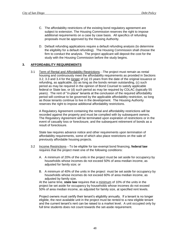- C. The affordability restrictions of the existing bond regulatory agreement are subject to extension. The Housing Commission reserves the right to impose additional requirements on a case by case basis. All specifics of refunding proposals must be approved by the Housing Authority.
- D. Default refunding applications require a default refunding analysis (to determine the eligibility for a default refunding). The Housing Commission shall choose the firm to conduct the analysis. The project applicant will deposit the cost for the study with the Housing Commission before the study begins.

## **3. AFFORDABILITY REQUIREMENTS**

3.1 Term of Rental and Affordability Restrictions—The project must remain as rental housing and continuously meet the affordability requirements as provided in Sections 3.2, 3.3 and 3.4 for the longer of (a) 15 years from the date of the original issuance or refunding, as applicable, (b) as long as the bonds remain outstanding, (c) such period as may be required in the opinion of Bond Counsel to satisfy applicable federal or State law, or (d) such period as may be required by CDLAC (typically 55 years). The rent of "in-place" tenants at the conclusion of the required affordability period will continue to be governed by the applicable affordability restriction, so long as those tenants continue to live in the development. The Housing Authority reserves the right to impose additional affordability restrictions.

A Regulatory Agreement containing the rental and affordability restrictions will be recorded against the property and must be complied with by subsequent owners. The Regulatory Agreement will be terminated upon expiration of restrictions or in the event of casualty loss or foreclosure, and the subsequent retirement of bonds as a result of foreclosure.

State law requires advance notice and other requirements upon termination of affordability requirements, some of which also place restrictions on the sale of previously affordable housing projects.

- 3.2 Income Restrictions—To be eligible for tax-exempt bond financing, **federal law** requires that the project meet one of the following conditions:
	- A. A minimum of 20% of the units in the project must be set aside for occupancy by households whose incomes do not exceed 50% of area median income, as adjusted for family size; or
	- B. A minimum of 40% of the units in the project must be set aside for occupancy by households whose incomes do not exceed 60% of area median income, as adjusted by family size.

At the same time, **state law** requires that a minimum of 10% of the units in the project be set aside for occupancy by households whose incomes do not exceed 50% of area median income, as adjusted for family size, at specified rent levels.

Project owners must certify their tenant's eligibility annually. If a tenant is no longer eligible, the next available unit in the project must be rented to a new eligible tenant and the current tenant's rent can be raised to a market level. A unit occupied only by full time students does not count towards the set-aside requirement.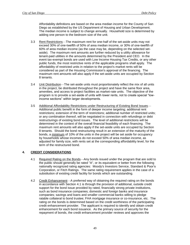Affordability definitions are based on the area median income for the County of San Diego as established by the US Department of Housing and Urban Development. The median income is subject to change annually. Household size is determined by adding one person to the bedroom size of the unit.

- 3.3 Rent Restrictions—The maximum rent for one-half of the set-aside units may not exceed 30% of one-twelfth of 50% of area median income, or 30% of one-twelfth of 60% of area median income (as the case may be, depending on the selected setaside). The maximum rent amounts are further reduced by a utility allowance for tenant-paid utilities in the amounts determined by the President and CEO. In the event tax-exempt bonds are used with Low Income Housing Tax Credits, or any other public funds, the most restrictive rents of the applicable programs shall apply. The affordability of restricted units in relation to the project's market rents will be considered as part of the Housing Commission's approval of the financing. The maximum rent amounts will also apply if the set-aside units are occupied by Section 8 tenants.
- 3.4 **Unit Distribution**—The set-aside units must proportionately reflect the mix of all units in the project, be distributed throughout the project and have the same floor area, amenities, and access to project facilities as market-rate units. The objective of the program is to provide a set-aside of units with lower rents, not to create special "lowincome sections" within larger developments.
- 3.5 Additional Affordability Restrictions under Restructuring of Existing Bond Issues— Additional public benefit in the form of deeper income targeting; additional rent restrictions; extension of the term of restrictions; additional number of restricted units; or any combination thereof, will be negotiated in connection with refundings or debt restructurings of existing bond issues. The level of additional restrictions will be determined in the context of the overall financial feasibility of each financing. The maximum rent amounts will also apply if the set-aside units are occupied by Section 8 tenants. Should the bond restructuring result in an extension of the maturity of the bonds, a minimum of 10% of the units in the project will be set aside for occupancy by households whose incomes do not exceed 50% of area median income, as adjusted for family size, with rents set at the corresponding affordability level, for the term of the restructured bond.

#### **4. CREDIT CONSIDERATIONS**

- 4.1 Required Rating on the Bonds—Any bonds issued under the program that are sold to the public should generally be rated "A", or its equivalent or better from the following nationally recognized rating agencies: Moody's Investors Service, Standard & Poor's Corporation, or Fitch Ratings. The same rating requirement applies in the case of a substitution of existing credit facility for bonds which are outstanding.
- 4.2 Credit Enhancement—A preferred way of obtaining the required rating on the bonds in accordance with Section 4.1 is through the provision of additional, outside credit support for the bond issue provided by rated, financially strong private institutions, such as bond insurance companies; domestic and foreign banks and insurance companies; savings and loans and smaller commercial banks willing to pledge ratable collateral to bond trustee; FHA mortgage insurance or co-insurance, etc. The rating on the bonds is determined based on the credit worthiness of the participating credit enhancement provider. The applicant is required to identify and obtain credit enhancement for each bond issuance. As the primary source of security for the repayment of bonds, the credit enhancement provider reviews and approves the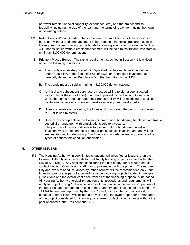borrower (credit, financial capability, experience, etc.) and the project and its feasibility, including the size of the loan and the terms of repayment, using their own underwriting criteria.

- 4.3 Rated Bonds Without Credit Enhancement—Fixed rate bonds, or their portion, can be issued without credit enhancement if the proposed financing structure results in the required minimum rating on the bonds by a rating agency as provided in Section 4.1. Bonds issued without credit enhancement will be sold to institutional investors in minimum \$100,000 denominations.
- 4.4 Privately Placed Bonds—The rating requirement specified in Section 4.1 is waived under the following conditions:
	- A. The bonds are privately placed with "qualified institutional buyers" as defined under Rule 144A of the Securities Act of 1933, or "accredited investors," as generally defined under Regulation D of the Securities Act of 1933.
	- B. The bonds must be sold in minimum \$100,000 denominations.
	- C. All initial and subsequent purchasers must be willing to sign a sophisticated investor letter (Investor Letter) in a form approved by the Housing Commission. While the bonds remain unrated, their transferability will be restricted to qualified institutional buyers or accredited investors who sign an Investor Letter.
	- D. Unless otherwise approved by the Housing Commission, the bonds must be sold to 15 or fewer investors.
	- E. Upon terms acceptable to the Housing Commission, bonds may be placed in a trust or custodial arrangement with participations sold to investors. The purpose of these conditions is to assure that the bonds are placed with investors who are experienced in municipal securities investing and analysis or real estate credit underwriting. Bond funds and affordable lending banks are the types of entities this condition anticipates.

#### **5. OTHER ISSUERS**

5.1 The Housing Authority, in very limited situations, will allow "other issuers" than the Housing Authority to issue bonds for multifamily housing projects located within the City of San Diego. Any applicant considering the use of any "other issuer" should contact Housing Commission staff prior to proceeding with the project. The required City approvals of bond issuances by "other issuers" will be recommended only if the financing proposal is part of a pooled issuance involving projects located in multiple jurisdictions and the overall cost effectiveness of the financing proposal is increased. All Housing Authority affordability requirements, procedures and requirements will apply to projects using "outside issuers," including an issuance fee of 0.23 percent of the bond issuance amount to be paid to the Authority upon issuance of the bonds. A TEFRA hearing and approval by the City Council, as described in Section 7.4, on behalf of another issuer will include a provision that the owner, operator or manager of the project considered for financing by tax-exempt debt will not change without the prior approval of the President and CEO.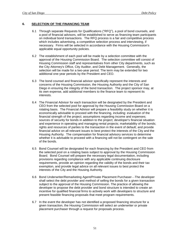#### **6. SELECTION OF THE FINANCING TEAM**

- 6.1 Through separate Requests for Qualifications ("RFQ"), a pool of bond counsels, and a pool of financial advisors, will be established to serve as financing team participants on individual bond transactions. The RFQ process is a fair and competitive process which includes advertising, a competitive selection process and interviewing, if necessary. Firms will be selected in accordance with the Housing Commission's applicable equal opportunity policies.
- 6.2 The establishment of each pool will be made by a selection committee with the approval of the Housing Commission Board. The selection committee will consist of Housing Commission staff and representatives from other City departments, such as the City Attorney's Office, City Auditor, and Debt Management. Generally, the selection will be made for a two-year period. The term may be extended for two additional one-year periods by the President and CEO.
- 6.3 The bond counsel and financial advisor specifically represent the interests and concerns of the Housing Commission, the Housing Authority and the City of San Diego in ensuring the integrity of the bond transaction. The project sponsor may, at its own expense, add additional members to the finance team to represent its interests.
- 6.4 The Financial Advisor for each transaction will be designated by the President and CEO from the selected pool for approval by the Housing Commission Board on a rotating basis. The Financial Advisor will prepare a feasibility study on whether it is economically advisable to proceed with the financing, including: evaluation of the financial strength of the project; assumptions regarding income and expenses; sources of security for bonds in addition to the project; developer's financial situation and experience in operating and managing rental projects; marketability of the bonds; rights and resources of parties to the transaction in the event of default; and provide financial advice on all relevant issues to best protect the interests of the City and the Housing Authority. The compensation for financial advisory services to determine whether it is advisable to proceed with a financing will not be contingent on the sale of the bonds.
- 6.5 Bond Counsel will be designated for each financing by the President and CEO from the selected pool on a rotating basis subject to approval by the Housing Commission Board. Bond Counsel will prepare the necessary legal documentation, including provisions regarding compliance with any applicable continuing disclosure requirements, provide an opinion regarding the validity of the bonds and their tax exemption, and provide legal advice on all relevant issues to best protect the interests of the City and the Housing Authority.
- 6.6 Bond Underwriter/Remarketing Agent/Private Placement Purchaser—The developer shall select the debt provider and method of selling the bonds for a given transaction subject to the approval of the Housing Commission. The practice of allowing the developer to propose the debt provider and bond structure is intended to create an incentive for qualified financial firms to actively work with developers to structure and present feasible financing proposals that meet program requirements.
- 6.7 In the event the developer has not identified a proposed financing structure for a given transaction, the Housing Commission will select an underwriter or private placement purchaser through a request for proposals process.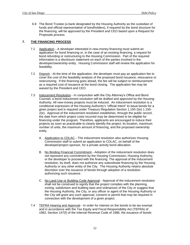6.8 The Bond Trustee (a bank designated by the Housing Authority as the custodian of funds and official representative of bondholders), if required by the bond structure for the financing, will be approved by the President and CEO based upon a Request for Proposals process.

#### **7. THE FINANCING PROCESS**

- 7.1 Application—A developer interested in new-money financing must submit an application for bond financing or, in the case of an existing financing, a request for bond refunding or restructuring to the Housing Commission. Part of the required information is a disclosure statement on each of the parties involved in the developer/ownership entity. Housing Commission staff will review the application for feasibility.
- 7.2 Deposit—At the time of the application, the developer must pay an application fee to cover the cost of the feasibility analysis of the proposed bond issuance, reissuance or restructuring. If the financing goes ahead, the fee will be subject to reimbursement as a required cost of issuance at the bond closing. The application fee may be waived by the President and CEO.
- 7.3 Inducement Resolution—In conjunction with the City Attorney's Office and Bond Counsel, a bond inducement resolution will be drafted and approved by the Housing Authority. All new-money projects must be induced. An inducement resolution is a conditional expression of the Housing Authority's "official intent" to issue bonds for a given project and is required under Treasury Regulation Section 1.150-2(e) 1.150- 2(e). Approval of the inducement resolution establishes, through the public record, the date from which project costs incurred may be determined to be eligible for financing under the program. Therefore, applicants are encouraged to induce their projects as soon as practicable to clearly identify the project, its location, maximum number of units, the maximum amount of financing, and the proposed ownership entity.
	- A. Application to CDLAC—The inducement resolution also authorizes Housing Commission staff to submit an application to CDLAC, on behalf of the developer/project sponsor, for a private activity bond allocation.
	- B. No Binding Financial Commitment—Adoption of the inducement resolution does not represent any commitment by the Housing Commission, Housing Authority, or the developer to proceed with the financing. The approval of the inducement resolution, by itself, does not authorize any subordinate financing by the Housing Authority or any other entity of the City. The Housing Authority retains absolute discretion over the issuance of bonds through adoption of a resolution authorizing such issuance.
	- C. No Land Use or Building Code Approval—Approval of the inducement resolution shall not be construed to signify that the project complies with the planning, zoning, subdivision and building laws and ordinances of the City or suggest that the Housing Authority, the City, or any officer or agent of the Housing Authority or the City will grant any such approval, consent or permit that may be required in connection with the development of a given project.
- 7.4 TEFRA Hearing and Approval—In order for interest on the bonds to be tax-exempt and in accordance with the Tax Equity and Fiscal Responsibility Act (TEFRA) of 1982, Section 147(f) of the Internal Revenue Code of 1986, the issuance of bonds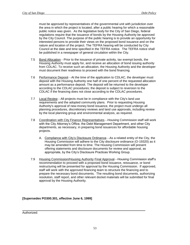must be approved by representatives of the governmental unit with jurisdiction over the area in which the project is located, after a public hearing for which a reasonable public notice was given. As the legislative body for the City of San Diego, federal regulations require that the issuance of bonds by the Housing Authority be approved by the City Council. The purpose of the public hearing is to provide an opportunity for interested persons to provide their views on the proposed bond issuance and on the nature and location of the project. The TEFRA hearing will be conducted by City Council at the date and time specified in the TEFRA notice. The TEFRA notice shall be published in a newspaper of general circulation within the City.

- 7.5 Bond Allocation—Prior to the issuance of private activity, tax exempt bonds, the Housing Authority must apply for, and receive an allocation of bond issuing authority from CDLAC. To receive such an allocation, the Housing Authority and the developer must document their readiness to proceed with the bond financing.
- 7.6 Performance Deposit—At the time of the application to CDLAC, the developer must deposit with the Housing Authority one half of one percent of the requested allocation amount as a performance deposit. The deposit will be returned to the developer according to the CDLAC procedures; the deposit is subject to reversion to the CDLAC if the financing does not close according to the CDLAC procedures.
- 7.7 Local Review—All projects must be in compliance with the City's land use requirements and the adopted community plans. Prior to requesting Housing Authority's approval of new-money bond issuance, the project must undergo all planning procedures, discretionary reviews and land use approvals, including review by the local planning group and environmental analysis, as required.
- 7.8 Coordination with City Finance Representatives—Housing Commission staff will work with the City Attorney's Office, the Debt Management Department, and other City departments, as necessary, in preparing bond issuances for affordable housing projects.
	- A. Compliance with City's Disclosure Ordinance—As a related entity of the City, the Housing Commission will adhere to the City disclosure ordinance (O-19320) as it may be amended from time to time. The Housing Commission will present offering statements and disclosure documents for review and approval, as appropriate, by the City's Disclosure Practices Working Group.
- 7.9 Housing Commission/Housing Authority Final Approval—Housing Commission staff's recommendation to proceed with a proposed bond issuance, reissuance, or bond restructuring will be presented for approval by the Housing Commission. If approved, staff will work with the approved financing team to structure the financing and to prepare the necessary bond documents. The resulting bond documents, authorizing resolution, staff report, and other relevant docket materials will be submitted for final approval by the Housing Authority.

**[Supersedes PO300.301, effective June 6, 1999]**

Authorized: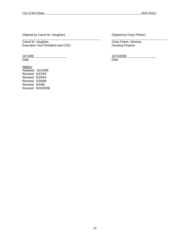(Signed by Carrol M. Vaughan) (Signed by Cissy Fisher)

Carrol M. Vaughan, Carrol M. Vaughan, Cissy Fisher, Director<br>
Executive Vice President and COO Housing Finance Executive Vice President and COO

Date **Date Date Date Date Date Date Date Date Date** 

History: Adopted: 10/16/89 Revised: 6/23/92 Revised: 6/28/94 Revised: 5/28/96 Revised: 6/4/99 Revised: 9/30/2008

10/ 6/08 10/ 6/2008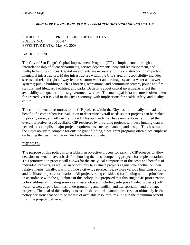# *APPENDIX D – COUNCIL POLICY 800-14 "PRIORITIZING CIP PROJECTS"*

SUBJECT: PRIORITIZING CIP PROJECTS POLICY NO: 800-14 EFFECTIVE DATE: May 30, 2008

# BACKGROUND:

The City of San Diego's Capital Improvement Program (CIP) is implemented through an interrelationship of client departments, service departments, new and redevelopment, and multiple funding sources. Capital investments are necessary for the construction of all parts of municipal infrastructure. Major infrastructure within the City's area of responsibility includes streets and related right-of-way features; storm water and drainage systems; water and sewer systems; public buildings such as libraries, recreational and community centers, police and fire stations, and lifeguard facilities; and parks. Decisions about capital investments affect the availability and quality of most government services. The municipal infrastructure is often taken for granted, yet it is vital to the city's economy, with implications for health, safety, and quality of life.

The commitment of resources to the CIP projects within the City has traditionally not had the benefit of a comprehensive evaluation to determine overall needs so that projects can be ranked in priority order, and efficiently funded. This approach may have unintentionally limited the overall effectiveness of available CIP resources by providing projects with less funding than is needed to accomplish major project requirements, such as planning and design. This has limited the City's ability to compete for outside grant funding, since grant programs often place emphasis on having the design and associated activities completed.

# PURPOSE:

The purpose of this policy is to establish an objective process for ranking CIP projects to allow decision-makers to have a basis for choosing the most compelling projects for implementation. This prioritization process will allows for the analytical comparison of the costs and benefits of individual projects, as well as an opportunity to evaluate projects against one another on their relative merits. Ideally, it will provide a citywide perspective, explore various financing options, and facilitate project coordination. All projects being considered for funding will be prioritized in accordance with the guidelines of this policy. It is proposed that this single CIP prioritization policy address all funding sources and asset classes, including enterprise funded projects (golf, water, sewer, airport facilities, undergrounding and landfill) and transportation and drainage projects. The goal of this policy is to establish a capital-planning process that ultimately leads to policy decisions that optimize the use of available resources, resulting in the maximum benefit from the projects delivered.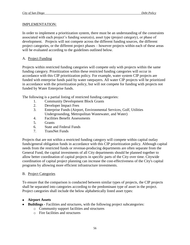# IMPLEMENTATION:

In order to implement a prioritization system, there must be an understanding of the constraints associated with each project's funding source(s), asset type (project category), or phase of development. Projects will not compete across the different funding sources, the different project categories, or the different project phases – however projects within each of these areas will be evaluated according to the guidelines outlined below.

# A. Project Funding

Projects within restricted funding categories will compete only with projects within the same funding category. Prioritization within these restricted funding categories will occur in accordance with this CIP prioritization policy. For example, water system CIP projects are funded with enterprise funds paid by water ratepayers. All water CIP projects will be prioritized in accordance with the prioritization policy, but will not compete for funding with projects not funded by Water Enterprise funds.

The following is a partial listing of restricted funding categories:

- 1. Community Development Block Grants
- 2. Developer Impact Fees
- 3. Enterprise Funds (Airport, Environmental Services, Golf, Utilities Undergrounding, Metropolitan Wastewater, and Water)
- 4. Facilities Benefit Assessments
- 5. Grants
- 6. State and Federal Funds
- 7. TransNet Funds

Projects that are not within a restricted funding category will compete within capital outlay funds/general obligation funds in accordance with this CIP prioritization policy. Although capital needs from the restricted funds or revenue-producing departments are often separate from the General Fund, the capital investments of all City departments should be planned together to allow better coordination of capital projects in specific parts of the City over time. Citywide coordination of capital project planning can increase the cost-effectiveness of the City's capital programs by allowing more efficient infrastructure investments.

# B. Project Categories

To ensure that the comparison is conducted between similar types of projects, the CIP projects shall be separated into categories according to the predominant type of asset in the project. Project categories shall include the below alphabetically listed asset types:

# **Airport Assets**

- **Buildings -** Facilities and structures, with the following project subcategories:
	- o Community support facilities and structures
	- o Fire facilities and structures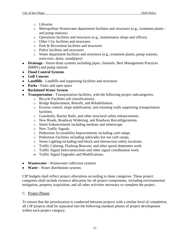- o Libraries
- o Metropolitan Wastewater department facilities and structures (e.g., treatment plants and pump stations)
- o Operations facilities and structures (e.g., maintenance shops and offices)
- o Other City facilities and structures
- o Park & Recreation facilities and structures
- o Police facilities and structures
- o Water department facilities and structures (e.g., treatment plants, pump stations, reservoirs, dams, standpipes)
- **Drainage -** Storm drain systems including pipes, channels, Best Management Practices (BMPs) and pump stations
- **Flood Control Systems**
- **Golf Courses**
- **Landfills -** Landfills and supporting facilities and structures
- **Parks -** Parks and open space
- **Reclaimed Water System**
- **Transportation -** Transportation facilities, with the following project subcategories:
	- o Bicycle Facilities (all classifications).
	- o Bridge Replacement, Retrofit, and Rehabilitation.
	- o Erosion control, slope stabilization, and retaining walls supporting transportation facilities.
	- o Guardrails, Barrier Rails, and other structural safety enhancements.
	- o New Roads, Roadway Widening, and Roadway Reconfigurations.
	- o Street Enhancements including medians and streetscape.
	- o New Traffic Signals.
	- o Pedestrian Accessibility Improvements including curb ramps.
	- o Pedestrian Facilities including sidewalks but not curb ramps.
	- o Street Lighting including mid-block and intersection safety locations.
	- o Traffic Calming, Flashing Beacons, and other speed abatement work.
	- o Traffic Signal Interconnections and other signal coordination work.
	- $\Theta$  Traffic Signal Upgrades and Modifications.
- **Wastewater -** Wastewater collection systems
- **Water -** Water distribution systems

CIP budgets shall reflect project allocations according to these categories. These project categories shall include resource allocation for all project components, including environmental mitigation, property acquisition, and all other activities necessary to complete the project.

# C. Project Phases

To ensure that the prioritization is conducted between projects with a similar level of completion, all CIP projects shall be separated into the following standard phases of project development within each project category: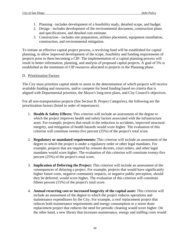- 1. Planning –includes development of a feasibility study, detailed scope, and budget.
- 2. Design includes development of the environmental document, construction plans and specifications, and detailed cost estimate.
- 3. Construction includes site preparation, utilities placement, equipment installation, construction, and environmental mitigation.

To initiate an effective capital project process, a revolving fund will be established for capital planning, to allow improved development of the scope, feasibility and funding requirements of projects prior to them becoming a CIP. The implementation of a capital planning process will result in better information, planning, and analysis of proposed capital projects. A goal of 5% is established as the minimum of CIP resources allocated to projects in the Planning phase.

# D. Prioritization Factors

The City must prioritize capital needs to assist in the determination of which projects will receive available funding and resources, and/or compete for bond funding based on criteria that is aligned with Departmental priorities, the Mayor's long-term plans, and City Council's objectives.

For all non-transportation projects (See Section B. Project Categories), the following are the prioritization factors (listed in order of importance):

- 1. **Health & Safety Effects:** This criterion will include an assessment of the degree to which the project improves health and safety factors associated with the infrastructure asset. For example, projects that result in the reduction in accidents, improved structural integrity, and mitigation of health hazards would score higher. The evaluation of this criterion will constitute twenty-five percent (25%) of the project's total score.
- 2. **Regulatory or mandated requirements:** This criterion will include an assessment of the degree to which the project is under a regulatory order or other legal mandates. For example, projects that are required by consent decrees, court orders, and other legal mandates would score higher. The evaluation of this criterion will constitute twenty-five percent (25%) of the project's total score.
- 3. **Implication of Deferring the Project:** This criterion will include an assessment of the consequences of delaying a project. For example, projects that would have significantly higher future costs, negative community impacts, or negative public perception, should they be deferred, would score higher. The evaluation of this criterion will constitute fifteen percent (15%) of the project's total score.
- 4. **Annual recurring cost or increased longevity of the capital asset:** This criterion will include an assessment of the degree to which the project reduces operations and maintenance expenditures by the City. For example, a roof replacement project that reduces both maintenance requirements and energy consumption or a storm drain replacement project that reduces the need for periodic cleaning would score higher. On the other hand, a new library that increases maintenance, energy and staffing costs would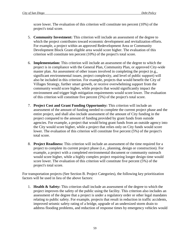score lower. The evaluation of this criterion will constitute ten percent (10%) of the project's total score.

- 5. **Community Investment:** This criterion will include an assessment of the degree to which the project contributes toward economic development and revitalization efforts. For example, a project within an approved Redevelopment Area or Community Development Block Grant eligible area would score higher. The evaluation of this criterion will constitute ten percent (10%) of the project's total score.
- 6. **Implementation:** This criterion will include an assessment of the degree to which the project is in compliance with the General Plan, Community Plan, or approved City-wide master plan. An assessment of other issues involved in completing the project (e.g., significant environmental issues, project complexity, and level of public support) will also be included in this criterion. For example, projects that would benefit the City of Villages Strategy, further smart growth, or receive overwhelming support from the community would score higher, while projects that would significantly impact the environment and trigger high mitigation requirements would score lower. The evaluation of this criterion will constitute five percent (5%) of the project's total score.
- 7. **Project Cost and Grant Funding Opportunity:** This criterion will include an assessment of the amount of funding needed to complete the current project phase and the entire project, and shall also include assessment of the amount of City funding in the project compared to the amount of funding provided by grant funds from outside agencies. For example, a project that would bring grant funds from an outside agency into the City would score higher, while a project that relies only on City funds would score lower. The evaluation of this criterion will constitute five percent (5%) of the project's total score.
- 8. **Project Readiness:** This criterion will include an assessment of the time required for a project to complete its current project phase (i.e., planning, design or construction). For example, a project with a completed environmental document or community outreach would score higher, while a highly complex project requiring longer design time would score lower. The evaluation of this criterion will constitute five percent (5%) of the project's total score.

For transportation projects (See Section B. Project Categories), the following key prioritization factors will be used in lieu of the above factors:

1. **Health & Safety:** This criterion shall include an assessment of the degree to which the project improves the safety of the public using the facility. This criterion also includes an assessment of the degree that a project is under a regulatory order or other legal mandates relating to public safety. For example, projects that result in reduction in traffic accidents, improved seismic safety rating of a bridge, upgrade of an undersized storm drain to address flooding problems, and reduction of response times by emergency vehicles would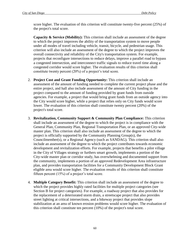score higher. The evaluation of this criterion will constitute twenty-five percent (25%) of the project's total score.

**Capacity & Service (Mobility):** This criterion shall include an assessment of the degree to which the project improves the ability of the transportation system to move people under all modes of travel including vehicle, transit, bicycle, and pedestrian usage. This criterion will also include an assessment of the degree to which the project improves the overall connectivity and reliability of the City's transportation system. For example, projects that reconfigure intersections to reduce delays, improve a parallel road to bypass a congested intersection, and interconnect traffic signals to reduce travel time along a congested corridor would score higher. The evaluation results of this criterion shall constitute twenty percent (20%) of a project's total score.

- 2. **Project Cost and Grant Funding Opportunity:** This criterion shall include an assessment of the amount of funding needed to complete the current project phase and the entire project, and hall also include assessment of the amount of City funding in the project compared to the amount of funding provided by grant funds from outside agencies. For example, a project that would bring grant funds from an outside agency into the City would score higher, while a project that relies only on City funds would score lower. The evaluation of this criterion shall constitute twenty percent (20%) of the project's total score.
- 3. **Revitalization, Community Support & Community Plan Compliance:** This criterion shall include an assessment of the degree to which the project is in compliance with the General Plan, Community Plan, Regional Transportation Plan, or an approved City-wide master plan. This criterion shall also include an assessment of the degree to which the project is officially supported by the Community Planning Group(s), the Councilmember(s), or a Regional Agency (such as SANDAG). This criterion shall also include an assessment of the degree to which the project contributes towards economic development and revitalization efforts. For example, projects that benefits a pilot village in the City of Villages strategy or furthers smart growth, implements a portion of the City-wide master plan or corridor study, has overwhelming and documented support from the community, implements a portion of an approved Redevelopment Area infrastructure plan, and provides transportation facilities for a Community Development Block Grant eligible area would score higher. The evaluation results of this criterion shall constitute fifteen percent (15%) of a project's total score.
- 4. **Multiple Category Benefit:** This criterion shall include an assessment of the degree to which the project provides highly rated facilities for multiple project categories (see Section B for project categories). For example, a roadway project that also provides for the replacement of a deteriorated storm drain, a streetscape project that also provides street lighting at critical intersections, and a bikeway project that provides slope stabilization at an area of known erosion problems would score higher. The evaluation of this criterion shall constitute ten percent (10%) of the project's total score.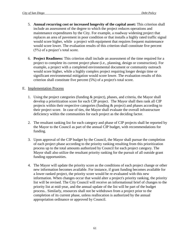- 5. **Annual recurring cost or increased longevity of the capital asset:** This criterion shall include an assessment of the degree to which the project reduces operations and maintenance expenditures by the City. For example, a roadway widening project that replaces an area of pavement in poor condition or that installs a highly rated traffic signal would score higher, while a project with equipment that requires frequent maintenance would score lower. The evaluation results of this criterion shall constitute five percent (5%) of a project's total score.
- 6. **Project Readiness:** This criterion shall include an assessment of the time required for a project to complete its current project phase (i.e., planning, design or construction). For example, a project with a completed environmental document or community outreach would score higher, while a highly complex project requiring longer design time or significant environmental mitigation would score lower. The evaluation results of this criterion shall constitute five percent (5%) of a project's total score.

# E. Implementation Process

- 1. Using the project categories (funding & project), phases, and criteria, the Mayor shall develop a prioritization score for each CIP project. The Mayor shall then rank all CIP projects within their respective categories (funding & project) and phases according to their project score. In case of ties, the Mayor shall evaluate the overall infrastructure deficiency within the communities for each project as the deciding factor.
- 2. The resultant ranking list for each category and phase of CIP projects shall be reported by the Mayor to the Council as part of the annual CIP budget, with recommendations for funding.
- 3. Upon approval of the CIP budget by the Council, the Mayor shall pursue the completion of each project phase according to the priority ranking resulting from this prioritization process up to the total amounts authorized by Council for each project category. The Mayor shall also utilize the resultant priority ranking for the pursuit of all outside grant funding opportunities.
- 4. The Mayor will update the priority score as the conditions of each project change or other new information becomes available. For instance, if grant funding becomes available for a lower ranked project, the priority score would be re-evaluated with this new information. When changes occur that would alter a project's priority ranking, the priority list will be revised. The City Council will receive an informational brief of changes to the priority list at mid-year, and the annual update of the list will be part of the budget process.. Similarly, resources shall not be withdrawn from a project prior to the completion of its current phase, unless reallocation is authorized by the annual appropriation ordinance or approved by Council.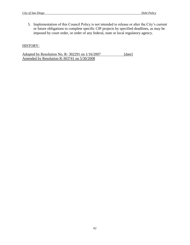5. Implementation of this Council Policy is not intended to release or alter the City's current or future obligations to complete specific CIP projects by specified deadlines, as may be imposed by court order, or order of any federal, state or local regulatory agency.

# HISTORY:

Adopted by Resolution No. R-302291 on  $1/16/2007$  [date] Amended by Resolution R-303741 on 5/30/2008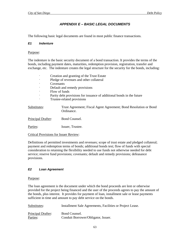# *APPENDIX E – BASIC LEGAL DOCUMENTS*

The following basic legal documents are found in most public finance transactions.

#### *E1 Indenture*

#### Purpose:

The indenture is the basic security document of a bond transaction. It provides the terms of the bonds, including payment dates, maturities, redemption provision, registration, transfer and exchange, etc. The indenture creates the legal structure for the security for the bonds, including:

| ٠                                                                     | Creation and granting of the Trust Estate                                      |  |
|-----------------------------------------------------------------------|--------------------------------------------------------------------------------|--|
|                                                                       | Pledge of revenues and other collateral                                        |  |
|                                                                       | Covenants                                                                      |  |
|                                                                       | Default and remedy provisions                                                  |  |
|                                                                       | Flow of funds                                                                  |  |
| Parity debt provisions for issuance of additional bonds in the future |                                                                                |  |
| Trustee-related provisions                                            |                                                                                |  |
| Substitutes:                                                          | Trust Agreement; Fiscal Agent Agreement; Bond Resolution or Bond<br>Ordinance. |  |
| Principal Drafter:                                                    | Bond Counsel.                                                                  |  |
| Parties:                                                              | Issuer, Trustee.                                                               |  |
| <b>Critical Provisions for Issuer Review:</b>                         |                                                                                |  |

Definitions of permitted investments and revenues; scope of trust estate and pledged collateral; payment and redemption terms of bonds; additional bonds test; flow of funds with special consideration to retaining the flexibility needed to use funds not otherwise needed for debt service; reserve fund provisions; covenants; default and remedy provisions; defeasance provisions.

#### *E2 Loan Agreement*

#### Purpose:

The loan agreement is the document under which the bond proceeds are lent or otherwise provided for the project being financed and the user of the proceeds agrees to pay the amount of the bonds, plus interest. It provides for payment of loan, installment sale or lease payments sufficient in time and amount to pay debt service on the bonds.

| Substitutes:       | Installment Sale Agreements, Facilities or Project Lease. |
|--------------------|-----------------------------------------------------------|
| Principal Drafter: | Bond Counsel.                                             |
| Parties:           | Conduit Borrower/Obligator, Issuer.                       |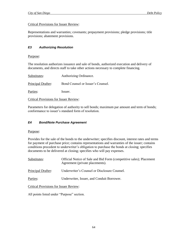## Critical Provisions for Issuer Review:

Representations and warranties; covenants; prepayment provisions; pledge provisions; title provisions; abatement provisions.

# *E3 Authorizing Resolution*

#### Purpose:

The resolution authorizes issuance and sale of bonds, authorized execution and delivery of documents, and directs staff to take other actions necessary to complete financing.

| Substitutes:                                  | Authorizing Ordinance.            |
|-----------------------------------------------|-----------------------------------|
| Principal Drafter:                            | Bond Counsel or Issuer's Counsel. |
| Parties:                                      | Issuer.                           |
| <b>Critical Provisions for Issuer Review:</b> |                                   |

Parameters for delegation of authority to sell bonds; maximum par amount and term of bonds; conformance to issuer's standard form of resolution.

# *E4 Bond/Note Purchase Agreement*

#### Purpose:

Provides for the sale of the bonds to the underwriter; specifies discount, interest rates and terms for payment of purchase price; contains representations and warranties of the issuer; contains conditions precedent to underwriter's obligation to purchase the bonds at closing; specifies documents to be delivered at closing; specifies who will pay expenses.

| Substitutes:                                  | Official Notice of Sale and Bid Form (competitive sales); Placement<br>Agreement (private placements). |
|-----------------------------------------------|--------------------------------------------------------------------------------------------------------|
| Principal Drafter:                            | Underwriter's Counsel or Disclosure Counsel.                                                           |
| Parties:                                      | Underwriter, Issuer, and Conduit Borrower.                                                             |
| <b>Critical Provisions for Issuer Review:</b> |                                                                                                        |

All points listed under "Purpose" section.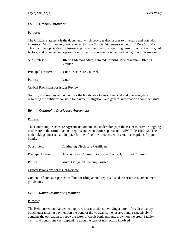# *E5 Official Statement*

#### Purpose:

The Official Statement is the document, which provides disclosures to investors and potential investors. Most financings are required to have Official Statements under SEC Rule 15c2-12. This document provides disclosure to prospective investors regarding term of bonds, security, risk factors, and financial and operating information concerning issuer and background information.

| Substitutes:       | Offering Memorandum; Limited Offering Memorandum, Offering<br>Circular. |
|--------------------|-------------------------------------------------------------------------|
| Principal Drafter: | Issuer, Disclosure Counsel.                                             |
| Parties:           | Issuer.                                                                 |

Critical Provisions for Issuer Review:

Security and sources of payment for the bonds; risk factors; financial and operating data regarding the entity responsible for payment; litigation; and general information about the issuer.

#### *E6 Continuing Disclosure Agreement*

#### Purpose:

The Continuing Disclosure Agreement contains the undertakings of the issuer to provide ongoing disclosure in the form of annual reports and event notices pursuant to SEC Rule 15c2-12. The undertakings must remain in place for the life of the issuance, with certain exceptions for pool bonds.

Substitutes: Continuing Disclosure Certificate.

Principal Drafter: Underwriter's Counsel, Disclosure Counsel, or Bond Counsel.

Parties: Issuer, Obligated Persons; Trustee.

#### Critical Provisions for Issuer Review:

Contents of annual reports; deadline for filing annual reports; listed event notices; amendment provisions.

#### *E7 Reimbursement Agreement*

#### Purpose:

The Reimbursement Agreement appears in transactions involving a letter of credit or surety policy guaranteeing payment on the bond or draws against the reserve fund, respectively. It contains the obligation to repay the letter of credit bank amounts drawn on the credit facility. Term and conditions vary depending upon the type of transaction involved.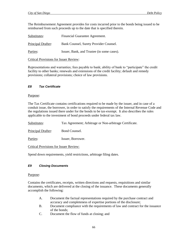The Reimbursement Agreement provides for costs incurred prior to the bonds being issued to be reimbursed from such proceeds up to the date that is specified therein.

| Substitutes:       | Financial Guarantee Agreement.             |
|--------------------|--------------------------------------------|
| Principal Drafter: | Bank Counsel, Surety Provider Counsel.     |
| Parties:           | Issuer, Bank, and Trustee (in some cases). |

#### Critical Provisions for Issuer Review:

Representations and warranties; fees payable to bank; ability of bank to "participate" the credit facility to other banks; renewals and extensions of the credit facility; default and remedy provisions; collateral provisions; choice of law provisions.

#### *E8 Tax Certificate*

#### Purpose:

The Tax Certificate contains certifications required to be made by the issuer, and in case of a conduit issue, the borrower, in order to satisfy the requirements of the Internal Revenue Code and the regulations issued there under for the bonds to be tax-exempt. It also describes the rules applicable to the investment of bond proceeds under federal tax law.

| Substitutes:       | Tax Agreement; Arbitrage or Non-arbitrage Certificate. |
|--------------------|--------------------------------------------------------|
| Principal Drafter: | Bond Counsel.                                          |
| Parties:           | Issuer, Borrower.                                      |

Critical Provisions for Issuer Review:

Spend down requirements, yield restrictions, arbitrage filing dates.

#### *E9 Closing Documents*

#### Purpose:

Contains the certificates, receipts, written directions and requests, requisitions and similar documents, which are delivered at the closing of the issuance. These documents generally accomplish the following:

- A. Document the factual representations required by the purchase contract and accuracy and completeness of expertise portions of the disclosure;
- B. Document compliance with the requirements of law and contract for the issuance of the bonds;
- C. Document the flow of funds at closing; and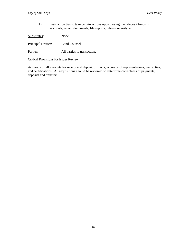D. Instruct parties to take certain actions upon closing; i.e., deposit funds in accounts, record documents, file reports, release security, etc.

Substitutes: None.

Principal Drafter: Bond Counsel.

Parties: All parties to transaction.

Critical Provisions for Issuer Review:

Accuracy of all amounts for receipt and deposit of funds, accuracy of representations, warranties, and certifications. All requisitions should be reviewed to determine correctness of payments, deposits and transfers.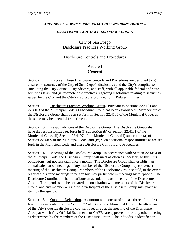# *APPENDIX F – DISCLOSURE PRACTICES WORKING GROUP –*

# *DISCLOSURE CONTROLS AND PROCEDURES*

City of San Diego Disclosure Practices Working Group

# Disclosure Controls and Procedures

# Article I *General*

Section 1.1. Purpose. These Disclosure Controls and Procedures are designed to (i) ensure the accuracy of the City of San Diego's disclosures and the City's compliance (including the City Council, City officers, and staff) with all applicable federal and state securities laws, and (ii) promote best practices regarding disclosures relating to securities issued by the City and the City's disclosure provided to its Related Entities.

Section 1.2. Disclosure Practices Working Group. Pursuant to Sections 22.4101 and 22.4103 of the Municipal Code a Disclosure Group has been established. Membership of the Disclosure Group shall be as set forth in Section 22.4103 of the Municipal Code, as the same may be amended from time to time.

Section 1.3. Responsibilities of the Disclosure Group. The Disclosure Group shall have the responsibilities set forth in (i) subsection (b) of Section 22.4101 of the Municipal Code, (ii) Section 22.4107 of the Municipal Code, (iii) subsection (a) of Section 22.4109 of the Municipal Code, and (iv) such additional responsibilities as are set forth in the Municipal Code and these Disclosure Controls and Procedures.

Section 1.4. Meetings of the Disclosure Group. In accordance with Section 22.4104 of the Municipal Code, the Disclosure Group shall meet as often as necessary to fulfill its obligations, but not less than once a month. The Disclosure Group shall establish an annual calendar of meetings. Any member of the Disclosure Group may convene a meeting of the Disclosure Group. Members of the Disclosure Group should, to the extent practicable, attend meetings in person but may participate in meetings by telephone. The Disclosure Coordinator shall distribute an agenda for each meeting of the Disclosure Group. The agenda shall be prepared in consultation with members of the Disclosure Group, and any member or ex officio participant of the Disclosure Group may place an item on the agenda.

Section 1.5. Quorum; Delegation. A quorum will consist of at least three of the first five individuals identified in Section 22.4103(a) of the Municipal Code. The attendance of the City's outside disclosure counsel is required at the meeting of the Disclosure Group at which City Official Statements or CAFRs are approved or for any other meeting as determined by the members of the Disclosure Group. The individuals identified in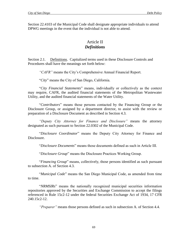Section 22.4103 of the Municipal Code shall designate appropriate individuals to attend DPWG meetings in the event that the individual is not able to attend.

# Article II *Definitions*

Section 2.1. Definitions. Capitalized terms used in these Disclosure Controls and Procedures shall have the meanings set forth below:

*"CAFR"* means the City's Comprehensive Annual Financial Report.

"*City*" means the City of San Diego, California.

"*City Financial Statements*" means, individually or collectively as the context may require, CAFR, the audited financial statements of the Metropolitan Wastewater Utility, and the audited financial statements of the Water Utility.

"*Contributors*" means those persons contacted by the Financing Group or the Disclosure Group, or assigned by a department director, to assist with the review or preparation of a Disclosure Document as described in Section 4.3.

*"Deputy City Attorney for Finance and Disclosure"* means the attorney designated as such pursuant to Section 22.0302 of the Municipal Code.

"*Disclosure Coordinator*" means the Deputy City Attorney for Finance and Disclosure.

"*Disclosure Documents*" means those documents defined as such in Article III.

"*Disclosure Group*" means the Disclosure Practices Working Group.

"*Financing Group*" means, collectively, those persons identified as such pursuant to subsection A. of Section 4.3.

"*Municipal Code*" means the San Diego Municipal Code, as amended from time to time.

"*NRMSIRs*" means the nationally recognized municipal securities information repositories approved by the Securities and Exchange Commission to accept the filings referenced in Rule 15c2-12 under the federal Securities Exchange Act of 1934, 17 CFR 240.15c2-12.

*"Preparer"* means those persons defined as such in subsection A. of Section 4.4.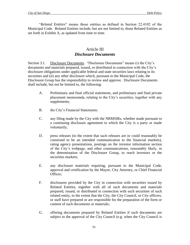"*Related Entities*" means those entities as defined in Section 22.4102 of the Municipal Code. Related Entities include, but are not limited to, those Related Entities as set forth in Exhibit A, as updated from time to time.

## Article III *Disclosure Documents*

Section 3.1. Disclosure Documents. "Disclosure Documents" means (i) the City's documents and materials prepared, issued, or distributed in connection with the City's disclosure obligations under applicable federal and state securities laws relating to its securities and (ii) any other disclosure which, pursuant to the Municipal Code, the Disclosure Group has the responsibility to review and approve. Disclosure Documents shall include, but not be limited to, the following:

- A. Preliminary and final official statements, and preliminary and final private placement memoranda, relating to the City's securities, together with any supplements;
- B. the City's Financial Statements;
- C. any filing made by the City with the NRMSIRs, whether made pursuant to a continuing disclosure agreement to which the City is a party or made voluntarily;
- D. press releases (to the extent that such releases are or could reasonably be construed to be an intended communication to the financial markets), rating agency presentations, postings on the investor information section of the City's webpage, and other communications, reasonably likely, in the determination of the Disclosure Group, to reach investors or the securities markets:
- E. any disclosure materials requiring, pursuant to the Municipal Code, approval and certification by the Mayor, City Attorney, or Chief Financial Officer;
- F. disclosures provided by the City in connection with securities issued by Related Entities, together with all of such documents and materials prepared, issued, or distributed in connection with such securities of such related entity, to the extent that the City, the City Council, or City officers, or staff have prepared or are responsible for the preparation of the form or content of such documents or materials;
- G. offering documents prepared by Related Entities if such documents are subject to the approval of the City Council (e.g. when the City Council is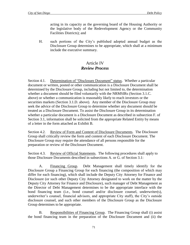acting in its capacity as the governing board of the Housing Authority or the legislative body of the Redevelopment Agency or the Community Facilities Districts); and

H. such portions of the City's published adopted annual budget as the Disclosure Group determines to be appropriate, which shall at a minimum include the executive summary.

# Article IV *Review Process*

Section 4.1. Determination of "Disclosure Document" status. Whether a particular document or written, posted or other communication is a Disclosure Document shall be determined by the Disclosure Group, including but not limited to, the determination whether a document should be filed voluntarily with the NRMSIRs (Section 3.1.C. above) or whether a communication is reasonably likely to reach investors or the securities markets (Section 3.1.D. above). Any member of the Disclosure Group may seek the advice of the Disclosure Group to determine whether any document should be treated as a Disclosure Document. To assist the Disclosure Group in its determination whether a particular document is a Disclosure Document as described in subsection F. of Section 3.1, information shall be solicited from the appropriate Related Entity by means of a letter in the form attached as Exhibit B.

Section 4.2. Review of Form and Content of Disclosure Documents. The Disclosure Group shall critically review the form and content of each Disclosure Document. The Disclosure Group may require the attendance of all persons responsible for the preparation or review of the Disclosure Document.

Section 4.3. Review of Official Statements. The following procedures shall apply to those Disclosure Documents described in subsections A. or G. of Section 3.1:

A. Financing Group. Debt Management shall timely identify for the Disclosure Group a Financing Group for each financing (the composition of which may differ for each financing), which shall include the Deputy City Attorney for Finance and Disclosure (or such other Deputy City Attorney designated to work on the matter by the Deputy City Attorney for Finance and Disclosure), such manager of Debt Management as the Director of Debt Management determines to be the appropriate interface with the bond financing team (i.e., bond counsel and/or disclosure counsel, underwriter(s), underwriter's counsel, financial advisors, and appropriate City staff), the City's outside disclosure counsel, and such other members of the Disclosure Group as the Disclosure Group determines to be appropriate.

B. Responsibilities of Financing Group. The Financing Group shall (i) assist the bond financing team in the preparation of the Disclosure Document and (ii) the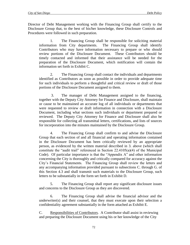Director of Debt Management working with the Financing Group shall certify to the Disclosure Group that, to the best of his/her knowledge, these Disclosure Controls and Procedures were followed in such preparation.

1. The Financing Group shall be responsible for soliciting material information from City departments. The Financing Group shall identify Contributors who may have information necessary to prepare or who should review portions of the Disclosure Document. These Contributors should be timely contacted and informed that their assistance will be needed for the preparation of the Disclosure Document, which notification will contain the information set forth in Exhibit C.

2. The Financing Group shall contact the individuals and departments identified as Contributors as soon as possible in order to provide adequate time for such individuals to perform a thoughtful and critical review or draft of those portions of the Disclosure Document assigned to them.

3. The manager of Debt Management assigned to the financing, together with the Deputy City Attorney for Finance and Disclosure, shall maintain or cause to be maintained an accurate log of all individuals or departments that were requested to review or draft information in connection with a Disclosure Document, including what sections such individuals or department prepared or reviewed. The Deputy City Attorney for Finance and Disclosure shall also be responsible for collecting all transmittal letters, certifications, and lists of sources for incorporation into the minutes maintained by the Disclosure Group.

4. The Financing Group shall confirm to and advise the Disclosure Group that each section of and all financial and operating information contained in the Disclosure Document has been critically reviewed by an appropriate person, as evidenced by the written material described in 3. above (which shall constitute the "audit trail" referenced in Section  $22.4105(a)(4)$  of the Municipal Code). Of particular importance is that the "Appendix A" and other information concerning the City is thoroughly and critically compared for accuracy against the City's Financial Statements. The Financing Group shall review the letters and any accompanying information provided pursuant to subsections C. through G. of this Section 4.3 and shall transmit such materials to the Disclosure Group, such letters to be substantially in the form set forth in Exhibit D.

5. The Financing Group shall report any significant disclosure issues and concerns to the Disclosure Group as they are discovered.

6. The Financing Group shall advise the financial advisor and the underwriter(s) and their counsel, that they must execute upon their selection a confidentiality agreement substantially in the form attached as Exhibit E.

C. Responsibilities of Contributors. A Contributor shall assist in reviewing and preparing the Disclosure Document using his or her knowledge of the City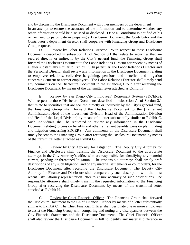and by discussing the Disclosure Document with other members of the department in an attempt to ensure the accuracy of the information and to determine whether any other information should be discussed or disclosed. Once a Contributor is notified of his or her need to participate in preparing a Disclosure Document, the Contributor and the Contributor's department director shall cooperate with Financing Group and Disclosure Group requests.

D. Review by Labor Relations Director. With respect to those Disclosure Documents described in subsection A. of Section 3.1 that relate to securities that are secured directly or indirectly by the City's general fund, the Financing Group shall forward the Disclosure Document to the Labor Relations Director for review by means of a letter substantially similar to Exhibit C. In particular, the Labor Relations Director and the Personnel Director shall review any information in the Disclosure Document relating to employee relations, collective bargaining, pensions and benefits, and litigation concerning current or former employees. The Labor Relations Director shall timely send any comments on the Disclosure Document to the Financing Group after receiving the Disclosure Document, by means of the transmittal letter attached as Exhibit F.

E. Review by San Diego City Employees' Retirement System (SDCERS). With respect to those Disclosure Documents described in subsection A. of Section 3.1 that relate to securities that are secured directly or indirectly by the City's general fund, the Financing Group shall forward the Disclosure Document to the [Retirement Administrator, Head of the Investment Division, Head of the Administration Division and Head of the Legal Division] by means of a letter substantially similar to Exhibit C. Such individuals shall be requested to review any information in the Disclosure Document relating to pension benefits and other retirement benefits, pension plan funding and litigation concerning SDCERS. Any comments on the Disclosure Document shall timely be sent to the Financing Group after receiving the Disclosure Document, by means of the transmittal letter attached as Exhibit G.

F. Review by City Attorney for Litigation. The Deputy City Attorney for Finance and Disclosure shall transmit the Disclosure Document to the appropriate attorneys in the City Attorney's office who are responsible for identifying any material current, pending or threatened litigation. The responsible attorneys shall timely draft descriptions of any such litigation, and of any material settlements or court orders, for the Disclosure Document after receiving the Disclosure Document. The Deputy City Attorney for Finance and Disclosure shall compare any such description with the most recent City Attorney representation letter to ensure accuracy of such descriptions. The responsible attorneys shall timely transmit the requested information to the Financing Group after receiving the Disclosure Document, by means of the transmittal letter attached as Exhibit H.

G. Review by Chief Financial Officer. The Financing Group shall forward the Disclosure Document to the Chief Financial Officer by means of a letter substantially similar to Exhibit C. The Chief Financial Officer shall designate one or more employees to assist the Financing Group with comparing and noting any discrepancies between the City Financial Statements and the Disclosure Document. The Chief Financial Officer shall also review the Disclosure Document in full to identify any material difference in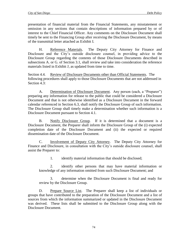presentation of financial material from the Financial Statements, any misstatement or omission in any sections that contain descriptions of information prepared by or of interest to the Chief Financial Officer. Any comments on the Disclosure Document shall timely be sent to the Financing Group after receiving the Disclosure Document, by means of the transmittal letter attached as Exhibit I.

H. Reference Materials. The Deputy City Attorney for Finance and Disclosure and the City's outside disclosure counsel, in providing advice to the Disclosure Group regarding the contents of those Disclosure Documents described in subsections A. or G. of Section 3.1, shall review and take into consideration the reference materials listed in Exhibit J, as updated from time to time.

Section 4.4. Review of Disclosure Documents other than Official Statements. The following procedures shall apply to those Disclosure Documents that are not addressed in Section 4.3:

A. Determination of Disclosure Document. Any person (each, a "Preparer") preparing any information for release to the public that could be considered a Disclosure Document and that is not otherwise identified as a Disclosure Document in the forward calendar referenced in Section 6.3, shall notify the Disclosure Group of such information. The Disclosure Group shall timely make a determination whether such information is a Disclosure Document pursuant to Section 4.1.

B. Notify Disclosure Group. If it is determined that a document is a Disclosure Document, the Preparer shall inform the Disclosure Group of the (i) expected completion date of the Disclosure Document and (ii) the expected or required dissemination date of the Disclosure Document.

C. Involvement of Deputy City Attorney. The Deputy City Attorney for Finance and Disclosure, in consultation with the City's outside disclosure counsel, shall assist the Preparer to:

1. identify material information that should be disclosed;

2. identify other persons that may have material information or knowledge of any information omitted from such Disclosure Document; and

3. determine when the Disclosure Document is final and ready for review by the Disclosure Group.

D. Prepare Source List. The Preparer shall keep a list of individuals or groups that have contributed to the preparation of the Disclosure Document and a list of sources from which the information summarized or updated in the Disclosure Document was derived. These lists shall be submitted to the Disclosure Group along with the Disclosure Document.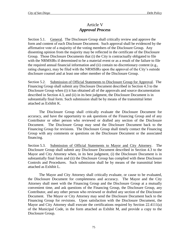# Article V *Approval Process*

Section 5.1. General. The Disclosure Group shall critically review and approve the form and content of each Disclosure Document. Such approval shall be evidenced by the affirmative vote of a majority of the voting members of the Disclosure Group. Any dissenting opinion from the majority may be reflected in the certificate of the Disclosure Group. Those Disclosure Documents that (i) the City is contractually obligated to file with the NRMSIRs if determined to be a material event or as a result of the failure to file the required annual financial information and (ii) contain no discretionary content (e.g., rating changes), may be filed with the NRMSIRs upon the approval of the City's outside disclosure counsel and at least one other member of the Disclosure Group.

Section 5.2. Submission of Official Statements to Disclosure Group for Approval. The Financing Group shall submit any Disclosure Document described in Section 4.3 to the Disclosure Group when (i) it has obtained all of the approvals and source documentation described in Section 4.3, and (ii) in its best judgment, the Disclosure Document is in substantially final form. Such submission shall be by means of the transmittal letter attached as Exhibit K.

The Disclosure Group shall critically evaluate the Disclosure Document for accuracy, and have the opportunity to ask questions of the Financing Group and of any Contributor or other person who reviewed or drafted any section of the Disclosure Document. The Disclosure Group may send the Disclosure Document back to the Financing Group for revisions. The Disclosure Group shall timely contact the Financing Group with any comments or questions on the Disclosure Document or the associated financing.

Section 5.3. Submission of Official Statements to Mayor and City Attorney. The Disclosure Group shall submit any Disclosure Document described in Section 4.3 to the Mayor and City Attorney when, in its best judgment, (i) the Disclosure Document is in substantially final form and (ii) the Disclosure Group has complied with these Disclosure Controls and Procedures. Such submission shall be by means of the transmittal letter attached as Exhibit L.

The Mayor and City Attorney shall critically evaluate, or cause to be evaluated, the Disclosure Document for completeness and accuracy. The Mayor and the City Attorney shall meet with the Financing Group and the Disclosure Group at a mutually convenient time, and ask questions of the Financing Group, the Disclosure Group, any Contributor, and any other person who reviewed or drafted any section of the Disclosure Document. The Mayor or City Attorney may send the Disclosure Document back to the Financing Group for revisions. Upon satisfaction with the Disclosure Document, the Mayor and City Attorney shall execute the certifications required by Section 22.4111(a) of the Municipal Code, in the form attached as Exhibit M, and provide a copy to the Disclosure Group.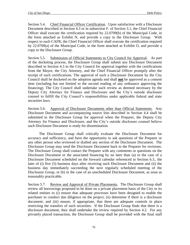Section 5.4. Chief Financial Officer Certification. Upon satisfaction with a Disclosure Document described in Section 4.3 or in subsection F. of Section 3.1, the Chief Financial Officer shall execute the certification required by 22.0709(b) of the Municipal Code, in the form attached as Exhibit N, and provide a copy to the Disclosure Group. With respect to each CAFR, the Chief Financial Officer shall execute the certification required by 22.0709(a) of the Municipal Code, in the form attached as Exhibit O, and provide a copy to the Disclosure Group.

Section 5.5. Submission of Official Statements to City Council for Approval. As part of the docketing process, the Disclosure Group shall submit any Disclosure Document described in Section 4.3 to the City Council for approval together with the certifications from the Mayor, the City Attorney, and the Chief Financial Officer promptly after the receipt of such certifications. The approval of such a Disclosure Document by the City Council shall be docketed on the adoption agenda and shall **not** be approved as a consent item (including but not limited to the second reading of any ordinance approving the financing). The City Council shall undertake such review as deemed necessary by the Deputy City Attorney for Finance and Disclosure and the City's outside disclosure counsel to fulfill the City Council's responsibilities under applicable federal and state securities laws.

Section 5.6. Approval of Disclosure Documents other than Official Statements. Any Disclosure Document and accompanying source lists described in Section 4.4 shall be submitted to the Disclosure Group for approval when the Preparer, the Deputy City Attorney for Finance and Disclosure, and the City's outside disclosure counsel believe such Disclosure Document is ready for dissemination.

The Disclosure Group shall critically evaluate the Disclosure Document for accuracy and sufficiency, and have the opportunity to ask questions of the Preparer or any other person who reviewed or drafted any section of the Disclosure Document. The Disclosure Group may send the Disclosure Document back to the Preparer for revisions. The Disclosure Group shall contact the Preparer with any comments or questions on the Disclosure Document or the associated financing by no later than (a) in the case of a Disclosure Document scheduled on the forward calendar referenced in Section 6.3., the later of (i) five (5) business days after receiving such Disclosure Document and (ii) the business day immediately succeeding the next regularly scheduled meeting of the Disclosure Group, or (b) in the case of an unscheduled Disclosure Document, as soon as reasonably practicable.

Section 5.7. Review and Approval of Private Placements. The Disclosure Group shall review all borrowings proposed to be done on a private placement basis of the City or its related entities to (i) ensure that adequate processes have been designed to enable the purchaser to conduct due diligence on the project; (ii) determine if there is a disclosure document; and (iii) ensure, if appropriate, that there are adequate controls in place restricting the transfers of such securities. If the Disclosure Group finds that there is a disclosure document, they shall undertake the review required by Section 4.2. For any privately placed transaction, the Disclosure Group shall be provided with the final staff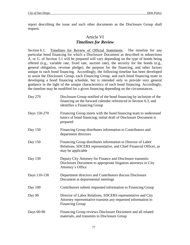report describing the issue and such other documents as the Disclosure Group shall request.

# Article VI *Timelines for Review*

Section 6.1. Timelines for Review of Official Statements. The timeline for any particular bond financing for which a Disclosure Document as described in subsections A. or G. of Section 3.1 will be prepared will vary depending on the type of bonds being offered (e.g., variable rate, fixed rate, auction rate), the security for the bonds (e.g., general obligation, revenue pledge), the purpose for the financing, and other factors unique to each bond financing. Accordingly, the following timeline has been developed to assist the Disclosure Group, each Financing Group, and each bond financing team in developing a bond financing schedule, but is intended only to provide very general guidance in the light of the unique characteristics of each bond financing. Accordingly, the timeline may be modified for a given financing depending on the circumstances.

| Day 270      | Disclosure Group notified of the bond financing by inclusion of the<br>financing on the forward calendar referenced in Section 6.3, and<br>identifies a Financing Group |  |
|--------------|-------------------------------------------------------------------------------------------------------------------------------------------------------------------------|--|
| Days 150-270 | Financing Group meets with the bond financing team to understand<br>basics of bond financing; initial draft of Disclosure Document is<br>prepared                       |  |
| Day 150      | Financing Group distributes information to Contributors and<br>department directors                                                                                     |  |
| Day 150      | Financing Group distributes information to Director of Labor<br>Relations, SDCERS representative, and Chief Financial Officer, as<br>may be applicable                  |  |
| Day 130      | Deputy City Attorney for Finance and Disclosure transmits<br>Disclosure Document to appropriate litigation attorneys in City<br>Attorney's Office                       |  |
| Days 110-130 | Department directors and Contributors discuss Disclosure<br>Document at departmental meetings                                                                           |  |
| Day $100$    | Contributors submit requested information to Financing Group                                                                                                            |  |
| Day 90       | Director of Labor Relations, SDCERS representative and City<br>Attorney representative transmit any requested information to<br><b>Financing Group</b>                  |  |
| Days 60-90   | Financing Group reviews Disclosure Document and all related<br>materials, and transmits to Disclosure Group                                                             |  |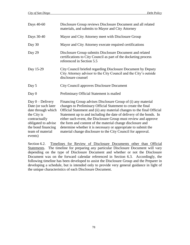| Days 40-60                                                                                                                                                                  | Disclosure Group reviews Disclosure Document and all related<br>materials, and submits to Mayor and City Attorney                                                                                                                                                                                                                                                                                                                                                                                                                                 |  |  |
|-----------------------------------------------------------------------------------------------------------------------------------------------------------------------------|---------------------------------------------------------------------------------------------------------------------------------------------------------------------------------------------------------------------------------------------------------------------------------------------------------------------------------------------------------------------------------------------------------------------------------------------------------------------------------------------------------------------------------------------------|--|--|
| Days 30-40                                                                                                                                                                  | Mayor and City Attorney meet with Disclosure Group                                                                                                                                                                                                                                                                                                                                                                                                                                                                                                |  |  |
| Day 30                                                                                                                                                                      | Mayor and City Attorney execute required certifications                                                                                                                                                                                                                                                                                                                                                                                                                                                                                           |  |  |
| Day 29                                                                                                                                                                      | Disclosure Group submits Disclosure Document and related<br>certifications to City Council as part of the docketing process<br>referenced in Section 5.5                                                                                                                                                                                                                                                                                                                                                                                          |  |  |
| Day 15-29                                                                                                                                                                   | City Council briefed regarding Disclosure Document by Deputy<br>City Attorney advisor to the City Council and the City's outside<br>disclosure counsel                                                                                                                                                                                                                                                                                                                                                                                            |  |  |
| Day 5                                                                                                                                                                       | City Council approves Disclosure Document                                                                                                                                                                                                                                                                                                                                                                                                                                                                                                         |  |  |
| Day $0$                                                                                                                                                                     | Preliminary Official Statement is mailed                                                                                                                                                                                                                                                                                                                                                                                                                                                                                                          |  |  |
| Day $0$ – Delivery<br>Date (or such later<br>date through which<br>the City is<br>contractually<br>obligated to advise<br>the bond financing<br>team of material<br>events) | Financing Group advises Disclosure Group of (i) any material<br>changes to Preliminary Official Statement to create the final<br>Official Statement and (ii) any material changes to the final Official<br>Statement up to and including the date of delivery of the bonds. In<br>either such event, the Disclosure Group must review and approve<br>the form and content of the material change disclosure and<br>determine whether it is necessary or appropriate to submit the<br>material change disclosure to the City Council for approval. |  |  |

Section 6.2. Timelines for Review of Disclosure Documents other than Official Statements. The timeline for preparing any particular Disclosure Document will vary depending on the type of Disclosure Document and whether or not the Disclosure Document was on the forward calendar referenced in Section 6.3. Accordingly, the following timeline has been developed to assist the Disclosure Group and the Preparer in developing a schedule, but is intended only to provide very general guidance in light of the unique characteristics of each Disclosure Document.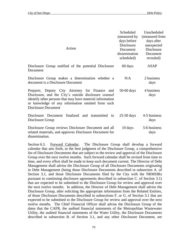| Action                                                                                                                                                                                                                                                  | Scheduled<br>(measured by<br>days before<br>Disclosure<br>Document<br>dissemination<br>scheduled) | Unscheduled<br>(measured from<br>days after<br>unexpected<br>Disclosure<br>Document<br>revealed) |
|---------------------------------------------------------------------------------------------------------------------------------------------------------------------------------------------------------------------------------------------------------|---------------------------------------------------------------------------------------------------|--------------------------------------------------------------------------------------------------|
| Disclosure Group notified of the potential Disclosure<br>Document                                                                                                                                                                                       | 60 days                                                                                           | ASAP                                                                                             |
| Disclosure Group makes a determination whether a<br>document is a Disclosure Document                                                                                                                                                                   | N/A                                                                                               | 2 business<br>days                                                                               |
| Preparer, Deputy City Attorney for Finance and<br>Disclosure, and the City's outside disclosure counsel<br>identify other persons that may have material information<br>or knowledge of any information omitted from such<br><b>Disclosure Document</b> | $50-60$ days                                                                                      | 4 business<br>days                                                                               |
| Disclosure Document finalized and transmitted to<br>Disclosure Group                                                                                                                                                                                    | $25-50$ days                                                                                      | 4-5 business<br>days                                                                             |
| Disclosure Group reviews Disclosure Document and all<br>related materials, and approves Disclosure Document for<br>dissemination.                                                                                                                       | 10 days                                                                                           | 5-6 business<br>days                                                                             |

Section 6.3. Forward Calendar. The Disclosure Group shall develop a forward calendar that sets forth, to the best judgment of the Disclosure Group, a comprehensive list of Disclosure Documents that are subject to the review and approval of the Disclosure Group over the next twelve months. Such forward calendar shall be revised from time to time, and every effort shall be made to keep such document current. The Director of Debt Management shall advise the Disclosure Group of all Disclosure Documents originating in Debt Management (being those Disclosure Documents described in subsection A. of Section 3.1, and those Disclosure Documents filed by the City with the NRMSIRs pursuant to continuing disclosure agreements described in subsection C. of Section 3.1) that are expected to be submitted to the Disclosure Group for review and approval over the next twelve months. In addition, the Director of Debt Management shall advise the Disclosure Group, after soliciting the appropriate information from the Related Entities, of those Disclosure Documents described in subsections F. or G. of Section 3.1 that are expected to be submitted to the Disclosure Group for review and approval over the next twelve months. The Chief Financial Officer shall advise the Disclosure Group of the dates that the CAFR, the audited financial statements of the Metropolitan Wastewater Utility, the audited financial statements of the Water Utility, the Disclosure Documents described in subsection B. of Section 3.1, and any other Disclosure Document, are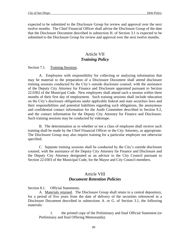expected to be submitted to the Disclosure Group for review and approval over the next twelve months. The Chief Financial Officer shall advise the Disclosure Group of the date that the Disclosure Document described in subsection H. of Section 3.1 is expected to be submitted to the Disclosure Group for review and approval over the next twelve months.

## Article VII *Training Policy*

Section 7.1. Training Sessions.

A. Employees with responsibility for collecting or analyzing information that may be material to the preparation of a Disclosure Document shall attend disclosure training sessions conducted by the City's outside disclosure counsel, with the assistance of the Deputy City Attorney for Finance and Disclosure appointed pursuant to Section 22.0302 of the Municipal Code. New employees shall attend such a session within three months of their first day of employment. Such training sessions shall include education on the City's disclosure obligations under applicable federal and state securities laws and their responsibilities and potential liabilities regarding such obligations, the anonymous and confidential contact information for the Audit Committee described in Section 9.2, and the contact information for the Deputy City Attorney for Finance and Disclosure. Such training sessions may be conducted by videotape.

B. The determination as to whether or not a class of employee shall receive such training shall be made by the Chief Financial Officer or the City Attorney, as appropriate. The Disclosure Group may also require training for a particular employee not otherwise specified.

C. Separate training sessions shall be conducted by the City's outside disclosure counsel, with the assistance of the Deputy City Attorney for Finance and Disclosure and the Deputy City Attorney designated as an advisor to the City Council pursuant to Section 22.0303 of the Municipal Code, for the Mayor and City Council members.

## Article VIII *Document Retention Policies*

Section 8.1. Official Statements.

A. Materials retained. The Disclosure Group shall retain in a central depository, for a period of five years from the date of delivery of the securities referenced in a Disclosure Document described in subsections A. or G. of Section 3.1, the following materials:

1. the printed copy of the Preliminary and final Official Statement (or Preliminary and final Offering Memoranda);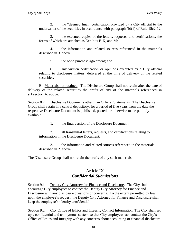2. the "deemed final" certification provided by a City official to the underwriter of the securities in accordance with paragraph  $(b)(1)$  of Rule 15c2-12;

3. the executed copies of the letters, requests, and certifications, the forms of which are attached as Exhibits B-K, and M;

4. the information and related sources referenced in the materials described in 3. above;

5. the bond purchase agreement; and

6. any written certification or opinions executed by a City official relating to disclosure matters, delivered at the time of delivery of the related securities.

B. Materials not retained. The Disclosure Group shall not retain after the date of delivery of the related securities the drafts of any of the materials referenced in subsection A. above.

Section 8.2. Disclosure Documents other than Official Statements. The Disclosure Group shall retain in a central depository, for a period of five years from the date the respective Disclosure Document is published, posted, or otherwise made publicly available:

1. the final version of the Disclosure Document,

2. all transmittal letters, requests, and certifications relating to information in the Disclosure Document,

3. the information and related sources referenced in the materials described in 2. above.

The Disclosure Group shall not retain the drafts of any such materials.

## Article IX *Confidential Submissions*

Section 9.1. Deputy City Attorney for Finance and Disclosure. The City shall encourage City employees to contact the Deputy City Attorney for Finance and Disclosure with any disclosure questions or concerns. To the extent permitted by law, upon the employee's request, the Deputy City Attorney for Finance and Disclosure shall keep the employee's identity confidential.

Section 9.2. City Office of Ethics and Integrity Contact Information. The City shall set up a confidential and anonymous system so that City employees can contact the City's Office of Ethics and Integrity with any concerns about accounting or financial disclosure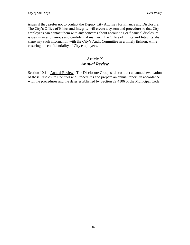issues if they prefer not to contact the Deputy City Attorney for Finance and Disclosure. The City's Office of Ethics and Integrity will create a system and procedure so that City employees can contact them with any concerns about accounting or financial disclosure issues in an anonymous and confidential manner. The Office of Ethics and Integrity shall share any such information with the City's Audit Committee in a timely fashion, while ensuring the confidentiality of City employees.

# Article X *Annual Review*

Section 10.1. Annual Review. The Disclosure Group shall conduct an annual evaluation of these Disclosure Controls and Procedures and prepare an annual report, in accordance with the procedures and the dates established by Section 22.4106 of the Municipal Code.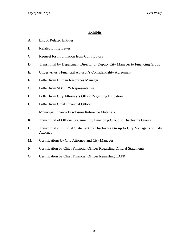## **Exhibits**

- A. List of Related Entities
- B. Related Entity Letter
- C. Request for Information from Contributors
- D. Transmittal by Department Director or Deputy City Manager to Financing Group
- E. Underwriter's/Financial Advisor's Confidentiality Agreement
- F. Letter from Human Resources Manager
- G. Letter from SDCERS Representative
- H. Letter from City Attorney's Office Regarding Litigation
- I. Letter from Chief Financial Officer
- J. Municipal Finance Disclosure Reference Materials
- K. Transmittal of Official Statement by Financing Group to Disclosure Group
- L. Transmittal of Official Statement by Disclosure Group to City Manager and City Attorney
- M. Certifications by City Attorney and City Manager
- N. Certification by Chief Financial Officer Regarding Official Statements
- O. Certification by Chief Financial Officer Regarding CAFR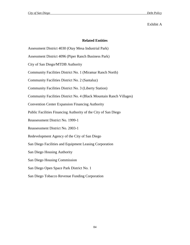## Exhibit A

## **Related Entities**

Assessment District 4030 (Otay Mesa Industrial Park)

Assessment District 4096 (Piper Ranch Business Park)

City of San Diego/MTDB Authority

Community Facilities District No. 1 (Miramar Ranch North)

Community Facilities District No. 2 (Santaluz)

Community Facilities District No. 3 (Liberty Station)

Community Facilities District No. 4 (Black Mountain Ranch Villages)

Convention Center Expansion Financing Authority

Public Facilities Financing Authority of the City of San Diego

Reassessment District No. 1999-1

Reassessment District No. 2003-1

Redevelopment Agency of the City of San Diego

San Diego Facilities and Equipment Leasing Corporation

San Diego Housing Authority

San Diego Housing Commission

San Diego Open Space Park District No. 1

San Diego Tobacco Revenue Funding Corporation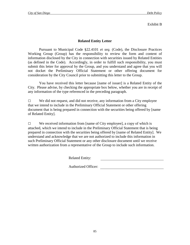### Exhibit B

## **Related Entity Letter**

Pursuant to Municipal Code §22.4101 *et seq.* (Code), the Disclosure Practices Working Group (Group) has the responsibility to review the form and content of information disclosed by the City in connection with securities issued by Related Entities (as defined in the Code). Accordingly, in order to fulfill such responsibility, you must submit this letter for approval by the Group, and you understand and agree that you will not docket the Preliminary Official Statement or other offering document for consideration by the City Council prior to submitting this letter to the Group.

You have received this letter because [name of issuer] is a Related Entity of the City. Please advise, by checking the appropriate box below, whether you are in receipt of any information of the type referenced in the preceding paragraph.

 $\Box$  We did not request, and did not receive, any information from a City employee that we intend to include in the Preliminary Official Statement or other offering document that is being prepared in connection with the securities being offered by [name of Related Entity].

 $\Box$  We received information from [name of City employee], a copy of which is attached, which we intend to include in the Preliminary Official Statement that is being prepared in connection with the securities being offered by [name of Related Entity]. We understand and acknowledge that we are not authorized to include this information in such Preliminary Official Statement or any other disclosure document until we receive written authorization from a representative of the Group to include such information.

Related Entity:

Authorized Officer: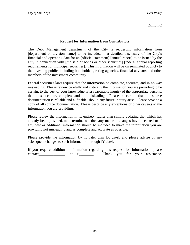## Exhibit C

## **Request for Information from Contributors**

The Debt Management department of the City is requesting information from [department or division name] to be included in a detailed disclosure of the City's financial and operating data for an [official statement] [annual report] to be issued by the City in connection with [the sale of bonds or other securities] [federal annual reporting requirements for municipal securities]. This information will be disseminated publicly to the investing public, including bondholders, rating agencies, financial advisors and other members of the investment community.

Federal securities laws require that the information be complete, accurate, and in no way misleading. Please review carefully and critically the information you are providing to be certain, to the best of your knowledge after reasonable inquiry of the appropriate persons, that it is accurate, complete and not misleading. Please be certain that the source documentation is reliable and auditable, should any future inquiry arise. Please provide a copy of all source documentation. Please describe any exceptions or other caveats to the information you are providing.

Please review the information in its entirety, rather than simply updating that which has already been provided, to determine whether any material changes have occurred or if any new or additional information should be included to make the information you are providing not misleading and as complete and accurate as possible.

Please provide the information by no later than [X date], and please advise of any subsequent changes to such information through [Y date].

If you require additional information regarding this request for information, please contact a contact and the set of  $\alpha$  at x and Thank you for your assistance.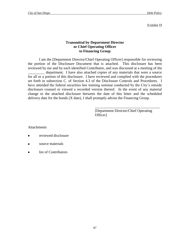Exhibit D

## **Transmittal by Department Director or Chief Operating Officer to Financing Group**

I am the [Department Director/Chief Operating Officer] responsible for reviewing the portion of the Disclosure Document that is attached. This disclosure has been reviewed by me and by each identified Contributor, and was discussed at a meeting of the \_\_\_\_\_\_\_\_\_ department. I have also attached copies of any materials that were a source for all or a portion of this disclosure. I have reviewed and complied with the procedures set forth in subsection C. of Section 4.3 of the Disclosure Controls and Procedures. I have attended the federal securities law training seminar conducted by the City's outside disclosure counsel or viewed a recorded version thereof. In the event of any material change to the attached disclosure between the date of this letter and the scheduled delivery date for the bonds (X date), I shall promptly advise the Financing Group.

> [Department Director/Chief Operating Officer]

\_\_\_\_\_\_\_\_\_\_\_\_\_\_\_\_\_\_\_\_\_\_\_\_\_\_\_\_\_\_\_\_\_\_\_

Attachments

- reviewed disclosure  $\bullet$
- source materials
- list of Contributors $\bullet$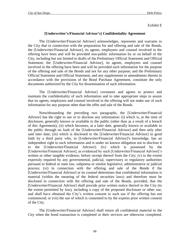Exhibit E

## **[Underwriter's/Financial Advisor's] Confidentiality Agreement**

The [Underwriter/Financial Advisor] acknowledges, represents and warrants to the City that in connection with the preparation for and offering and sale of the Bonds, the [Underwriter/Financial Advisor], its agents, employees and counsel involved in the offering have been and will be provided non-public information by or on behalf of the City, including but not limited to drafts of the Preliminary Official Statement and Official Statement; the [Underwriter/Financial Advisor], its agents, employees and counsel involved in the offering have been and will be provided such information for the purpose of the offering and sale of the Bonds and not for any other purpose; and the Preliminary Official Statement and Official Statement, and any supplements or amendments thereto in accordance with the provisions of the Bond Purchase Agreement, constitute the only documents authorized by the City for dissemination of such information.

The [Underwriter/Financial Advisor] covenants and agrees to protect and maintain the confidentiality of such information and to take appropriate steps to assure that its agents, employees and counsel involved in the offering will not make use of such information for any purpose other than the offer and sale of the Bonds.

Notwithstanding the preceding two paragraphs, the [Underwriter/Financial Advisor] has the right to use or to disclose any information: (i) which is, at the time of disclosure, generally known or available to the public (other than as a result of a breach of this Agreement); (ii) which becomes, at a later date, generally known or available to the public through no fault of the [Underwriter/Financial Advisor] and then only after said later date; (iii) which is disclosed to the [Underwriter/Financial Advisor] in good faith by a third party who, to [Underwriter/Financial Advisor]'s knowledge, has an independent right to such information and is under no known obligation not to disclose it to the [Underwriter/Financial Advisor]; (iv) which is possessed by the [Underwriter/Financial Advisor], as evidenced by such [Underwriter/Financial Advisor]'s written or other tangible evidence, before receipt thereof from the City; (v) to the extent expressly required by any governmental, judicial, supervisory or regulatory authorities pursuant to federal or state law, subpoena or similar legislative, administrative or judicial process; (vi) in connection with the offering and sale of the Bonds if the [Underwriter/Financial Advisor] or its counsel determines that confidential information is material (within the meaning of the federal securities laws) and therefore must be disclosed in connection with the offering and sale of the Bonds, provided, that the [Underwriter/Financial Advisor] shall provide prior written notice thereof to the City (to the extent permitted by law), including a copy of the proposed disclosure or other use, and shall have obtained the City's written consent to such use if the offering has not commenced; or (vii) the use of which is consented to by the express prior written consent of the City.

The [Underwriter/Financial Advisor] shall return all confidential material to the City when the bond transaction is completed or their services are otherwise completed.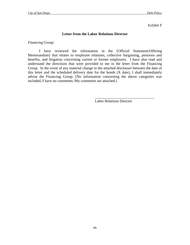Exhibit F

## **Letter from the Labor Relations Director**

Financing Group:

I have reviewed the information in the [Official Statement/Offering Memorandum] that relates to employee relations, collective bargaining, pensions and benefits, and litigation concerning current or former employees. I have also read and understand the directions that were provided to me in the letter from the Financing Group. In the event of any material change to the attached disclosure between the date of this letter and the scheduled delivery date for the bonds (X date), I shall immediately advise the Financing Group. [No information concerning the above categories was included./I have no comments./My comments are attached.]

Labor Relations Director

\_\_\_\_\_\_\_\_\_\_\_\_\_\_\_\_\_\_\_\_\_\_\_\_\_\_\_\_\_\_\_\_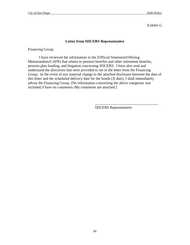Exhibit G

## **Letter from SDCERS Representative**

Financing Group:

I have reviewed the information in the [Official Statement/Offering Memorandum/CAFR] that relates to pension benefits and other retirement benefits, pension plan funding, and litigation concerning SDCERS. I have also read and understand the directions that were provided to me in the letter from the Financing Group. In the event of any material change to the attached disclosure between the date of this letter and the scheduled delivery date for the bonds (X date), I shall immediately advise the Financing Group. [No information concerning the above categories was included./I have no comments./My comments are attached.]

SDCERS Representative

\_\_\_\_\_\_\_\_\_\_\_\_\_\_\_\_\_\_\_\_\_\_\_\_\_\_\_\_\_\_\_\_\_\_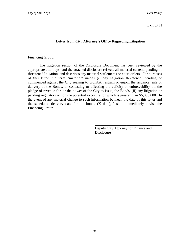### Exhibit H

## **Letter from City Attorney's Office Regarding Litigation**

Financing Group:

The litigation section of the Disclosure Document has been reviewed by the appropriate attorneys, and the attached disclosure reflects all material current, pending or threatened litigation, and describes any material settlements or court orders. For purposes of this letter, the term "material" means (i) any litigation threatened, pending or commenced against the City seeking to prohibit, restrain or enjoin the issuance, sale or delivery of the Bonds, or contesting or affecting the validity or enforceability of, the pledge of revenue for, or the power of the City to issue, the Bonds, (ii) any litigation or pending regulatory action the potential exposure for which is greater than \$5,000,000. In the event of any material change to such information between the date of this letter and the scheduled delivery date for the bonds  $(X \text{ date})$ , I shall immediately advise the Financing Group.

> Deputy City Attorney for Finance and **Disclosure**

\_\_\_\_\_\_\_\_\_\_\_\_\_\_\_\_\_\_\_\_\_\_\_\_\_\_\_\_\_\_\_\_\_\_\_\_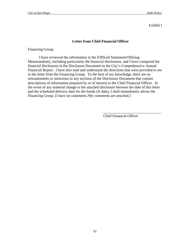Exhibit I

## **Letter from Chief Financial Officer**

Financing Group:

I have reviewed the information in the [Official Statement/Offering Memorandum], including particularly the financial disclosures, and I have compared the financial disclosures in the Disclosure Document to the City's Comprehensive Annual Financial Report. I have also read and understand the directions that were provided to me in the letter from the Financing Group. To the best of my knowledge, there are no misstatements or omissions in any sections of the Disclosure Document that contain descriptions of information prepared by or of interest to the Chief Financial Officer. In the event of any material change to the attached disclosure between the date of this letter and the scheduled delivery date for the bonds (X date), I shall immediately advise the Financing Group. [I have no comments./My comments are attached.]

Chief Financial Officer

\_\_\_\_\_\_\_\_\_\_\_\_\_\_\_\_\_\_\_\_\_\_\_\_\_\_\_\_\_\_\_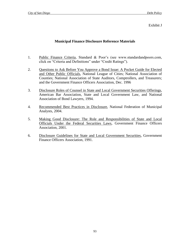## Exhibit J

## **Municipal Finance Disclosure Reference Materials**

- 1. Public Finance Criteria, Standard & Poor's (see www.standardandpoors.com, click on "Criteria and Definitions" under "Credit Ratings").
- 2. Questions to Ask Before You Approve a Bond Issue: A Pocket Guide for Elected and Other Public Officials, National League of Cities; National Association of Counties; National Association of State Auditors, Comptrollers, and Treasurers; and the Government Finance Officers Association, Dec. 1996
- 3. Disclosure Roles of Counsel in State and Local Government Securities Offerings, American Bar Association, State and Local Government Law, and National Association of Bond Lawyers, 1994.
- 4. Recommended Best Practices in Disclosure, National Federation of Municipal Analysts, 2004.
- 5. Making Good Disclosure: The Role and Responsibilities of State and Local Officials Under the Federal Securities Laws, Government Finance Officers Association, 2001.
- 6. Disclosure Guidelines for State and Local Government Securities, Government Finance Officers Association, 1991.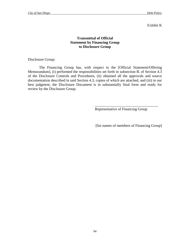### Exhibit K

## **Transmittal of Official Statement by Financing Group to Disclosure Group**

Disclosure Group:

The Financing Group has, with respect to the [Official Statement/Offering Memorandum], (i) performed the responsibilities set forth in subsection B. of Section 4.3 of the Disclosure Controls and Procedures, (ii) obtained all the approvals and source documentation described in said Section 4.3, copies of which are attached, and (iii) in our best judgment, the Disclosure Document is in substantially final form and ready for review by the Disclosure Group.

Representative of Financing Group

\_\_\_\_\_\_\_\_\_\_\_\_\_\_\_\_\_\_\_\_\_\_\_\_\_\_\_\_\_\_\_\_\_\_

[list names of members of Financing Group]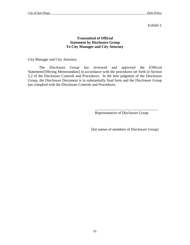### Exhibit L

## **Transmittal of Official Statement by Disclosure Group To City Manager and City Attorney**

City Manager and City Attorney:

The Disclosure Group has reviewed and approved the [Official Statement/Offering Memorandum] in accordance with the procedures set forth in Section 5.2 of the Disclosure Controls and Procedures. In the best judgment of the Disclosure Group, the Disclosure Document is in substantially final form and the Disclosure Group has complied with the Disclosure Controls and Procedures.

Representative of Disclosure Group

\_\_\_\_\_\_\_\_\_\_\_\_\_\_\_\_\_\_\_\_\_\_\_\_\_\_\_\_\_\_\_\_\_\_

[list names of members of Disclosure Group]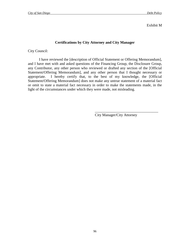Exhibit M

## **Certifications by City Attorney and City Manager**

City Council:

I have reviewed the [description of Official Statement or Offering Memorandum], and I have met with and asked questions of the Financing Group, the Disclosure Group, any Contributor, any other person who reviewed or drafted any section of the [Official Statement/Offering Memorandum], and any other person that I thought necessary or appropriate. I hereby certify that, to the best of my knowledge, the [Official Statement/Offering Memorandum] does not make any untrue statement of a material fact or omit to state a material fact necessary in order to make the statements made, in the light of the circumstances under which they were made, not misleading.

City Manager/City Attorney

\_\_\_\_\_\_\_\_\_\_\_\_\_\_\_\_\_\_\_\_\_\_\_\_\_\_\_\_\_\_\_\_\_\_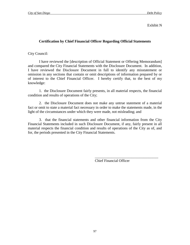## Exhibit N

## **Certification by Chief Financial Officer Regarding Official Statements**

City Council:

I have reviewed the [description of Official Statement or Offering Memorandum] and compared the City Financial Statements with the Disclosure Document. In addition, I have reviewed the Disclosure Document in full to identify any misstatement or omission in any sections that contain or omit descriptions of information prepared by or of interest to the Chief Financial Officer. I hereby certify that, to the best of my knowledge:

1. the Disclosure Document fairly presents, in all material respects, the financial condition and results of operations of the City;

2. the Disclosure Document does not make any untrue statement of a material fact or omit to state a material fact necessary in order to make the statements made, in the light of the circumstances under which they were made, not misleading; and

3. that the financial statements and other financial information from the City Financial Statements included in such Disclosure Document, if any, fairly present in all material respects the financial condition and results of operations of the City as of, and for, the periods presented in the City Financial Statements.

Chief Financial Officer

\_\_\_\_\_\_\_\_\_\_\_\_\_\_\_\_\_\_\_\_\_\_\_\_\_\_\_\_\_\_\_\_\_\_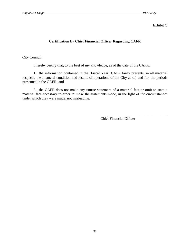Exhibit O

## **Certification by Chief Financial Officer Regarding CAFR**

City Council:

I hereby certify that, to the best of my knowledge, as of the date of the CAFR:

1. the information contained in the [Fiscal Year] CAFR fairly presents, in all material respects, the financial condition and results of operations of the City as of, and for, the periods presented in the CAFR; and

2. the CAFR does not make any untrue statement of a material fact or omit to state a material fact necessary in order to make the statements made, in the light of the circumstances under which they were made, not misleading.

> \_\_\_\_\_\_\_\_\_\_\_\_\_\_\_\_\_\_\_\_\_\_\_\_\_\_\_\_\_\_\_\_\_\_\_\_ Chief Financial Officer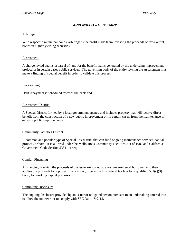## *APPENDIX G – GLOSSARY*

#### Arbitrage

With respect to municipal bonds, arbitrage is the profit made from investing the proceeds of tax-exempt bonds in higher-yielding securities.

#### Assessment

A charge levied against a parcel of land for the benefit that is generated by the underlying improvement project, or in certain cases public services. The governing body of the entity levying the Assessment must make a finding of special benefit in order to validate this process.

### Backloading

Debt repayment is scheduled towards the back-end.

#### Assessment District

A Special District formed by a local government agency and includes property that will receive direct benefit from the construction of a new public improvement or, in certain cases, from the maintenance of existing public improvements.

### Community Facilities District

A common and popular type of Special Tax district that can fund ongoing maintenance services, capital projects, or both. It is allowed under the Mello-Roos Community Facilities Act of 1982 and California Government Code Section 53311 et seq.

#### Conduit Financing

A financing in which the proceeds of the issue are loaned to a nongovernmental borrower who then applies the proceeds for a project financing or, if permitted by federal tax law for a qualified  $501(c)(3)$ bond, for working capital purposes.

#### Continuing Disclosure

The ongoing disclosure provided by an issuer or obligated person pursuant to an undertaking entered into to allow the underwriter to comply with SEC Rule 15c2-12.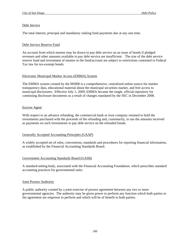### Debt Service

The total interest, principal and mandatory sinking fund payments due at any one time.

### Debt Service Reserve Fund

An account from which monies may be drawn to pay debt service on an issue of bonds if pledged revenues and other amounts available to pay debt service are insufficient. The size of the debt service reserve fund and investment of monies in the fund/account are subject to restrictions contained in Federal Tax law for tax-exempt bonds.

### Electronic Municipal Market Access (EMMA) System

The EMMA system created by the MSRB is a comprehensive, centralized online source for market transparency data, educational material about the municipal securities market, and free access to municipal disclosures. Effective July 1, 2009, EMMA became the single, official repository for continuing disclosure documents as a result of changes mandated by the SEC in December 2008.

### Escrow Agent

With respect to an advance refunding, the commercial bank or trust company retained to hold the investments purchased with the proceeds of the refunding and, customarily, to use the amounts received as payments on such investments to pay debt service on the refunded bonds.

### Generally Accepted Accounting Principles (GAAP)

A widely accepted set of rules, conventions, standards and procedures for reporting financial information, as established by the Financial Accounting Standards Board.

### Government Accounting Standards Board (GASB)

A standard-setting body, associated with the Financial Accounting Foundation, which prescribes standard accounting practices for governmental units.

### Joint Powers Authority

A public authority created by a joint exercise of powers agreement between any two or more governmental agencies. The authority may be given power to perform any function which both parties to the agreement are empower to perform and which will be of benefit to both parties.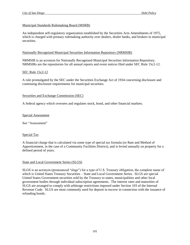### Municipal Standards Rulemaking Board (MSRB)

An independent self-regulatory organization established by the Securities Acts Amendments of 1975, which is charged with primary rulemaking authority over dealers, dealer banks, and brokers in municipal securities.

### Nationally Recognized Municipal Securities Information Repository (NRMSIR)

NRMSIR is an acronym for Nationally Recognized Municipal Securities Information Repository. NRMSIRs are the repositories for all annual reports and event notices filed under SEC Rule 15c2-12.

### SEC Rule 15c2-12

A rule promulgated by the SEC under the Securities Exchange Act of 1934 concerning disclosure and continuing disclosure requirements for municipal securities.

### Securities and Exchange Commission (SEC)

A federal agency which oversees and regulates stock, bond, and other financial markets.

### Special Assessment

See "Assessment"

### Special Tax

A financial charge that is calculated via some type of special tax formula (or Rate and Method of Apportionment, in the case of a Community Facilities District), and is levied annually on property for a defined period of years.

### State and Local Government Series (SLGS)

SLGS is an acronym (pronounced "slugs") for a type of U.S. Treasury obligation, the complete name of which is United States Treasury Securities – State and Local Government Series. SLGS are special United States Government securities sold by the Treasury to states, municipalities and other local government bodies through individual subscription agreements. The interest rates and maturities of SLGS are arranged to comply with arbitrage restrictions imposed under Section 103 of the Internal Revenue Code. SLGS are most commonly used for deposit in escrow in connection with the issuance of refunding bonds.